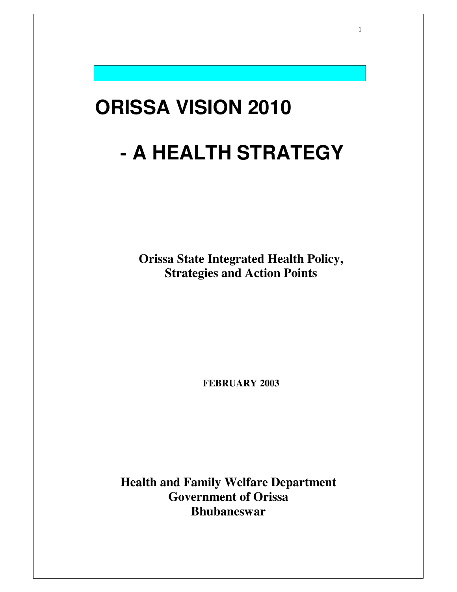# **ORISSA VISION 2010 - A HEALTH STRATEGY**

1

**Orissa State Integrated Health Policy, Strategies and Action Points**

**FEBRUARY 2003**

**Health and Family Welfare Department Government of Orissa Bhubaneswar**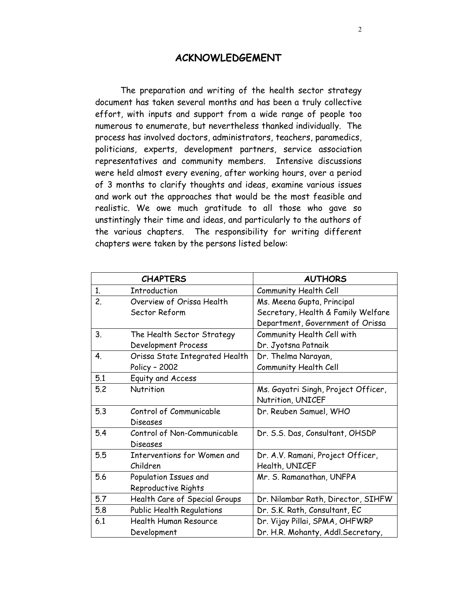#### **ACKNOWLEDGEMENT**

The preparation and writing of the health sector strategy document has taken several months and has been a truly collective effort, with inputs and support from a wide range of people too numerous to enumerate, but nevertheless thanked individually. The process has involved doctors, administrators, teachers, paramedics, politicians, experts, development partners, service association representatives and community members. Intensive discussions were held almost every evening, after working hours, over a period of 3 months to clarify thoughts and ideas, examine various issues and work out the approaches that would be the most feasible and realistic. We owe much gratitude to all those who gave so unstintingly their time and ideas, and particularly to the authors of the various chapters. The responsibility for writing different chapters were taken by the persons listed below:

|     | <b>CHAPTERS</b>                | <b>AUTHORS</b>                      |
|-----|--------------------------------|-------------------------------------|
| 1.  | Introduction                   | Community Health Cell               |
| 2.  | Overview of Orissa Health      | Ms. Meena Gupta, Principal          |
|     | Sector Reform                  | Secretary, Health & Family Welfare  |
|     |                                | Department, Government of Orissa    |
| 3.  | The Health Sector Strategy     | Community Health Cell with          |
|     | Development Process            | Dr. Jyotsna Patnaik                 |
| 4.  | Orissa State Integrated Health | Dr. Thelma Narayan,                 |
|     | Policy - 2002                  | Community Health Cell               |
| 5.1 | Equity and Access              |                                     |
| 5.2 | Nutrition                      | Ms. Gayatri Singh, Project Officer, |
|     |                                | Nutrition, UNICEF                   |
| 5.3 | Control of Communicable        | Dr. Reuben Samuel, WHO              |
|     | <b>Diseases</b>                |                                     |
| 5.4 | Control of Non-Communicable    | Dr. S.S. Das, Consultant, OHSDP     |
|     | <b>Diseases</b>                |                                     |
| 5.5 | Interventions for Women and    | Dr. A.V. Ramani, Project Officer,   |
|     | Children                       | Health, UNICEF                      |
| 5.6 | Population Issues and          | Mr. S. Ramanathan, UNFPA            |
|     | Reproductive Rights            |                                     |
| 5.7 | Health Care of Special Groups  | Dr. Nilambar Rath, Director, SIHFW  |
| 5.8 | Public Health Regulations      | Dr. S.K. Rath, Consultant, EC       |
| 6.1 | <b>Health Human Resource</b>   | Dr. Vijay Pillai, SPMA, OHFWRP      |
|     | Development                    | Dr. H.R. Mohanty, Addl.Secretary,   |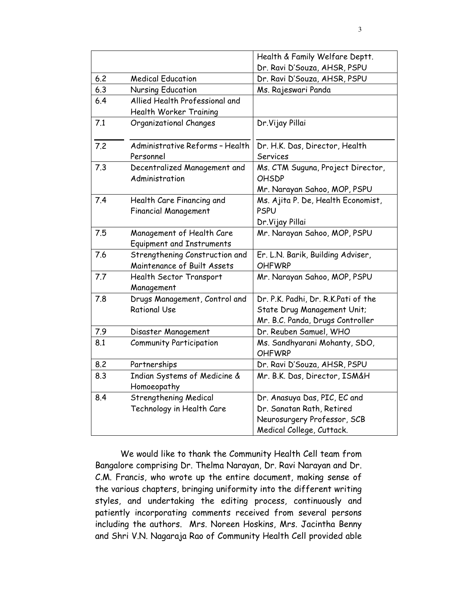|     |                                                                 | Health & Family Welfare Deptt.                                                                                        |
|-----|-----------------------------------------------------------------|-----------------------------------------------------------------------------------------------------------------------|
|     |                                                                 | Dr. Ravi D'Souza, AHSR, PSPU                                                                                          |
| 6.2 | <b>Medical Education</b>                                        | Dr. Ravi D'Souza, AHSR, PSPU                                                                                          |
| 6.3 | Nursing Education                                               | Ms. Rajeswari Panda                                                                                                   |
| 6.4 | Allied Health Professional and<br><b>Health Worker Training</b> |                                                                                                                       |
| 7.1 | Organizational Changes                                          | Dr. Vijay Pillai                                                                                                      |
| 7.2 | Administrative Reforms - Health<br>Personnel                    | Dr. H.K. Das, Director, Health<br><b>Services</b>                                                                     |
| 7.3 | Decentralized Management and<br>Administration                  | Ms. CTM Suguna, Project Director,<br><b>OHSDP</b><br>Mr. Narayan Sahoo, MOP, PSPU                                     |
| 7.4 | Health Care Financing and<br><b>Financial Management</b>        | Ms. Ajita P. De, Health Economist,<br><b>PSPU</b><br>Dr. Vijay Pillai                                                 |
| 7.5 | Management of Health Care<br><b>Equipment and Instruments</b>   | Mr. Narayan Sahoo, MOP, PSPU                                                                                          |
| 7.6 | Strengthening Construction and<br>Maintenance of Built Assets   | Er. L.N. Barik, Building Adviser,<br><b>OHFWRP</b>                                                                    |
| 7.7 | Health Sector Transport<br>Management                           | Mr. Narayan Sahoo, MOP, PSPU                                                                                          |
| 7.8 | Drugs Management, Control and<br><b>Rational Use</b>            | Dr. P.K. Padhi, Dr. R.K.Pati of the<br>State Drug Management Unit;<br>Mr. B.C. Panda, Drugs Controller                |
| 7.9 | Disaster Management                                             | Dr. Reuben Samuel, WHO                                                                                                |
| 8.1 | <b>Community Participation</b>                                  | Ms. Sandhyarani Mohanty, SDO,<br><b>OHFWRP</b>                                                                        |
| 8.2 | Partnerships                                                    | Dr. Ravi D'Souza, AHSR, PSPU                                                                                          |
| 8.3 | Indian Systems of Medicine &<br>Homoeopathy                     | Mr. B.K. Das, Director, ISM&H                                                                                         |
| 8.4 | <b>Strengthening Medical</b><br>Technology in Health Care       | Dr. Anasuya Das, PIC, EC and<br>Dr. Sanatan Rath, Retired<br>Neurosurgery Professor, SCB<br>Medical College, Cuttack. |

We would like to thank the Community Health Cell team from Bangalore comprising Dr. Thelma Narayan, Dr. Ravi Narayan and Dr. C.M. Francis, who wrote up the entire document, making sense of the various chapters, bringing uniformity into the different writing styles, and undertaking the editing process, continuously and patiently incorporating comments received from several persons including the authors. Mrs. Noreen Hoskins, Mrs. Jacintha Benny and Shri V.N. Nagaraja Rao of Community Health Cell provided able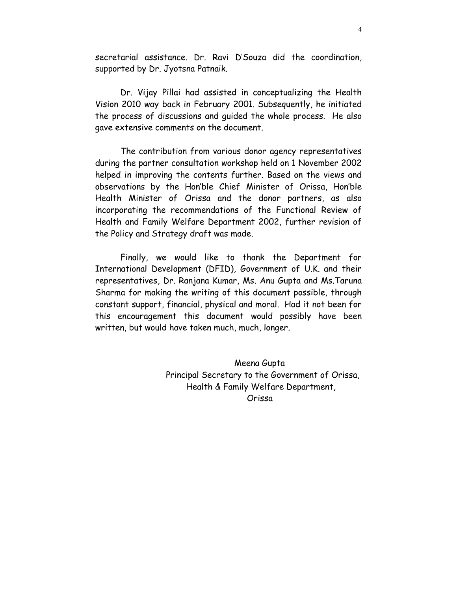secretarial assistance. Dr. Ravi D'Souza did the coordination, supported by Dr. Jyotsna Patnaik.

Dr. Vijay Pillai had assisted in conceptualizing the Health Vision 2010 way back in February 2001. Subsequently, he initiated the process of discussions and quided the whole process. He also gave extensive comments on the document.

The contribution from various donor agency representatives during the partner consultation workshop held on 1 November 2002 helped in improving the contents further. Based on the views and observations by the Hon'ble Chief Minister of Orissa, Hon'ble Health Minister of Orissa and the donor partners, as also incorporating the recommendations of the Functional Review of Health and Family Welfare Department 2002, further revision of the Policy and Strategy draft was made.

Finally, we would like to thank the Department for International Development (DFID), Government of U.K. and their representatives, Dr. Ranjana Kumar, Ms. Anu Gupta and Ms. Taruna Sharma for making the writing of this document possible, through constant support, financial, physical and moral. Had it not been for this encouragement this document would possibly have been written, but would have taken much, much, longer.

> Meena Gupta Principal Secretary to the Government of Orissa, Health & Family Welfare Department, Orissa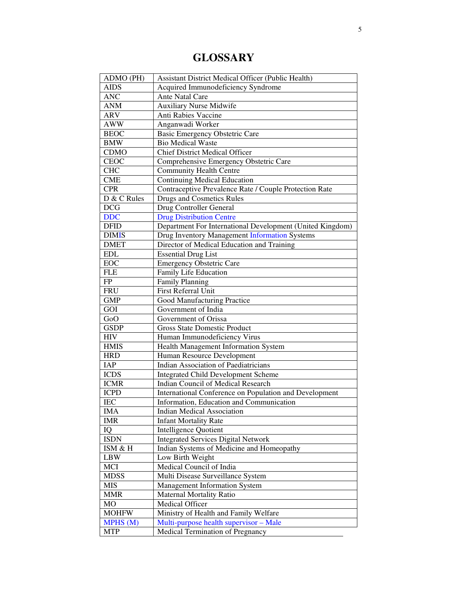# **GLOSSARY**

| ADMO (PH)       | <b>Assistant District Medical Officer (Public Health)</b> |
|-----------------|-----------------------------------------------------------|
| <b>AIDS</b>     | Acquired Immunodeficiency Syndrome                        |
| <b>ANC</b>      | Ante Natal Care                                           |
| <b>ANM</b>      | <b>Auxiliary Nurse Midwife</b>                            |
| <b>ARV</b>      | Anti Rabies Vaccine                                       |
| <b>AWW</b>      | Anganwadi Worker                                          |
| <b>BEOC</b>     | <b>Basic Emergency Obstetric Care</b>                     |
| <b>BMW</b>      | <b>Bio Medical Waste</b>                                  |
| <b>CDMO</b>     | <b>Chief District Medical Officer</b>                     |
| <b>CEOC</b>     | Comprehensive Emergency Obstetric Care                    |
| <b>CHC</b>      | <b>Community Health Centre</b>                            |
| <b>CME</b>      | <b>Continuing Medical Education</b>                       |
| <b>CPR</b>      | Contraceptive Prevalence Rate / Couple Protection Rate    |
| D & C Rules     | <b>Drugs and Cosmetics Rules</b>                          |
| <b>DCG</b>      | Drug Controller General                                   |
| <b>DDC</b>      | <b>Drug Distribution Centre</b>                           |
| <b>DFID</b>     | Department For International Development (United Kingdom) |
| <b>DIMIS</b>    | Drug Inventory Management Information Systems             |
| <b>DMET</b>     | Director of Medical Education and Training                |
| <b>EDL</b>      | <b>Essential Drug List</b>                                |
| EOC             | <b>Emergency Obstetric Care</b>                           |
| <b>FLE</b>      | Family Life Education                                     |
| FP              | <b>Family Planning</b>                                    |
| <b>FRU</b>      | First Referral Unit                                       |
| <b>GMP</b>      | <b>Good Manufacturing Practice</b>                        |
| GOI             | Government of India                                       |
| GoO             | Government of Orissa                                      |
| <b>GSDP</b>     | <b>Gross State Domestic Product</b>                       |
| <b>HIV</b>      | Human Immunodeficiency Virus                              |
| <b>HMIS</b>     | Health Management Information System                      |
| <b>HRD</b>      | Human Resource Development                                |
| IAP             | <b>Indian Association of Paediatricians</b>               |
| <b>ICDS</b>     | <b>Integrated Child Development Scheme</b>                |
| <b>ICMR</b>     | <b>Indian Council of Medical Research</b>                 |
| <b>ICPD</b>     | International Conference on Population and Development    |
| <b>IEC</b>      | Information, Education and Communication                  |
| IMA             | Indian Medical Association                                |
| <b>IMR</b>      | <b>Infant Mortality Rate</b>                              |
| IQ              | <b>Intelligence Quotient</b>                              |
| <b>ISDN</b>     | <b>Integrated Services Digital Network</b>                |
| ISM & H         | Indian Systems of Medicine and Homeopathy                 |
| <b>LBW</b>      | Low Birth Weight                                          |
| MCI             | Medical Council of India                                  |
| <b>MDSS</b>     | Multi Disease Surveillance System                         |
| <b>MIS</b>      | <b>Management Information System</b>                      |
| <b>MMR</b>      | <b>Maternal Mortality Ratio</b>                           |
| MO              | Medical Officer                                           |
| <b>MOHFW</b>    | Ministry of Health and Family Welfare                     |
| <b>MPHS</b> (M) | Multi-purpose health supervisor - Male                    |
| <b>MTP</b>      | <b>Medical Termination of Pregnancy</b>                   |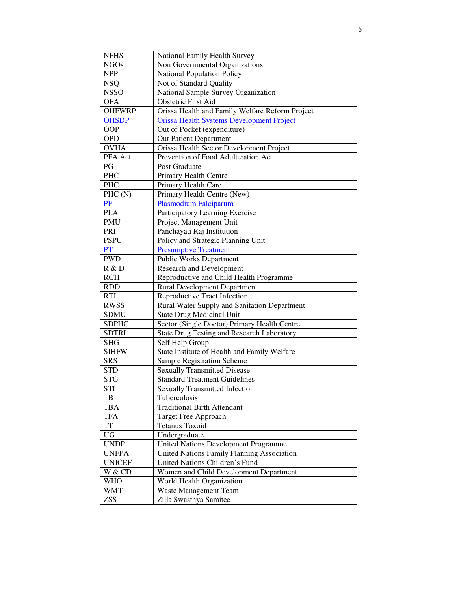| <b>NFHS</b>   | National Family Health Survey                     |
|---------------|---------------------------------------------------|
| <b>NGOs</b>   | Non Governmental Organizations                    |
| <b>NPP</b>    | <b>National Population Policy</b>                 |
| <b>NSQ</b>    | Not of Standard Quality                           |
| <b>NSSO</b>   | National Sample Survey Organization               |
| <b>OFA</b>    | <b>Obstetric First Aid</b>                        |
| <b>OHFWRP</b> | Orissa Health and Family Welfare Reform Project   |
| <b>OHSDP</b>  | <b>Orissa Health Systems Development Project</b>  |
| OOP           | Out of Pocket (expenditure)                       |
| <b>OPD</b>    | <b>Out Patient Department</b>                     |
| <b>OVHA</b>   | Orissa Health Sector Development Project          |
| PFA Act       | Prevention of Food Adulteration Act               |
| PG            | Post Graduate                                     |
| PHC           | Primary Health Centre                             |
| PHC           | Primary Health Care                               |
| PHC(N)        | Primary Health Centre (New)                       |
| PF            | <b>Plasmodium Falciparum</b>                      |
| <b>PLA</b>    | Participatory Learning Exercise                   |
| PMU           | Project Management Unit                           |
| PRI           | Panchayati Raj Institution                        |
| <b>PSPU</b>   | Policy and Strategic Planning Unit                |
| PT            | <b>Presumptive Treatment</b>                      |
| <b>PWD</b>    | <b>Public Works Department</b>                    |
| R & D         | <b>Research and Development</b>                   |
| <b>RCH</b>    | Reproductive and Child Health Programme           |
| <b>RDD</b>    | <b>Rural Development Department</b>               |
| <b>RTI</b>    | <b>Reproductive Tract Infection</b>               |
| <b>RWSS</b>   | Rural Water Supply and Sanitation Department      |
| <b>SDMU</b>   | <b>State Drug Medicinal Unit</b>                  |
| <b>SDPHC</b>  | Sector (Single Doctor) Primary Health Centre      |
| <b>SDTRL</b>  | <b>State Drug Testing and Research Laboratory</b> |
| <b>SHG</b>    | Self Help Group                                   |
| <b>SIHFW</b>  | State Institute of Health and Family Welfare      |
| <b>SRS</b>    | Sample Registration Scheme                        |
| <b>STD</b>    | <b>Sexually Transmitted Disease</b>               |
| <b>STG</b>    | <b>Standard Treatment Guidelines</b>              |
| <b>STI</b>    | <b>Sexually Transmitted Infection</b>             |
| TB            | Tuberculosis                                      |
| <b>TBA</b>    | <b>Traditional Birth Attendant</b>                |
| <b>TFA</b>    | Target Free Approach                              |
| <b>TT</b>     | <b>Tetanus Toxoid</b>                             |
| <b>UG</b>     | Undergraduate                                     |
| <b>UNDP</b>   | <b>United Nations Development Programme</b>       |
| <b>UNFPA</b>  | United Nations Family Planning Association        |
| <b>UNICEF</b> | United Nations Children's Fund                    |
| W & CD        | Women and Child Development Department            |
| <b>WHO</b>    | World Health Organization                         |
| <b>WMT</b>    | Waste Management Team                             |
| <b>ZSS</b>    | Zilla Swasthya Samitee                            |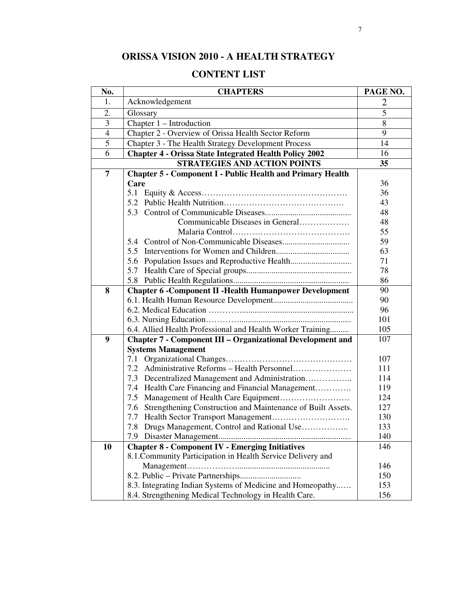# **ORISSA VISION 2010 - A HEALTH STRATEGY**

## **CONTENT LIST**

| No.            | <b>CHAPTERS</b>                                                    | PAGE NO. |
|----------------|--------------------------------------------------------------------|----------|
| 1.             | Acknowledgement                                                    | 2        |
| 2.             | Glossary                                                           | 5        |
| 3              | Chapter 1 – Introduction                                           | 8        |
| $\overline{4}$ | Chapter 2 - Overview of Orissa Health Sector Reform                | 9        |
| $\overline{5}$ | Chapter 3 - The Health Strategy Development Process                | 14       |
| 6              | <b>Chapter 4 - Orissa State Integrated Health Policy 2002</b>      | 16       |
|                | <b>STRATEGIES AND ACTION POINTS</b>                                |          |
| $\overline{7}$ | <b>Chapter 5 - Component I - Public Health and Primary Health</b>  |          |
|                | Care                                                               | 36       |
|                |                                                                    | 36       |
|                |                                                                    | 43       |
|                |                                                                    | 48       |
|                | Communicable Diseases in General                                   | 48       |
|                |                                                                    | 55       |
|                |                                                                    | 59       |
|                |                                                                    | 63       |
|                | 5.6 Population Issues and Reproductive Health                      | 71       |
|                |                                                                    | 78       |
|                |                                                                    | 86       |
| 8              | <b>Chapter 6 - Component II - Health Humanpower Development</b>    | 90       |
|                |                                                                    | 90       |
|                |                                                                    | 96       |
|                |                                                                    | 101      |
|                | 6.4. Allied Health Professional and Health Worker Training         | 105      |
| 9              | <b>Chapter 7 - Component III - Organizational Development and</b>  | 107      |
|                | <b>Systems Management</b>                                          |          |
|                | 7.1                                                                | 107      |
|                | 7.2                                                                | 111      |
|                | Decentralized Management and Administration<br>7.3                 | 114      |
|                | 7.4 Health Care Financing and Financial Management                 | 119      |
|                |                                                                    | 124      |
|                | Strengthening Construction and Maintenance of Built Assets.<br>7.6 | 127      |
|                |                                                                    | 130      |
|                | Drugs Management, Control and Rational Use<br>7.8                  | 133      |
|                | 7.9                                                                | 140      |
| 10             | <b>Chapter 8 - Component IV - Emerging Initiatives</b>             | 146      |
|                | 8.1. Community Participation in Health Service Delivery and        |          |
|                |                                                                    | 146      |
|                |                                                                    | 150      |
|                | 8.3. Integrating Indian Systems of Medicine and Homeopathy         | 153      |
|                | 8.4. Strengthening Medical Technology in Health Care.              | 156      |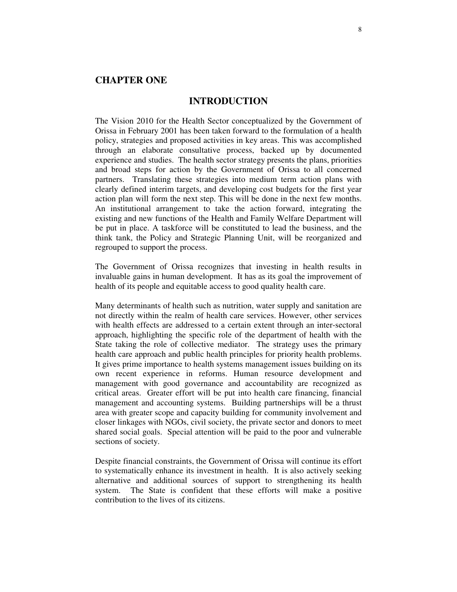#### **CHAPTER ONE**

#### **INTRODUCTION**

The Vision 2010 for the Health Sector conceptualized by the Government of Orissa in February 2001 has been taken forward to the formulation of a health policy, strategies and proposed activities in key areas. This was accomplished through an elaborate consultative process, backed up by documented experience and studies. The health sector strategy presents the plans, priorities and broad steps for action by the Government of Orissa to all concerned partners. Translating these strategies into medium term action plans with clearly defined interim targets, and developing cost budgets for the first year action plan will form the next step. This will be done in the next few months. An institutional arrangement to take the action forward, integrating the existing and new functions of the Health and Family Welfare Department will be put in place. A taskforce will be constituted to lead the business, and the think tank, the Policy and Strategic Planning Unit, will be reorganized and regrouped to support the process.

The Government of Orissa recognizes that investing in health results in invaluable gains in human development. It has as its goal the improvement of health of its people and equitable access to good quality health care.

Many determinants of health such as nutrition, water supply and sanitation are not directly within the realm of health care services. However, other services with health effects are addressed to a certain extent through an inter-sectoral approach, highlighting the specific role of the department of health with the State taking the role of collective mediator. The strategy uses the primary health care approach and public health principles for priority health problems. It gives prime importance to health systems management issues building on its own recent experience in reforms. Human resource development and management with good governance and accountability are recognized as critical areas. Greater effort will be put into health care financing, financial management and accounting systems. Building partnerships will be a thrust area with greater scope and capacity building for community involvement and closer linkages with NGOs, civil society, the private sector and donors to meet shared social goals. Special attention will be paid to the poor and vulnerable sections of society.

Despite financial constraints, the Government of Orissa will continue its effort to systematically enhance its investment in health. It is also actively seeking alternative and additional sources of support to strengthening its health system. The State is confident that these efforts will make a positive contribution to the lives of its citizens.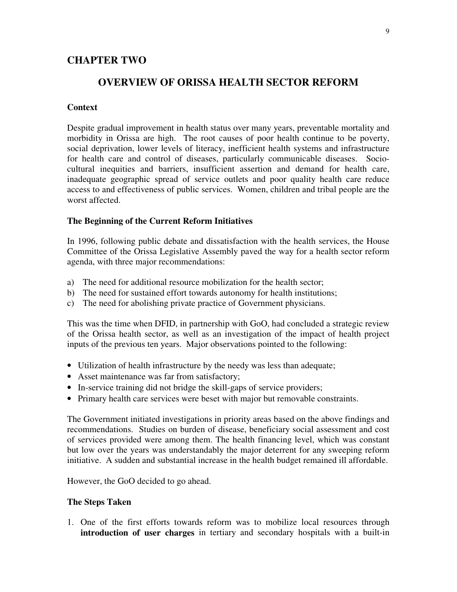### **CHAPTER TWO**

#### **OVERVIEW OF ORISSA HEALTH SECTOR REFORM**

#### **Context**

Despite gradual improvement in health status over many years, preventable mortality and morbidity in Orissa are high. The root causes of poor health continue to be poverty, social deprivation, lower levels of literacy, inefficient health systems and infrastructure for health care and control of diseases, particularly communicable diseases. Sociocultural inequities and barriers, insufficient assertion and demand for health care, inadequate geographic spread of service outlets and poor quality health care reduce access to and effectiveness of public services. Women, children and tribal people are the worst affected.

#### **The Beginning of the Current Reform Initiatives**

In 1996, following public debate and dissatisfaction with the health services, the House Committee of the Orissa Legislative Assembly paved the way for a health sector reform agenda, with three major recommendations:

- a) The need for additional resource mobilization for the health sector;
- b) The need for sustained effort towards autonomy for health institutions;
- c) The need for abolishing private practice of Government physicians.

This was the time when DFID, in partnership with GoO, had concluded a strategic review of the Orissa health sector, as well as an investigation of the impact of health project inputs of the previous ten years. Major observations pointed to the following:

- Utilization of health infrastructure by the needy was less than adequate;
- Asset maintenance was far from satisfactory;
- In-service training did not bridge the skill-gaps of service providers;
- Primary health care services were beset with major but removable constraints.

The Government initiated investigations in priority areas based on the above findings and recommendations. Studies on burden of disease, beneficiary social assessment and cost of services provided were among them. The health financing level, which was constant but low over the years was understandably the major deterrent for any sweeping reform initiative. A sudden and substantial increase in the health budget remained ill affordable.

However, the GoO decided to go ahead.

#### **The Steps Taken**

1. One of the first efforts towards reform was to mobilize local resources through **introduction of user charges** in tertiary and secondary hospitals with a built-in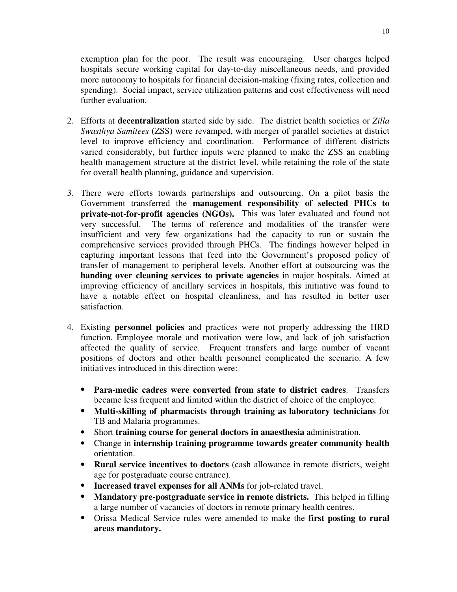exemption plan for the poor. The result was encouraging. User charges helped hospitals secure working capital for day-to-day miscellaneous needs, and provided more autonomy to hospitals for financial decision-making (fixing rates, collection and spending). Social impact, service utilization patterns and cost effectiveness will need further evaluation.

- 2. Efforts at **decentralization** started side by side. The district health societies or *Zilla Swasthya Samitees* (ZSS) were revamped, with merger of parallel societies at district level to improve efficiency and coordination. Performance of different districts varied considerably, but further inputs were planned to make the ZSS an enabling health management structure at the district level, while retaining the role of the state for overall health planning, guidance and supervision.
- 3. There were efforts towards partnerships and outsourcing. On a pilot basis the Government transferred the **management responsibility of selected PHCs to private-not-for-profit agencies (NGOs).** This was later evaluated and found not very successful. The terms of reference and modalities of the transfer were insufficient and very few organizations had the capacity to run or sustain the comprehensive services provided through PHCs. The findings however helped in capturing important lessons that feed into the Government's proposed policy of transfer of management to peripheral levels. Another effort at outsourcing was the **handing over cleaning services to private agencies** in major hospitals. Aimed at improving efficiency of ancillary services in hospitals, this initiative was found to have a notable effect on hospital cleanliness, and has resulted in better user satisfaction.
- 4. Existing **personnel policies** and practices were not properly addressing the HRD function. Employee morale and motivation were low, and lack of job satisfaction affected the quality of service. Frequent transfers and large number of vacant positions of doctors and other health personnel complicated the scenario. A few initiatives introduced in this direction were:
	- **Para-medic cadres were converted from state to district cadres**. Transfers became less frequent and limited within the district of choice of the employee.
	- **Multi-skilling of pharmacists through training as laboratory technicians** for TB and Malaria programmes.
	- Short **training course for general doctors in anaesthesia** administration.
	- Change in **internship training programme towards greater community health** orientation.
	- **Rural service incentives to doctors** (cash allowance in remote districts, weight age for postgraduate course entrance).
	- **Increased travel expenses for all ANMs** for job-related travel.
	- **Mandatory pre-postgraduate service in remote districts.** This helped in filling a large number of vacancies of doctors in remote primary health centres.
	- Orissa Medical Service rules were amended to make the **first posting to rural areas mandatory.**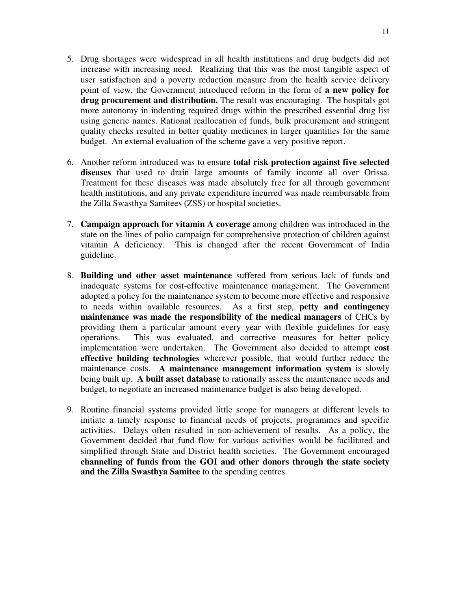- 5. Drug shortages were widespread in all health institutions and drug budgets did not increase with increasing need. Realizing that this was the most tangible aspect of user satisfaction and a poverty reduction measure from the health service delivery point of view, the Government introduced reform in the form of **a new policy for drug procurement and distribution.** The result was encouraging. The hospitals got more autonomy in indenting required drugs within the prescribed essential drug list using generic names. Rational reallocation of funds, bulk procurement and stringent quality checks resulted in better quality medicines in larger quantities for the same budget. An external evaluation of the scheme gave a very positive report.
- 6. Another reform introduced was to ensure **total risk protection against five selected diseases** that used to drain large amounts of family income all over Orissa. Treatment for these diseases was made absolutely free for all through government health institutions, and any private expenditure incurred was made reimbursable from the Zilla Swasthya Samitees (ZSS) or hospital societies.
- 7. **Campaign approach for vitamin A coverage** among children was introduced in the state on the lines of polio campaign for comprehensive protection of children against vitamin A deficiency. This is changed after the recent Government of India guideline.
- 8. **Building and other asset maintenance** suffered from serious lack of funds and inadequate systems for cost-effective maintenance management. The Government adopted a policy for the maintenance system to become more effective and responsive to needs within available resources. As a first step, **petty and contingency maintenance was made the responsibility of the medical managers** of CHCs by providing them a particular amount every year with flexible guidelines for easy operations. This was evaluated, and corrective measures for better policy implementation were undertaken. The Government also decided to attempt **cost effective building technologies** wherever possible, that would further reduce the maintenance costs. **A maintenance management information system** is slowly being built up. **A built asset database** to rationally assess the maintenance needs and budget, to negotiate an increased maintenance budget is also being developed.
- 9. Routine financial systems provided little scope for managers at different levels to initiate a timely response to financial needs of projects, programmes and specific activities. Delays often resulted in non-achievement of results. As a policy, the Government decided that fund flow for various activities would be facilitated and simplified through State and District health societies. The Government encouraged **channeling of funds from the GOI and other donors through the state society and the Zilla Swasthya Samitee** to the spending centres.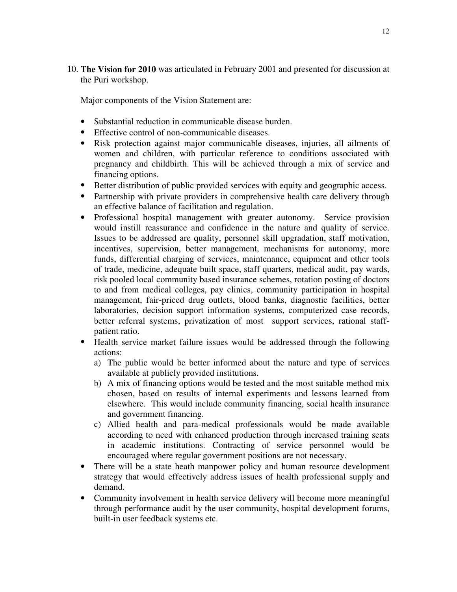10. **The Vision for 2010** was articulated in February 2001 and presented for discussion at the Puri workshop.

Major components of the Vision Statement are:

- Substantial reduction in communicable disease burden.
- Effective control of non-communicable diseases.
- Risk protection against major communicable diseases, injuries, all ailments of women and children, with particular reference to conditions associated with pregnancy and childbirth. This will be achieved through a mix of service and financing options.
- Better distribution of public provided services with equity and geographic access.
- Partnership with private providers in comprehensive health care delivery through an effective balance of facilitation and regulation.
- Professional hospital management with greater autonomy. Service provision would instill reassurance and confidence in the nature and quality of service. Issues to be addressed are quality, personnel skill upgradation, staff motivation, incentives, supervision, better management, mechanisms for autonomy, more funds, differential charging of services, maintenance, equipment and other tools of trade, medicine, adequate built space, staff quarters, medical audit, pay wards, risk pooled local community based insurance schemes, rotation posting of doctors to and from medical colleges, pay clinics, community participation in hospital management, fair-priced drug outlets, blood banks, diagnostic facilities, better laboratories, decision support information systems, computerized case records, better referral systems, privatization of most support services, rational staffpatient ratio.
- Health service market failure issues would be addressed through the following actions:
	- a) The public would be better informed about the nature and type of services available at publicly provided institutions.
	- b) A mix of financing options would be tested and the most suitable method mix chosen, based on results of internal experiments and lessons learned from elsewhere. This would include community financing, social health insurance and government financing.
	- c) Allied health and para-medical professionals would be made available according to need with enhanced production through increased training seats in academic institutions. Contracting of service personnel would be encouraged where regular government positions are not necessary.
- There will be a state heath manpower policy and human resource development strategy that would effectively address issues of health professional supply and demand.
- Community involvement in health service delivery will become more meaningful through performance audit by the user community, hospital development forums, built-in user feedback systems etc.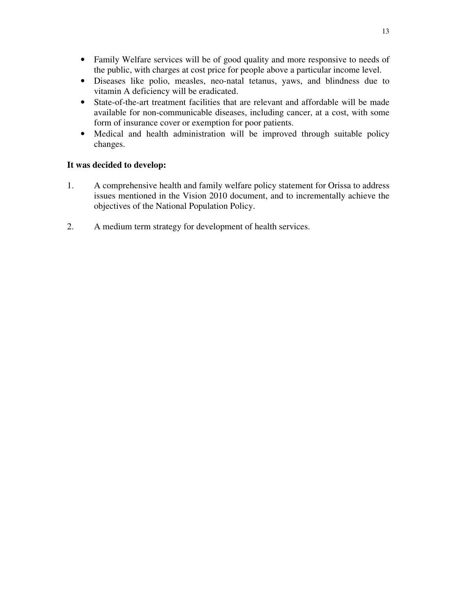- Family Welfare services will be of good quality and more responsive to needs of the public, with charges at cost price for people above a particular income level.
- Diseases like polio, measles, neo-natal tetanus, yaws, and blindness due to vitamin A deficiency will be eradicated.
- State-of-the-art treatment facilities that are relevant and affordable will be made available for non-communicable diseases, including cancer, at a cost, with some form of insurance cover or exemption for poor patients.
- Medical and health administration will be improved through suitable policy changes.

#### **It was decided to develop:**

- 1. A comprehensive health and family welfare policy statement for Orissa to address issues mentioned in the Vision 2010 document, and to incrementally achieve the objectives of the National Population Policy.
- 2. A medium term strategy for development of health services.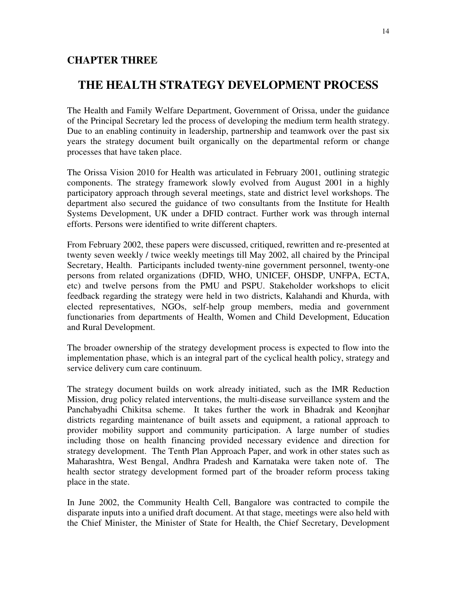#### **CHAPTER THREE**

# **THE HEALTH STRATEGY DEVELOPMENT PROCESS**

The Health and Family Welfare Department, Government of Orissa, under the guidance of the Principal Secretary led the process of developing the medium term health strategy. Due to an enabling continuity in leadership, partnership and teamwork over the past six years the strategy document built organically on the departmental reform or change processes that have taken place.

The Orissa Vision 2010 for Health was articulated in February 2001, outlining strategic components. The strategy framework slowly evolved from August 2001 in a highly participatory approach through several meetings, state and district level workshops. The department also secured the guidance of two consultants from the Institute for Health Systems Development, UK under a DFID contract. Further work was through internal efforts. Persons were identified to write different chapters.

From February 2002, these papers were discussed, critiqued, rewritten and re-presented at twenty seven weekly / twice weekly meetings till May 2002, all chaired by the Principal Secretary, Health. Participants included twenty-nine government personnel, twenty-one persons from related organizations (DFID, WHO, UNICEF, OHSDP, UNFPA, ECTA, etc) and twelve persons from the PMU and PSPU. Stakeholder workshops to elicit feedback regarding the strategy were held in two districts, Kalahandi and Khurda, with elected representatives, NGOs, self-help group members, media and government functionaries from departments of Health, Women and Child Development, Education and Rural Development.

The broader ownership of the strategy development process is expected to flow into the implementation phase, which is an integral part of the cyclical health policy, strategy and service delivery cum care continuum.

The strategy document builds on work already initiated, such as the IMR Reduction Mission, drug policy related interventions, the multi-disease surveillance system and the Panchabyadhi Chikitsa scheme. It takes further the work in Bhadrak and Keonjhar districts regarding maintenance of built assets and equipment, a rational approach to provider mobility support and community participation. A large number of studies including those on health financing provided necessary evidence and direction for strategy development. The Tenth Plan Approach Paper, and work in other states such as Maharashtra, West Bengal, Andhra Pradesh and Karnataka were taken note of. The health sector strategy development formed part of the broader reform process taking place in the state.

In June 2002, the Community Health Cell, Bangalore was contracted to compile the disparate inputs into a unified draft document. At that stage, meetings were also held with the Chief Minister, the Minister of State for Health, the Chief Secretary, Development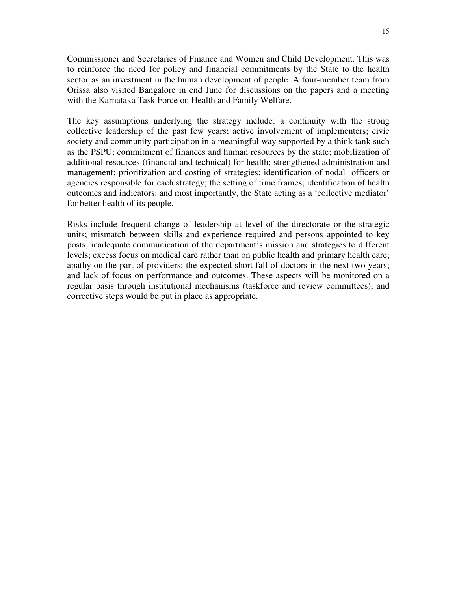Commissioner and Secretaries of Finance and Women and Child Development. This was to reinforce the need for policy and financial commitments by the State to the health sector as an investment in the human development of people. A four-member team from Orissa also visited Bangalore in end June for discussions on the papers and a meeting with the Karnataka Task Force on Health and Family Welfare.

The key assumptions underlying the strategy include: a continuity with the strong collective leadership of the past few years; active involvement of implementers; civic society and community participation in a meaningful way supported by a think tank such as the PSPU; commitment of finances and human resources by the state; mobilization of additional resources (financial and technical) for health; strengthened administration and management; prioritization and costing of strategies; identification of nodal officers or agencies responsible for each strategy; the setting of time frames; identification of health outcomes and indicators: and most importantly, the State acting as a 'collective mediator' for better health of its people.

Risks include frequent change of leadership at level of the directorate or the strategic units; mismatch between skills and experience required and persons appointed to key posts; inadequate communication of the department's mission and strategies to different levels; excess focus on medical care rather than on public health and primary health care; apathy on the part of providers; the expected short fall of doctors in the next two years; and lack of focus on performance and outcomes. These aspects will be monitored on a regular basis through institutional mechanisms (taskforce and review committees), and corrective steps would be put in place as appropriate.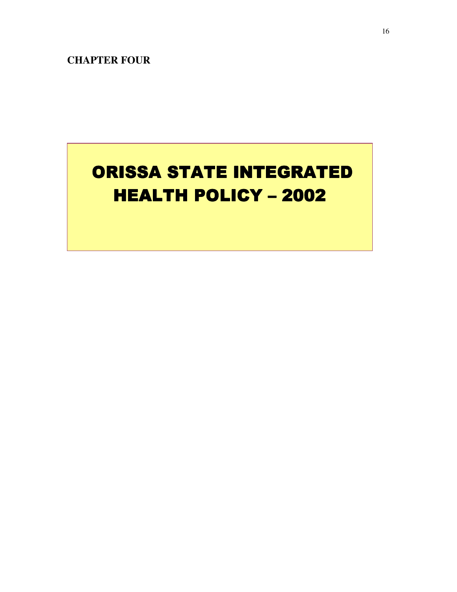**CHAPTER FOUR**

# **ORISSA STATE INTEGRATED** HEALTH POLICY - 2002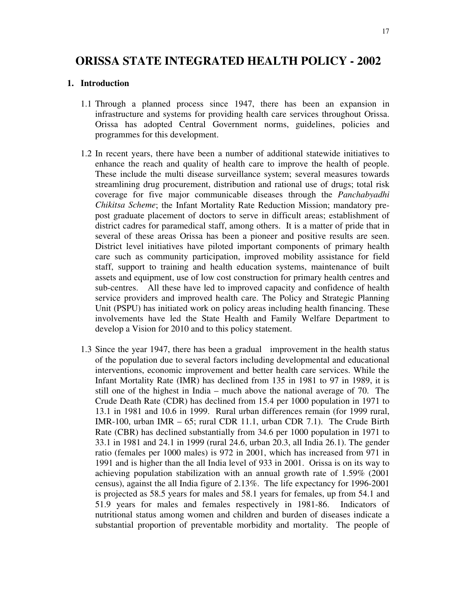# **ORISSA STATE INTEGRATED HEALTH POLICY - 2002**

#### **1. Introduction**

- 1.1 Through a planned process since 1947, there has been an expansion in infrastructure and systems for providing health care services throughout Orissa. Orissa has adopted Central Government norms, guidelines, policies and programmes for this development.
- 1.2 In recent years, there have been a number of additional statewide initiatives to enhance the reach and quality of health care to improve the health of people. These include the multi disease surveillance system; several measures towards streamlining drug procurement, distribution and rational use of drugs; total risk coverage for five major communicable diseases through the *Panchabyadhi Chikitsa Scheme*; the Infant Mortality Rate Reduction Mission; mandatory prepost graduate placement of doctors to serve in difficult areas; establishment of district cadres for paramedical staff, among others. It is a matter of pride that in several of these areas Orissa has been a pioneer and positive results are seen. District level initiatives have piloted important components of primary health care such as community participation, improved mobility assistance for field staff, support to training and health education systems, maintenance of built assets and equipment, use of low cost construction for primary health centres and sub-centres. All these have led to improved capacity and confidence of health service providers and improved health care. The Policy and Strategic Planning Unit (PSPU) has initiated work on policy areas including health financing. These involvements have led the State Health and Family Welfare Department to develop a Vision for 2010 and to this policy statement.
- 1.3 Since the year 1947, there has been a gradual improvement in the health status of the population due to several factors including developmental and educational interventions, economic improvement and better health care services. While the Infant Mortality Rate (IMR) has declined from 135 in 1981 to 97 in 1989, it is still one of the highest in India – much above the national average of 70. The Crude Death Rate (CDR) has declined from 15.4 per 1000 population in 1971 to 13.1 in 1981 and 10.6 in 1999. Rural urban differences remain (for 1999 rural, IMR-100, urban IMR – 65; rural CDR 11.1, urban CDR 7.1). The Crude Birth Rate (CBR) has declined substantially from 34.6 per 1000 population in 1971 to 33.1 in 1981 and 24.1 in 1999 (rural 24.6, urban 20.3, all India 26.1). The gender ratio (females per 1000 males) is 972 in 2001, which has increased from 971 in 1991 and is higher than the all India level of 933 in 2001. Orissa is on its way to achieving population stabilization with an annual growth rate of 1.59% (2001 census), against the all India figure of 2.13%. The life expectancy for 1996-2001 is projected as 58.5 years for males and 58.1 years for females, up from 54.1 and 51.9 years for males and females respectively in 1981-86. Indicators of nutritional status among women and children and burden of diseases indicate a substantial proportion of preventable morbidity and mortality. The people of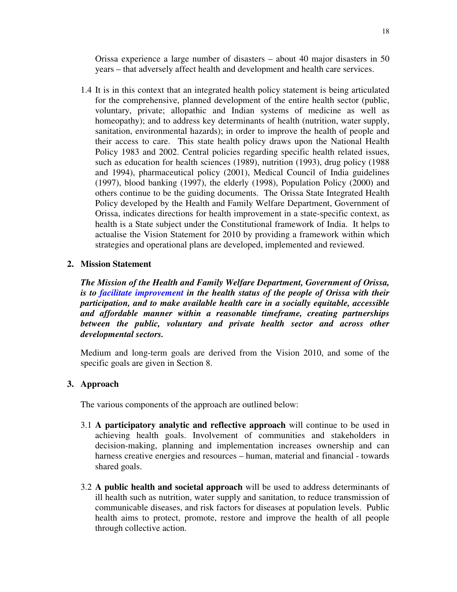Orissa experience a large number of disasters – about 40 major disasters in 50 years – that adversely affect health and development and health care services.

1.4 It is in this context that an integrated health policy statement is being articulated for the comprehensive, planned development of the entire health sector (public, voluntary, private; allopathic and Indian systems of medicine as well as homeopathy); and to address key determinants of health (nutrition, water supply, sanitation, environmental hazards); in order to improve the health of people and their access to care. This state health policy draws upon the National Health Policy 1983 and 2002. Central policies regarding specific health related issues, such as education for health sciences (1989), nutrition (1993), drug policy (1988 and 1994), pharmaceutical policy (2001), Medical Council of India guidelines (1997), blood banking (1997), the elderly (1998), Population Policy (2000) and others continue to be the guiding documents. The Orissa State Integrated Health Policy developed by the Health and Family Welfare Department, Government of Orissa, indicates directions for health improvement in a state-specific context, as health is a State subject under the Constitutional framework of India. It helps to actualise the Vision Statement for 2010 by providing a framework within which strategies and operational plans are developed, implemented and reviewed.

#### **2. Mission Statement**

*The Mission of the Health and Family Welfare Department, Government of Orissa, is to facilitate improvement in the health status of the people of Orissa with their participation, and to make available health care in a socially equitable, accessible and affordable manner within a reasonable timeframe, creating partnerships between the public, voluntary and private health sector and across other developmental sectors.*

Medium and long-term goals are derived from the Vision 2010, and some of the specific goals are given in Section 8.

#### **3. Approach**

The various components of the approach are outlined below:

- 3.1 **A participatory analytic and reflective approach** will continue to be used in achieving health goals. Involvement of communities and stakeholders in decision-making, planning and implementation increases ownership and can harness creative energies and resources – human, material and financial - towards shared goals.
- 3.2 **A public health and societal approach** will be used to address determinants of ill health such as nutrition, water supply and sanitation, to reduce transmission of communicable diseases, and risk factors for diseases at population levels. Public health aims to protect, promote, restore and improve the health of all people through collective action.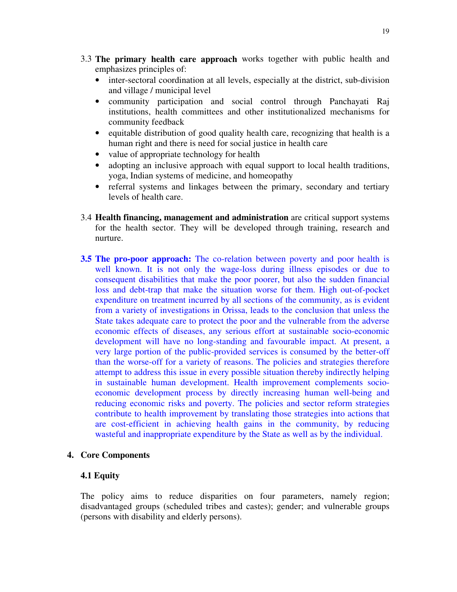- 3.3 **The primary health care approach** works together with public health and emphasizes principles of:
	- inter-sectoral coordination at all levels, especially at the district, sub-division and village / municipal level
	- community participation and social control through Panchayati Raj institutions, health committees and other institutionalized mechanisms for community feedback
	- equitable distribution of good quality health care, recognizing that health is a human right and there is need for social justice in health care
	- value of appropriate technology for health
	- adopting an inclusive approach with equal support to local health traditions, yoga, Indian systems of medicine, and homeopathy
	- referral systems and linkages between the primary, secondary and tertiary levels of health care.
- 3.4 **Health financing, management and administration** are critical support systems for the health sector. They will be developed through training, research and nurture.
- **3.5 The pro-poor approach:** The co-relation between poverty and poor health is well known. It is not only the wage-loss during illness episodes or due to consequent disabilities that make the poor poorer, but also the sudden financial loss and debt-trap that make the situation worse for them. High out-of-pocket expenditure on treatment incurred by all sections of the community, as is evident from a variety of investigations in Orissa, leads to the conclusion that unless the State takes adequate care to protect the poor and the vulnerable from the adverse economic effects of diseases, any serious effort at sustainable socio-economic development will have no long-standing and favourable impact. At present, a very large portion of the public-provided services is consumed by the better-off than the worse-off for a variety of reasons. The policies and strategies therefore attempt to address this issue in every possible situation thereby indirectly helping in sustainable human development. Health improvement complements socioeconomic development process by directly increasing human well-being and reducing economic risks and poverty. The policies and sector reform strategies contribute to health improvement by translating those strategies into actions that are cost-efficient in achieving health gains in the community, by reducing wasteful and inappropriate expenditure by the State as well as by the individual.

#### **4. Core Components**

#### **4.1 Equity**

The policy aims to reduce disparities on four parameters, namely region; disadvantaged groups (scheduled tribes and castes); gender; and vulnerable groups (persons with disability and elderly persons).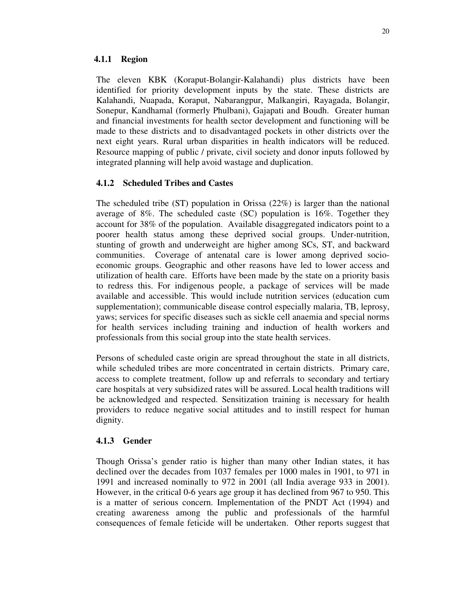#### **4.1.1 Region**

The eleven KBK (Koraput-Bolangir-Kalahandi) plus districts have been identified for priority development inputs by the state. These districts are Kalahandi, Nuapada, Koraput, Nabarangpur, Malkangiri, Rayagada, Bolangir, Sonepur, Kandhamal (formerly Phulbani), Gajapati and Boudh. Greater human and financial investments for health sector development and functioning will be made to these districts and to disadvantaged pockets in other districts over the next eight years. Rural urban disparities in health indicators will be reduced. Resource mapping of public / private, civil society and donor inputs followed by integrated planning will help avoid wastage and duplication.

#### **4.1.2 Scheduled Tribes and Castes**

The scheduled tribe (ST) population in Orissa (22%) is larger than the national average of 8%. The scheduled caste (SC) population is 16%. Together they account for 38% of the population. Available disaggregated indicators point to a poorer health status among these deprived social groups. Under-nutrition, stunting of growth and underweight are higher among SCs, ST, and backward communities. Coverage of antenatal care is lower among deprived socioeconomic groups. Geographic and other reasons have led to lower access and utilization of health care. Efforts have been made by the state on a priority basis to redress this. For indigenous people, a package of services will be made available and accessible. This would include nutrition services (education cum supplementation); communicable disease control especially malaria, TB, leprosy, yaws; services for specific diseases such as sickle cell anaemia and special norms for health services including training and induction of health workers and professionals from this social group into the state health services.

Persons of scheduled caste origin are spread throughout the state in all districts, while scheduled tribes are more concentrated in certain districts. Primary care, access to complete treatment, follow up and referrals to secondary and tertiary care hospitals at very subsidized rates will be assured. Local health traditions will be acknowledged and respected. Sensitization training is necessary for health providers to reduce negative social attitudes and to instill respect for human dignity.

#### **4.1.3 Gender**

Though Orissa's gender ratio is higher than many other Indian states, it has declined over the decades from 1037 females per 1000 males in 1901, to 971 in 1991 and increased nominally to 972 in 2001 (all India average 933 in 2001). However, in the critical 0-6 years age group it has declined from 967 to 950. This is a matter of serious concern. Implementation of the PNDT Act (1994) and creating awareness among the public and professionals of the harmful consequences of female feticide will be undertaken. Other reports suggest that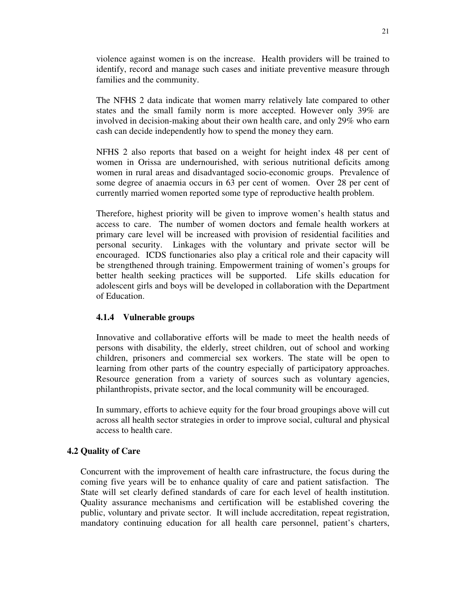violence against women is on the increase. Health providers will be trained to identify, record and manage such cases and initiate preventive measure through families and the community.

The NFHS 2 data indicate that women marry relatively late compared to other states and the small family norm is more accepted. However only 39% are involved in decision-making about their own health care, and only 29% who earn cash can decide independently how to spend the money they earn.

NFHS 2 also reports that based on a weight for height index 48 per cent of women in Orissa are undernourished, with serious nutritional deficits among women in rural areas and disadvantaged socio-economic groups. Prevalence of some degree of anaemia occurs in 63 per cent of women. Over 28 per cent of currently married women reported some type of reproductive health problem.

Therefore, highest priority will be given to improve women's health status and access to care. The number of women doctors and female health workers at primary care level will be increased with provision of residential facilities and personal security. Linkages with the voluntary and private sector will be encouraged. ICDS functionaries also play a critical role and their capacity will be strengthened through training. Empowerment training of women's groups for better health seeking practices will be supported. Life skills education for adolescent girls and boys will be developed in collaboration with the Department of Education.

#### **4.1.4 Vulnerable groups**

Innovative and collaborative efforts will be made to meet the health needs of persons with disability, the elderly, street children, out of school and working children, prisoners and commercial sex workers. The state will be open to learning from other parts of the country especially of participatory approaches. Resource generation from a variety of sources such as voluntary agencies, philanthropists, private sector, and the local community will be encouraged.

In summary, efforts to achieve equity for the four broad groupings above will cut across all health sector strategies in order to improve social, cultural and physical access to health care.

#### **4.2 Quality of Care**

Concurrent with the improvement of health care infrastructure, the focus during the coming five years will be to enhance quality of care and patient satisfaction. The State will set clearly defined standards of care for each level of health institution. Quality assurance mechanisms and certification will be established covering the public, voluntary and private sector. It will include accreditation, repeat registration, mandatory continuing education for all health care personnel, patient's charters,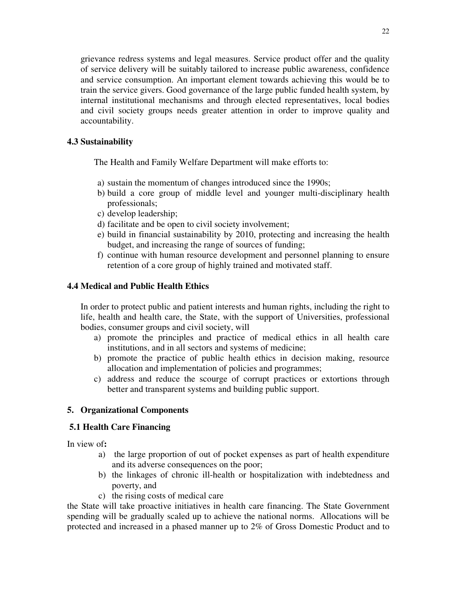grievance redress systems and legal measures. Service product offer and the quality of service delivery will be suitably tailored to increase public awareness, confidence and service consumption. An important element towards achieving this would be to train the service givers. Good governance of the large public funded health system, by internal institutional mechanisms and through elected representatives, local bodies and civil society groups needs greater attention in order to improve quality and accountability.

#### **4.3 Sustainability**

The Health and Family Welfare Department will make efforts to:

- a) sustain the momentum of changes introduced since the 1990s;
- b) build a core group of middle level and younger multi-disciplinary health professionals;
- c) develop leadership;
- d) facilitate and be open to civil society involvement;
- e) build in financial sustainability by 2010, protecting and increasing the health budget, and increasing the range of sources of funding;
- f) continue with human resource development and personnel planning to ensure retention of a core group of highly trained and motivated staff.

#### **4.4 Medical and Public Health Ethics**

In order to protect public and patient interests and human rights, including the right to life, health and health care, the State, with the support of Universities, professional bodies, consumer groups and civil society, will

- a) promote the principles and practice of medical ethics in all health care institutions, and in all sectors and systems of medicine;
- b) promote the practice of public health ethics in decision making, resource allocation and implementation of policies and programmes;
- c) address and reduce the scourge of corrupt practices or extortions through better and transparent systems and building public support.

#### **5. Organizational Components**

#### **5.1 Health Care Financing**

In view of**:**

- a) the large proportion of out of pocket expenses as part of health expenditure and its adverse consequences on the poor;
- b) the linkages of chronic ill-health or hospitalization with indebtedness and poverty, and
- c) the rising costs of medical care

the State will take proactive initiatives in health care financing. The State Government spending will be gradually scaled up to achieve the national norms. Allocations will be protected and increased in a phased manner up to 2% of Gross Domestic Product and to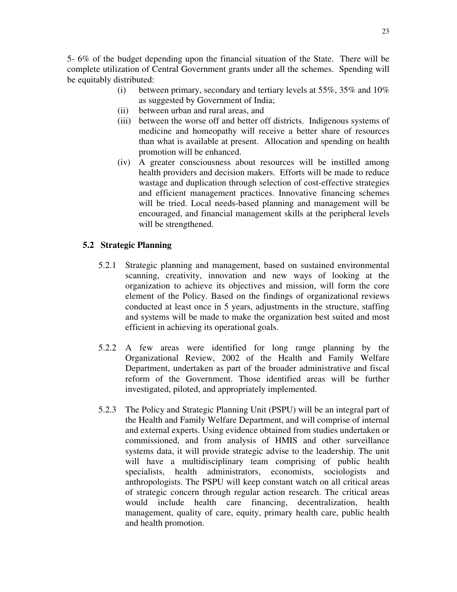5- 6% of the budget depending upon the financial situation of the State. There will be complete utilization of Central Government grants under all the schemes. Spending will be equitably distributed:

- (i) between primary, secondary and tertiary levels at  $55\%, 35\%$  and  $10\%$ as suggested by Government of India;
- (ii) between urban and rural areas, and
- (iii) between the worse off and better off districts. Indigenous systems of medicine and homeopathy will receive a better share of resources than what is available at present. Allocation and spending on health promotion will be enhanced.
- (iv) A greater consciousness about resources will be instilled among health providers and decision makers. Efforts will be made to reduce wastage and duplication through selection of cost-effective strategies and efficient management practices. Innovative financing schemes will be tried. Local needs-based planning and management will be encouraged, and financial management skills at the peripheral levels will be strengthened.

#### **5.2 Strategic Planning**

- 5.2.1 Strategic planning and management, based on sustained environmental scanning, creativity, innovation and new ways of looking at the organization to achieve its objectives and mission, will form the core element of the Policy. Based on the findings of organizational reviews conducted at least once in 5 years, adjustments in the structure, staffing and systems will be made to make the organization best suited and most efficient in achieving its operational goals.
- 5.2.2 A few areas were identified for long range planning by the Organizational Review, 2002 of the Health and Family Welfare Department, undertaken as part of the broader administrative and fiscal reform of the Government. Those identified areas will be further investigated, piloted, and appropriately implemented.
- 5.2.3 The Policy and Strategic Planning Unit (PSPU) will be an integral part of the Health and Family Welfare Department, and will comprise of internal and external experts. Using evidence obtained from studies undertaken or commissioned, and from analysis of HMIS and other surveillance systems data, it will provide strategic advise to the leadership. The unit will have a multidisciplinary team comprising of public health specialists, health administrators, economists, sociologists and anthropologists. The PSPU will keep constant watch on all critical areas of strategic concern through regular action research. The critical areas would include health care financing, decentralization, health management, quality of care, equity, primary health care, public health and health promotion.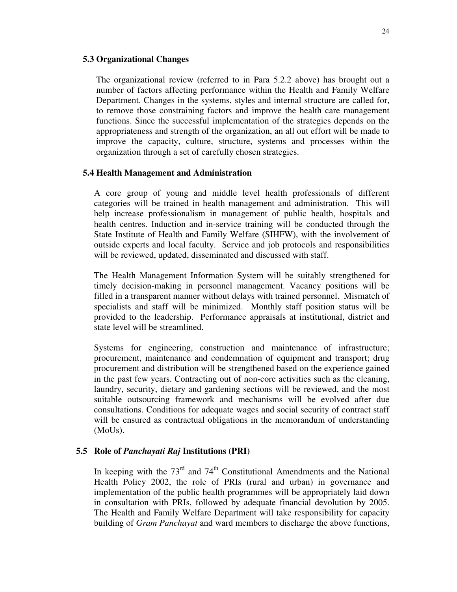#### **5.3 Organizational Changes**

The organizational review (referred to in Para 5.2.2 above) has brought out a number of factors affecting performance within the Health and Family Welfare Department. Changes in the systems, styles and internal structure are called for, to remove those constraining factors and improve the health care management functions. Since the successful implementation of the strategies depends on the appropriateness and strength of the organization, an all out effort will be made to improve the capacity, culture, structure, systems and processes within the organization through a set of carefully chosen strategies.

#### **5.4 Health Management and Administration**

A core group of young and middle level health professionals of different categories will be trained in health management and administration. This will help increase professionalism in management of public health, hospitals and health centres. Induction and in-service training will be conducted through the State Institute of Health and Family Welfare (SIHFW), with the involvement of outside experts and local faculty. Service and job protocols and responsibilities will be reviewed, updated, disseminated and discussed with staff.

The Health Management Information System will be suitably strengthened for timely decision-making in personnel management. Vacancy positions will be filled in a transparent manner without delays with trained personnel. Mismatch of specialists and staff will be minimized. Monthly staff position status will be provided to the leadership. Performance appraisals at institutional, district and state level will be streamlined.

Systems for engineering, construction and maintenance of infrastructure; procurement, maintenance and condemnation of equipment and transport; drug procurement and distribution will be strengthened based on the experience gained in the past few years. Contracting out of non-core activities such as the cleaning, laundry, security, dietary and gardening sections will be reviewed, and the most suitable outsourcing framework and mechanisms will be evolved after due consultations. Conditions for adequate wages and social security of contract staff will be ensured as contractual obligations in the memorandum of understanding (MoUs).

#### **5.5 Role of** *Panchayati Raj* **Institutions (PRI)**

In keeping with the  $73<sup>rd</sup>$  and  $74<sup>th</sup>$  Constitutional Amendments and the National Health Policy 2002, the role of PRIs (rural and urban) in governance and implementation of the public health programmes will be appropriately laid down in consultation with PRIs, followed by adequate financial devolution by 2005. The Health and Family Welfare Department will take responsibility for capacity building of *Gram Panchayat* and ward members to discharge the above functions,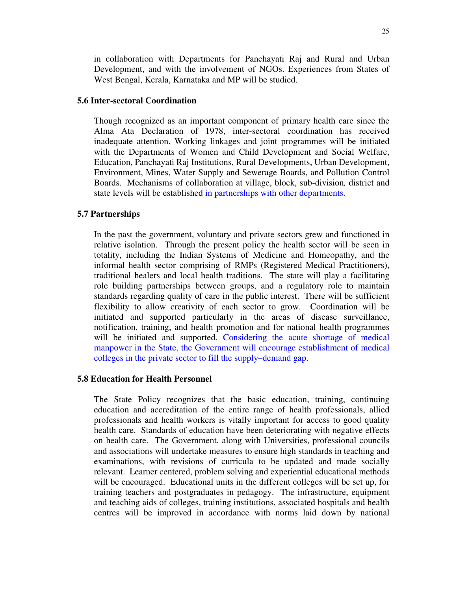in collaboration with Departments for Panchayati Raj and Rural and Urban Development, and with the involvement of NGOs. Experiences from States of West Bengal, Kerala, Karnataka and MP will be studied.

#### **5.6 Inter-sectoral Coordination**

Though recognized as an important component of primary health care since the Alma Ata Declaration of 1978, inter-sectoral coordination has received inadequate attention. Working linkages and joint programmes will be initiated with the Departments of Women and Child Development and Social Welfare, Education, Panchayati Raj Institutions, Rural Developments, Urban Development, Environment, Mines, Water Supply and Sewerage Boards, and Pollution Control Boards. Mechanisms of collaboration at village, block, sub-division*,* district and state levels will be established in partnerships with other departments.

#### **5.7 Partnerships**

In the past the government, voluntary and private sectors grew and functioned in relative isolation. Through the present policy the health sector will be seen in totality, including the Indian Systems of Medicine and Homeopathy, and the informal health sector comprising of RMPs (Registered Medical Practitioners), traditional healers and local health traditions. The state will play a facilitating role building partnerships between groups, and a regulatory role to maintain standards regarding quality of care in the public interest. There will be sufficient flexibility to allow creativity of each sector to grow. Coordination will be initiated and supported particularly in the areas of disease surveillance, notification, training, and health promotion and for national health programmes will be initiated and supported. Considering the acute shortage of medical manpower in the State, the Government will encourage establishment of medical colleges in the private sector to fill the supply–demand gap.

#### **5.8 Education for Health Personnel**

The State Policy recognizes that the basic education, training, continuing education and accreditation of the entire range of health professionals, allied professionals and health workers is vitally important for access to good quality health care. Standards of education have been deteriorating with negative effects on health care. The Government, along with Universities, professional councils and associations will undertake measures to ensure high standards in teaching and examinations, with revisions of curricula to be updated and made socially relevant. Learner centered, problem solving and experiential educational methods will be encouraged. Educational units in the different colleges will be set up, for training teachers and postgraduates in pedagogy. The infrastructure, equipment and teaching aids of colleges, training institutions, associated hospitals and health centres will be improved in accordance with norms laid down by national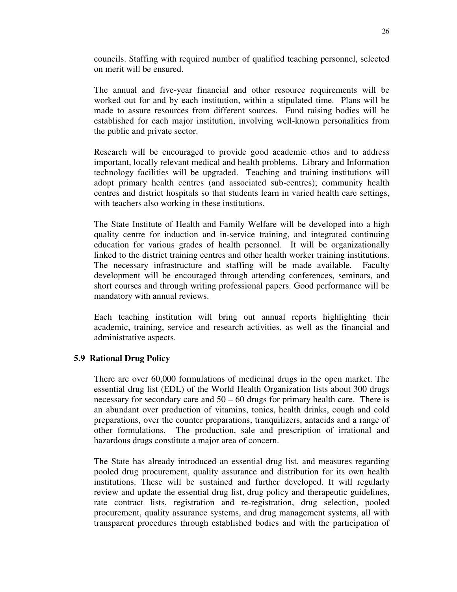councils. Staffing with required number of qualified teaching personnel, selected on merit will be ensured.

The annual and five-year financial and other resource requirements will be worked out for and by each institution, within a stipulated time. Plans will be made to assure resources from different sources. Fund raising bodies will be established for each major institution, involving well-known personalities from the public and private sector.

Research will be encouraged to provide good academic ethos and to address important, locally relevant medical and health problems. Library and Information technology facilities will be upgraded. Teaching and training institutions will adopt primary health centres (and associated sub-centres); community health centres and district hospitals so that students learn in varied health care settings, with teachers also working in these institutions.

The State Institute of Health and Family Welfare will be developed into a high quality centre for induction and in-service training, and integrated continuing education for various grades of health personnel. It will be organizationally linked to the district training centres and other health worker training institutions. The necessary infrastructure and staffing will be made available. Faculty development will be encouraged through attending conferences, seminars, and short courses and through writing professional papers. Good performance will be mandatory with annual reviews.

Each teaching institution will bring out annual reports highlighting their academic, training, service and research activities, as well as the financial and administrative aspects.

#### **5.9 Rational Drug Policy**

There are over 60,000 formulations of medicinal drugs in the open market. The essential drug list (EDL) of the World Health Organization lists about 300 drugs necessary for secondary care and  $50 - 60$  drugs for primary health care. There is an abundant over production of vitamins, tonics, health drinks, cough and cold preparations, over the counter preparations, tranquilizers, antacids and a range of other formulations. The production, sale and prescription of irrational and hazardous drugs constitute a major area of concern.

The State has already introduced an essential drug list, and measures regarding pooled drug procurement, quality assurance and distribution for its own health institutions. These will be sustained and further developed. It will regularly review and update the essential drug list, drug policy and therapeutic guidelines, rate contract lists, registration and re-registration, drug selection, pooled procurement, quality assurance systems, and drug management systems, all with transparent procedures through established bodies and with the participation of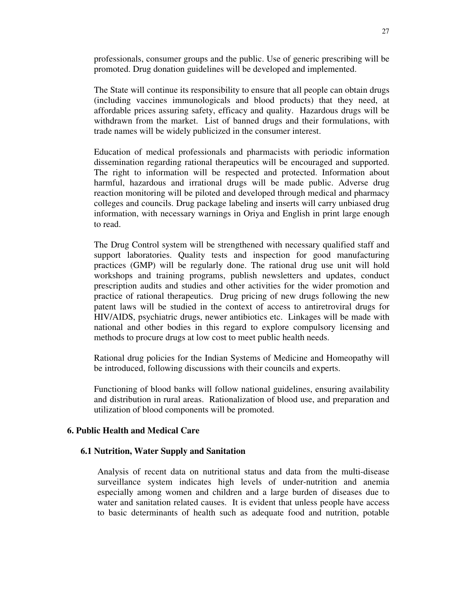professionals, consumer groups and the public. Use of generic prescribing will be promoted. Drug donation guidelines will be developed and implemented.

The State will continue its responsibility to ensure that all people can obtain drugs (including vaccines immunologicals and blood products) that they need, at affordable prices assuring safety, efficacy and quality. Hazardous drugs will be withdrawn from the market. List of banned drugs and their formulations, with trade names will be widely publicized in the consumer interest.

Education of medical professionals and pharmacists with periodic information dissemination regarding rational therapeutics will be encouraged and supported. The right to information will be respected and protected. Information about harmful, hazardous and irrational drugs will be made public. Adverse drug reaction monitoring will be piloted and developed through medical and pharmacy colleges and councils. Drug package labeling and inserts will carry unbiased drug information, with necessary warnings in Oriya and English in print large enough to read.

The Drug Control system will be strengthened with necessary qualified staff and support laboratories. Quality tests and inspection for good manufacturing practices (GMP) will be regularly done. The rational drug use unit will hold workshops and training programs, publish newsletters and updates, conduct prescription audits and studies and other activities for the wider promotion and practice of rational therapeutics. Drug pricing of new drugs following the new patent laws will be studied in the context of access to antiretroviral drugs for HIV/AIDS, psychiatric drugs, newer antibiotics etc. Linkages will be made with national and other bodies in this regard to explore compulsory licensing and methods to procure drugs at low cost to meet public health needs.

Rational drug policies for the Indian Systems of Medicine and Homeopathy will be introduced, following discussions with their councils and experts.

Functioning of blood banks will follow national guidelines, ensuring availability and distribution in rural areas. Rationalization of blood use, and preparation and utilization of blood components will be promoted.

#### **6. Public Health and Medical Care**

#### **6.1 Nutrition, Water Supply and Sanitation**

Analysis of recent data on nutritional status and data from the multi-disease surveillance system indicates high levels of under-nutrition and anemia especially among women and children and a large burden of diseases due to water and sanitation related causes. It is evident that unless people have access to basic determinants of health such as adequate food and nutrition, potable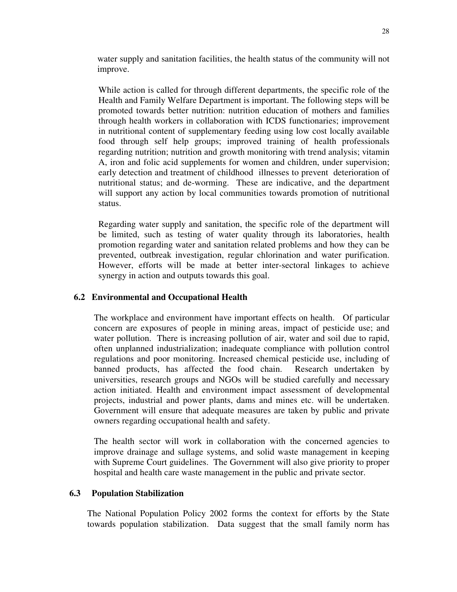water supply and sanitation facilities, the health status of the community will not improve.

While action is called for through different departments, the specific role of the Health and Family Welfare Department is important. The following steps will be promoted towards better nutrition: nutrition education of mothers and families through health workers in collaboration with ICDS functionaries; improvement in nutritional content of supplementary feeding using low cost locally available food through self help groups; improved training of health professionals regarding nutrition; nutrition and growth monitoring with trend analysis; vitamin A, iron and folic acid supplements for women and children, under supervision; early detection and treatment of childhood illnesses to prevent deterioration of nutritional status; and de-worming. These are indicative, and the department will support any action by local communities towards promotion of nutritional status.

Regarding water supply and sanitation, the specific role of the department will be limited, such as testing of water quality through its laboratories, health promotion regarding water and sanitation related problems and how they can be prevented, outbreak investigation, regular chlorination and water purification. However, efforts will be made at better inter-sectoral linkages to achieve synergy in action and outputs towards this goal.

#### **6.2 Environmental and Occupational Health**

The workplace and environment have important effects on health. Of particular concern are exposures of people in mining areas, impact of pesticide use; and water pollution. There is increasing pollution of air, water and soil due to rapid, often unplanned industrialization; inadequate compliance with pollution control regulations and poor monitoring. Increased chemical pesticide use, including of banned products, has affected the food chain. Research undertaken by universities, research groups and NGOs will be studied carefully and necessary action initiated. Health and environment impact assessment of developmental projects, industrial and power plants, dams and mines etc. will be undertaken. Government will ensure that adequate measures are taken by public and private owners regarding occupational health and safety.

The health sector will work in collaboration with the concerned agencies to improve drainage and sullage systems, and solid waste management in keeping with Supreme Court guidelines. The Government will also give priority to proper hospital and health care waste management in the public and private sector.

#### **6.3 Population Stabilization**

The National Population Policy 2002 forms the context for efforts by the State towards population stabilization. Data suggest that the small family norm has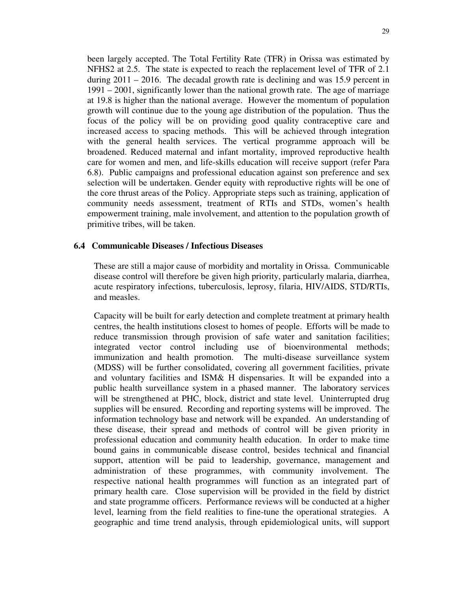been largely accepted. The Total Fertility Rate (TFR) in Orissa was estimated by NFHS2 at 2.5. The state is expected to reach the replacement level of TFR of 2.1 during  $2011 - 2016$ . The decadal growth rate is declining and was 15.9 percent in 1991 – 2001, significantly lower than the national growth rate. The age of marriage at 19.8 is higher than the national average. However the momentum of population growth will continue due to the young age distribution of the population. Thus the focus of the policy will be on providing good quality contraceptive care and increased access to spacing methods. This will be achieved through integration with the general health services. The vertical programme approach will be broadened. Reduced maternal and infant mortality, improved reproductive health care for women and men, and life-skills education will receive support (refer Para 6.8). Public campaigns and professional education against son preference and sex selection will be undertaken. Gender equity with reproductive rights will be one of the core thrust areas of the Policy. Appropriate steps such as training, application of community needs assessment, treatment of RTIs and STDs, women's health empowerment training, male involvement, and attention to the population growth of primitive tribes, will be taken.

#### **6.4 Communicable Diseases / Infectious Diseases**

These are still a major cause of morbidity and mortality in Orissa. Communicable disease control will therefore be given high priority, particularly malaria, diarrhea, acute respiratory infections, tuberculosis, leprosy, filaria, HIV/AIDS, STD/RTIs, and measles.

Capacity will be built for early detection and complete treatment at primary health centres, the health institutions closest to homes of people. Efforts will be made to reduce transmission through provision of safe water and sanitation facilities; integrated vector control including use of bioenvironmental methods; immunization and health promotion. The multi-disease surveillance system (MDSS) will be further consolidated, covering all government facilities, private and voluntary facilities and ISM& H dispensaries. It will be expanded into a public health surveillance system in a phased manner. The laboratory services will be strengthened at PHC, block, district and state level. Uninterrupted drug supplies will be ensured. Recording and reporting systems will be improved. The information technology base and network will be expanded. An understanding of these disease, their spread and methods of control will be given priority in professional education and community health education. In order to make time bound gains in communicable disease control, besides technical and financial support, attention will be paid to leadership, governance, management and administration of these programmes, with community involvement. The respective national health programmes will function as an integrated part of primary health care. Close supervision will be provided in the field by district and state programme officers. Performance reviews will be conducted at a higher level, learning from the field realities to fine-tune the operational strategies. A geographic and time trend analysis, through epidemiological units, will support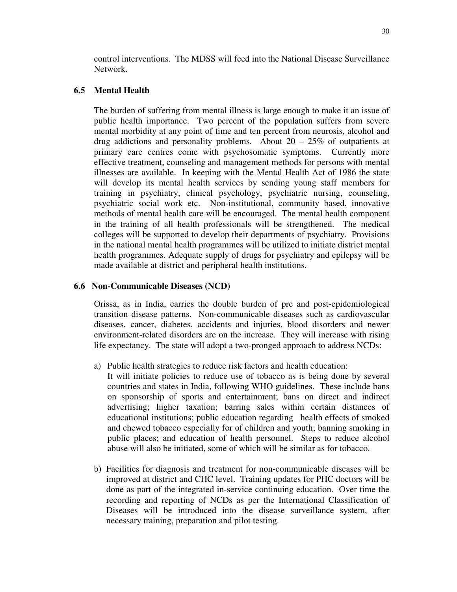control interventions. The MDSS will feed into the National Disease Surveillance Network.

#### **6.5 Mental Health**

The burden of suffering from mental illness is large enough to make it an issue of public health importance. Two percent of the population suffers from severe mental morbidity at any point of time and ten percent from neurosis, alcohol and drug addictions and personality problems. About  $20 - 25\%$  of outpatients at primary care centres come with psychosomatic symptoms. Currently more effective treatment, counseling and management methods for persons with mental illnesses are available. In keeping with the Mental Health Act of 1986 the state will develop its mental health services by sending young staff members for training in psychiatry, clinical psychology, psychiatric nursing, counseling, psychiatric social work etc. Non-institutional, community based, innovative methods of mental health care will be encouraged. The mental health component in the training of all health professionals will be strengthened. The medical colleges will be supported to develop their departments of psychiatry. Provisions in the national mental health programmes will be utilized to initiate district mental health programmes. Adequate supply of drugs for psychiatry and epilepsy will be made available at district and peripheral health institutions.

#### **6.6 Non-Communicable Diseases (NCD)**

Orissa, as in India, carries the double burden of pre and post-epidemiological transition disease patterns. Non-communicable diseases such as cardiovascular diseases, cancer, diabetes, accidents and injuries, blood disorders and newer environment-related disorders are on the increase. They will increase with rising life expectancy. The state will adopt a two-pronged approach to address NCDs:

- a) Public health strategies to reduce risk factors and health education:
	- It will initiate policies to reduce use of tobacco as is being done by several countries and states in India, following WHO guidelines. These include bans on sponsorship of sports and entertainment; bans on direct and indirect advertising; higher taxation; barring sales within certain distances of educational institutions; public education regarding health effects of smoked and chewed tobacco especially for of children and youth; banning smoking in public places; and education of health personnel. Steps to reduce alcohol abuse will also be initiated, some of which will be similar as for tobacco.
- b) Facilities for diagnosis and treatment for non-communicable diseases will be improved at district and CHC level. Training updates for PHC doctors will be done as part of the integrated in-service continuing education. Over time the recording and reporting of NCDs as per the International Classification of Diseases will be introduced into the disease surveillance system, after necessary training, preparation and pilot testing.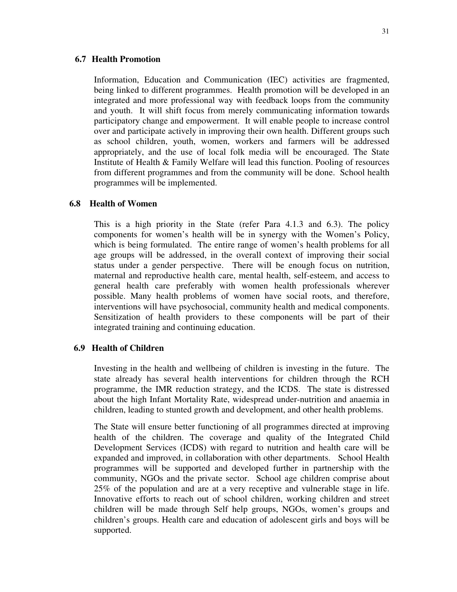#### **6.7 Health Promotion**

Information, Education and Communication (IEC) activities are fragmented, being linked to different programmes. Health promotion will be developed in an integrated and more professional way with feedback loops from the community and youth. It will shift focus from merely communicating information towards participatory change and empowerment. It will enable people to increase control over and participate actively in improving their own health. Different groups such as school children, youth, women, workers and farmers will be addressed appropriately, and the use of local folk media will be encouraged. The State Institute of Health & Family Welfare will lead this function. Pooling of resources from different programmes and from the community will be done. School health programmes will be implemented.

#### **6.8 Health of Women**

This is a high priority in the State (refer Para 4.1.3 and 6.3). The policy components for women's health will be in synergy with the Women's Policy, which is being formulated. The entire range of women's health problems for all age groups will be addressed, in the overall context of improving their social status under a gender perspective. There will be enough focus on nutrition, maternal and reproductive health care, mental health, self-esteem, and access to general health care preferably with women health professionals wherever possible. Many health problems of women have social roots, and therefore, interventions will have psychosocial, community health and medical components. Sensitization of health providers to these components will be part of their integrated training and continuing education.

#### **6.9 Health of Children**

Investing in the health and wellbeing of children is investing in the future. The state already has several health interventions for children through the RCH programme, the IMR reduction strategy, and the ICDS. The state is distressed about the high Infant Mortality Rate, widespread under-nutrition and anaemia in children, leading to stunted growth and development, and other health problems.

The State will ensure better functioning of all programmes directed at improving health of the children. The coverage and quality of the Integrated Child Development Services (ICDS) with regard to nutrition and health care will be expanded and improved, in collaboration with other departments. School Health programmes will be supported and developed further in partnership with the community, NGOs and the private sector. School age children comprise about 25% of the population and are at a very receptive and vulnerable stage in life. Innovative efforts to reach out of school children, working children and street children will be made through Self help groups, NGOs, women's groups and children's groups. Health care and education of adolescent girls and boys will be supported.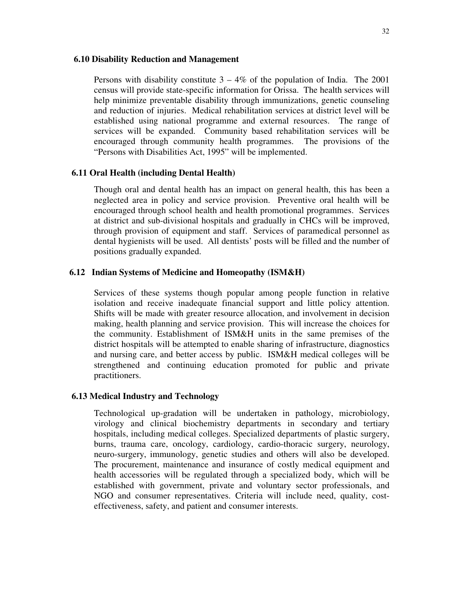#### **6.10 Disability Reduction and Management**

Persons with disability constitute  $3 - 4\%$  of the population of India. The 2001 census will provide state-specific information for Orissa. The health services will help minimize preventable disability through immunizations, genetic counseling and reduction of injuries. Medical rehabilitation services at district level will be established using national programme and external resources. The range of services will be expanded. Community based rehabilitation services will be encouraged through community health programmes. The provisions of the "Persons with Disabilities Act, 1995" will be implemented.

#### **6.11 Oral Health (including Dental Health)**

Though oral and dental health has an impact on general health, this has been a neglected area in policy and service provision. Preventive oral health will be encouraged through school health and health promotional programmes. Services at district and sub-divisional hospitals and gradually in CHCs will be improved, through provision of equipment and staff. Services of paramedical personnel as dental hygienists will be used. All dentists' posts will be filled and the number of positions gradually expanded.

#### **6.12 Indian Systems of Medicine and Homeopathy (ISM&H)**

Services of these systems though popular among people function in relative isolation and receive inadequate financial support and little policy attention. Shifts will be made with greater resource allocation, and involvement in decision making, health planning and service provision. This will increase the choices for the community. Establishment of ISM&H units in the same premises of the district hospitals will be attempted to enable sharing of infrastructure, diagnostics and nursing care, and better access by public. ISM&H medical colleges will be strengthened and continuing education promoted for public and private practitioners.

#### **6.13 Medical Industry and Technology**

Technological up-gradation will be undertaken in pathology, microbiology, virology and clinical biochemistry departments in secondary and tertiary hospitals, including medical colleges. Specialized departments of plastic surgery, burns, trauma care, oncology, cardiology, cardio-thoracic surgery, neurology, neuro-surgery, immunology, genetic studies and others will also be developed. The procurement, maintenance and insurance of costly medical equipment and health accessories will be regulated through a specialized body, which will be established with government, private and voluntary sector professionals, and NGO and consumer representatives. Criteria will include need, quality, costeffectiveness, safety, and patient and consumer interests.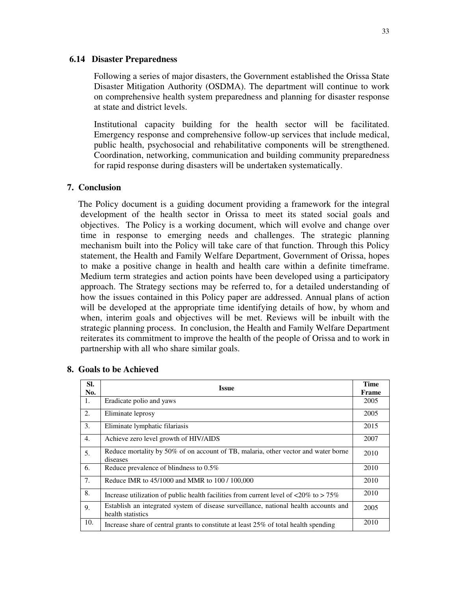#### **6.14 Disaster Preparedness**

Following a series of major disasters, the Government established the Orissa State Disaster Mitigation Authority (OSDMA). The department will continue to work on comprehensive health system preparedness and planning for disaster response at state and district levels.

Institutional capacity building for the health sector will be facilitated. Emergency response and comprehensive follow-up services that include medical, public health, psychosocial and rehabilitative components will be strengthened. Coordination, networking, communication and building community preparedness for rapid response during disasters will be undertaken systematically.

#### **7. Conclusion**

The Policy document is a guiding document providing a framework for the integral development of the health sector in Orissa to meet its stated social goals and objectives. The Policy is a working document, which will evolve and change over time in response to emerging needs and challenges. The strategic planning mechanism built into the Policy will take care of that function. Through this Policy statement, the Health and Family Welfare Department, Government of Orissa, hopes to make a positive change in health and health care within a definite timeframe. Medium term strategies and action points have been developed using a participatory approach. The Strategy sections may be referred to, for a detailed understanding of how the issues contained in this Policy paper are addressed. Annual plans of action will be developed at the appropriate time identifying details of how, by whom and when, interim goals and objectives will be met. Reviews will be inbuilt with the strategic planning process. In conclusion, the Health and Family Welfare Department reiterates its commitment to improve the health of the people of Orissa and to work in partnership with all who share similar goals.

| SI. | <b>Issue</b>                                                                                                     | <b>Time</b> |
|-----|------------------------------------------------------------------------------------------------------------------|-------------|
| No. |                                                                                                                  |             |
| 1.  | Eradicate polio and yaws                                                                                         | 2005        |
| 2.  | Eliminate leprosy                                                                                                | 2005        |
| 3.  | Eliminate lymphatic filariasis                                                                                   | 2015        |
| 4.  | Achieve zero level growth of HIV/AIDS                                                                            | 2007        |
| 5.  | Reduce mortality by 50% of on account of TB, malaria, other vector and water borne<br>diseases                   | 2010        |
| 6.  | Reduce prevalence of blindness to $0.5\%$                                                                        | 2010        |
| 7.  | Reduce IMR to 45/1000 and MMR to 100 / 100,000                                                                   | 2010        |
| 8.  | Increase utilization of public health facilities from current level of $\langle 20\% \text{ to } > 75\% \rangle$ | 2010        |
| 9.  | Establish an integrated system of disease surveillance, national health accounts and<br>health statistics        | 2005        |
| 10. | Increase share of central grants to constitute at least 25% of total health spending                             | 2010        |

#### **8. Goals to be Achieved**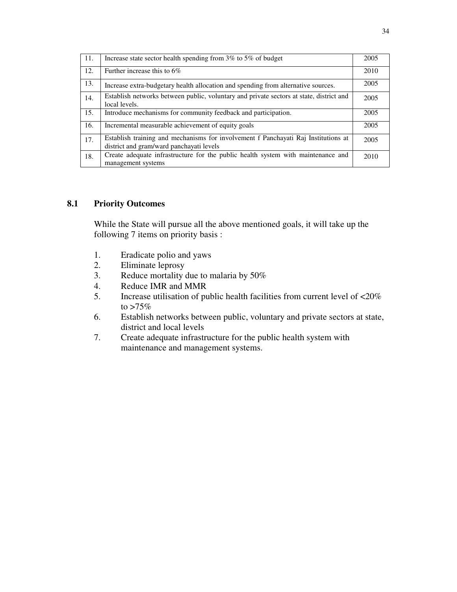| 11. | Increase state sector health spending from 3% to 5% of budget                                                                  | 2005 |
|-----|--------------------------------------------------------------------------------------------------------------------------------|------|
| 12. | Further increase this to $6\%$                                                                                                 | 2010 |
| 13. | Increase extra-budgetary health allocation and spending from alternative sources.                                              | 2005 |
| 14. | Establish networks between public, voluntary and private sectors at state, district and<br>local levels.                       | 2005 |
| 15. | Introduce mechanisms for community feedback and participation.                                                                 | 2005 |
| 16. | Incremental measurable achievement of equity goals                                                                             | 2005 |
| 17. | Establish training and mechanisms for involvement f Panchayati Raj Institutions at<br>district and gram/ward panchayati levels | 2005 |
| 18. | Create adequate infrastructure for the public health system with maintenance and<br>management systems                         | 2010 |

#### **8.1 Priority Outcomes**

While the State will pursue all the above mentioned goals, it will take up the following 7 items on priority basis :

- 1. Eradicate polio and yaws
- 2. Eliminate leprosy
- 3. Reduce mortality due to malaria by 50%
- 4. Reduce IMR and MMR<br>5. Increase utilisation of pu
- 5. Increase utilisation of public health facilities from current level of <20% to  $>75\%$
- 6. Establish networks between public, voluntary and private sectors at state, district and local levels
- 7. Create adequate infrastructure for the public health system with maintenance and management systems.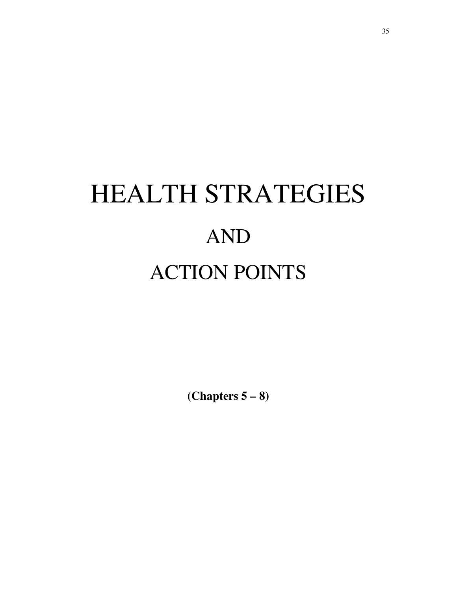# HEALTH STRATEGIES AND ACTION POINTS

**(Chapters 5 – 8)**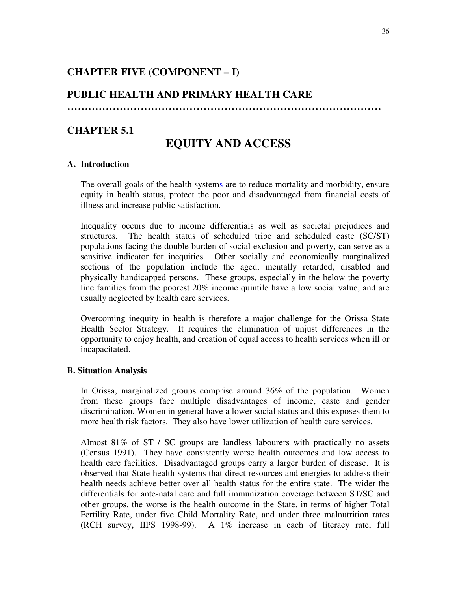# **CHAPTER FIVE (COMPONENT – I)**

## **PUBLIC HEALTH AND PRIMARY HEALTH CARE**

**………………………………………………………………………………**

# **CHAPTER 5.1**

# **EQUITY AND ACCESS**

#### **A. Introduction**

The overall goals of the health systems are to reduce mortality and morbidity, ensure equity in health status, protect the poor and disadvantaged from financial costs of illness and increase public satisfaction.

Inequality occurs due to income differentials as well as societal prejudices and structures. The health status of scheduled tribe and scheduled caste (SC/ST) populations facing the double burden of social exclusion and poverty, can serve as a sensitive indicator for inequities. Other socially and economically marginalized sections of the population include the aged, mentally retarded, disabled and physically handicapped persons. These groups, especially in the below the poverty line families from the poorest 20% income quintile have a low social value, and are usually neglected by health care services.

Overcoming inequity in health is therefore a major challenge for the Orissa State Health Sector Strategy. It requires the elimination of unjust differences in the opportunity to enjoy health, and creation of equal access to health services when ill or incapacitated.

#### **B. Situation Analysis**

In Orissa, marginalized groups comprise around 36% of the population. Women from these groups face multiple disadvantages of income, caste and gender discrimination. Women in general have a lower social status and this exposes them to more health risk factors. They also have lower utilization of health care services.

Almost 81% of ST / SC groups are landless labourers with practically no assets (Census 1991). They have consistently worse health outcomes and low access to health care facilities. Disadvantaged groups carry a larger burden of disease. It is observed that State health systems that direct resources and energies to address their health needs achieve better over all health status for the entire state. The wider the differentials for ante-natal care and full immunization coverage between ST/SC and other groups, the worse is the health outcome in the State, in terms of higher Total Fertility Rate, under five Child Mortality Rate, and under three malnutrition rates (RCH survey, IIPS 1998-99). A 1% increase in each of literacy rate, full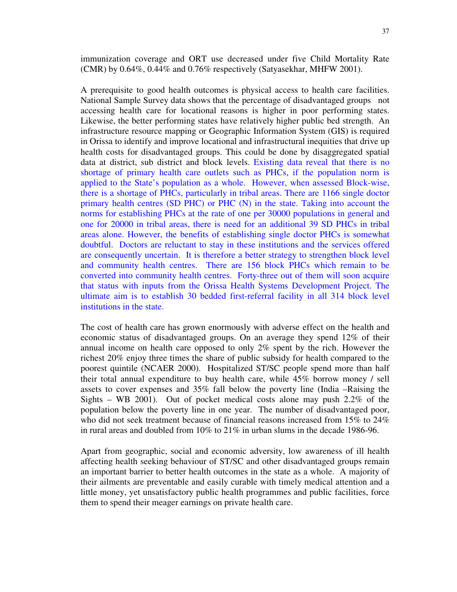immunization coverage and ORT use decreased under five Child Mortality Rate (CMR) by 0.64%, 0.44% and 0.76% respectively (Satyasekhar, MHFW 2001).

A prerequisite to good health outcomes is physical access to health care facilities. National Sample Survey data shows that the percentage of disadvantaged groups not accessing health care for locational reasons is higher in poor performing states. Likewise, the better performing states have relatively higher public bed strength. An infrastructure resource mapping or Geographic Information System (GIS) is required in Orissa to identify and improve locational and infrastructural inequities that drive up health costs for disadvantaged groups. This could be done by disaggregated spatial data at district, sub district and block levels. Existing data reveal that there is no shortage of primary health care outlets such as PHCs, if the population norm is applied to the State's population as a whole. However, when assessed Block-wise, there is a shortage of PHCs, particularly in tribal areas. There are 1166 single doctor primary health centres (SD PHC) or PHC (N) in the state. Taking into account the norms for establishing PHCs at the rate of one per 30000 populations in general and one for 20000 in tribal areas, there is need for an additional 39 SD PHCs in tribal areas alone. However, the benefits of establishing single doctor PHCs is somewhat doubtful. Doctors are reluctant to stay in these institutions and the services offered are consequently uncertain. It is therefore a better strategy to strengthen block level and community health centres. There are 156 block PHCs which remain to be converted into community health centres. Forty-three out of them will soon acquire that status with inputs from the Orissa Health Systems Development Project. The ultimate aim is to establish 30 bedded first-referral facility in all 314 block level institutions in the state.

The cost of health care has grown enormously with adverse effect on the health and economic status of disadvantaged groups. On an average they spend 12% of their annual income on health care opposed to only 2% spent by the rich. However the richest 20% enjoy three times the share of public subsidy for health compared to the poorest quintile (NCAER 2000). Hospitalized ST/SC people spend more than half their total annual expenditure to buy health care, while 45% borrow money / sell assets to cover expenses and 35% fall below the poverty line (India –Raising the Sights – WB 2001). Out of pocket medical costs alone may push 2.2% of the population below the poverty line in one year. The number of disadvantaged poor, who did not seek treatment because of financial reasons increased from 15% to 24% in rural areas and doubled from 10% to 21% in urban slums in the decade 1986-96.

Apart from geographic, social and economic adversity, low awareness of ill health affecting health seeking behaviour of ST/SC and other disadvantaged groups remain an important barrier to better health outcomes in the state as a whole. A majority of their ailments are preventable and easily curable with timely medical attention and a little money, yet unsatisfactory public health programmes and public facilities, force them to spend their meager earnings on private health care.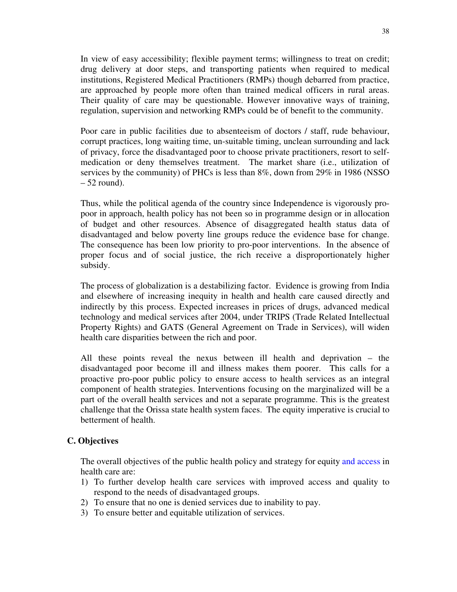In view of easy accessibility; flexible payment terms; willingness to treat on credit; drug delivery at door steps, and transporting patients when required to medical institutions, Registered Medical Practitioners (RMPs) though debarred from practice, are approached by people more often than trained medical officers in rural areas. Their quality of care may be questionable. However innovative ways of training, regulation, supervision and networking RMPs could be of benefit to the community.

Poor care in public facilities due to absenteeism of doctors / staff, rude behaviour, corrupt practices, long waiting time, un-suitable timing, unclean surrounding and lack of privacy, force the disadvantaged poor to choose private practitioners, resort to selfmedication or deny themselves treatment. The market share (i.e., utilization of services by the community) of PHCs is less than 8%, down from 29% in 1986 (NSSO  $-52$  round).

Thus, while the political agenda of the country since Independence is vigorously propoor in approach, health policy has not been so in programme design or in allocation of budget and other resources. Absence of disaggregated health status data of disadvantaged and below poverty line groups reduce the evidence base for change. The consequence has been low priority to pro-poor interventions. In the absence of proper focus and of social justice, the rich receive a disproportionately higher subsidy.

The process of globalization is a destabilizing factor. Evidence is growing from India and elsewhere of increasing inequity in health and health care caused directly and indirectly by this process. Expected increases in prices of drugs, advanced medical technology and medical services after 2004, under TRIPS (Trade Related Intellectual Property Rights) and GATS (General Agreement on Trade in Services), will widen health care disparities between the rich and poor.

All these points reveal the nexus between ill health and deprivation – the disadvantaged poor become ill and illness makes them poorer. This calls for a proactive pro-poor public policy to ensure access to health services as an integral component of health strategies. Interventions focusing on the marginalized will be a part of the overall health services and not a separate programme. This is the greatest challenge that the Orissa state health system faces. The equity imperative is crucial to betterment of health.

## **C. Objectives**

The overall objectives of the public health policy and strategy for equity and access in health care are:

- 1) To further develop health care services with improved access and quality to respond to the needs of disadvantaged groups.
- 2) To ensure that no one is denied services due to inability to pay.
- 3) To ensure better and equitable utilization of services.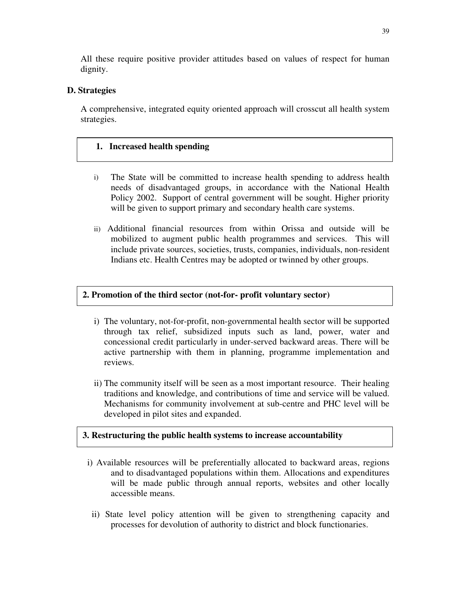All these require positive provider attitudes based on values of respect for human dignity.

# **D. Strategies**

A comprehensive, integrated equity oriented approach will crosscut all health system strategies.

# **1. Increased health spending**

- i) The State will be committed to increase health spending to address health needs of disadvantaged groups, in accordance with the National Health Policy 2002. Support of central government will be sought. Higher priority will be given to support primary and secondary health care systems.
- ii) Additional financial resources from within Orissa and outside will be mobilized to augment public health programmes and services. This will include private sources, societies, trusts, companies, individuals, non-resident Indians etc. Health Centres may be adopted or twinned by other groups.

# **2. Promotion of the third sector (not-for- profit voluntary sector)**

- i) The voluntary, not-for-profit, non-governmental health sector will be supported through tax relief, subsidized inputs such as land, power, water and concessional credit particularly in under-served backward areas. There will be active partnership with them in planning, programme implementation and reviews.
- ii) The community itself will be seen as a most important resource. Their healing traditions and knowledge, and contributions of time and service will be valued. Mechanisms for community involvement at sub-centre and PHC level will be developed in pilot sites and expanded.

# **3. Restructuring the public health systems to increase accountability**

- i) Available resources will be preferentially allocated to backward areas, regions and to disadvantaged populations within them. Allocations and expenditures will be made public through annual reports, websites and other locally accessible means.
- ii) State level policy attention will be given to strengthening capacity and processes for devolution of authority to district and block functionaries.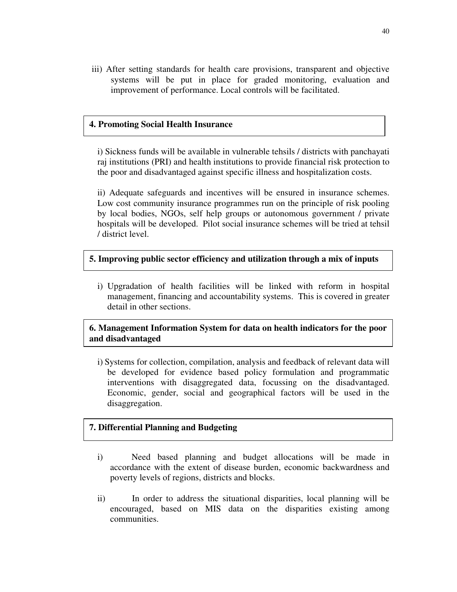iii) After setting standards for health care provisions, transparent and objective systems will be put in place for graded monitoring, evaluation and improvement of performance. Local controls will be facilitated.

## **4. Promoting Social Health Insurance**

i) Sickness funds will be available in vulnerable tehsils / districts with panchayati raj institutions (PRI) and health institutions to provide financial risk protection to the poor and disadvantaged against specific illness and hospitalization costs.

ii) Adequate safeguards and incentives will be ensured in insurance schemes. Low cost community insurance programmes run on the principle of risk pooling by local bodies, NGOs, self help groups or autonomous government / private hospitals will be developed. Pilot social insurance schemes will be tried at tehsil / district level.

## **5. Improving public sector efficiency and utilization through a mix of inputs**

i) Upgradation of health facilities will be linked with reform in hospital management, financing and accountability systems. This is covered in greater detail in other sections.

# **6. Management Information System for data on health indicators for the poor and disadvantaged**

i) Systems for collection, compilation, analysis and feedback of relevant data will be developed for evidence based policy formulation and programmatic interventions with disaggregated data, focussing on the disadvantaged. Economic, gender, social and geographical factors will be used in the disaggregation.

## **7. Differential Planning and Budgeting**

- i) Need based planning and budget allocations will be made in accordance with the extent of disease burden, economic backwardness and poverty levels of regions, districts and blocks.
- ii) In order to address the situational disparities, local planning will be encouraged, based on MIS data on the disparities existing among communities.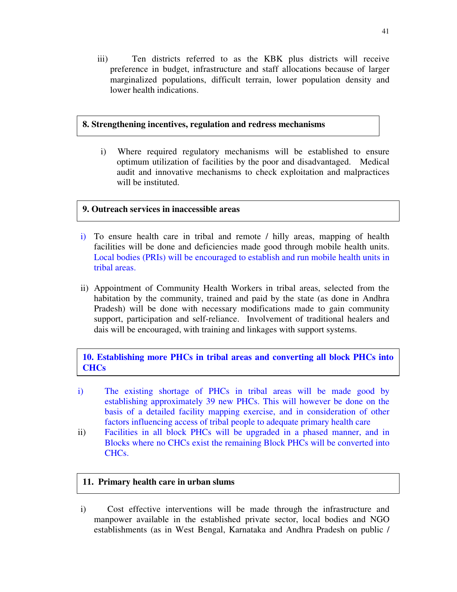iii) Ten districts referred to as the KBK plus districts will receive preference in budget, infrastructure and staff allocations because of larger marginalized populations, difficult terrain, lower population density and lower health indications.

# **8. Strengthening incentives, regulation and redress mechanisms**

i) Where required regulatory mechanisms will be established to ensure optimum utilization of facilities by the poor and disadvantaged. Medical audit and innovative mechanisms to check exploitation and malpractices will be instituted.

# **9. Outreach services in inaccessible areas**

- i) To ensure health care in tribal and remote / hilly areas, mapping of health facilities will be done and deficiencies made good through mobile health units. Local bodies (PRIs) will be encouraged to establish and run mobile health units in tribal areas.
- ii) Appointment of Community Health Workers in tribal areas, selected from the habitation by the community, trained and paid by the state (as done in Andhra Pradesh) will be done with necessary modifications made to gain community support, participation and self-reliance. Involvement of traditional healers and dais will be encouraged, with training and linkages with support systems.

**10. Establishing more PHCs in tribal areas and converting all block PHCs into CHCs**

- i) The existing shortage of PHCs in tribal areas will be made good by establishing approximately 39 new PHCs. This will however be done on the basis of a detailed facility mapping exercise, and in consideration of other factors influencing access of tribal people to adequate primary health care
- ii) Facilities in all block PHCs will be upgraded in a phased manner, and in Blocks where no CHCs exist the remaining Block PHCs will be converted into CHCs.

# **11. Primary health care in urban slums**

i) Cost effective interventions will be made through the infrastructure and manpower available in the established private sector, local bodies and NGO establishments (as in West Bengal, Karnataka and Andhra Pradesh on public /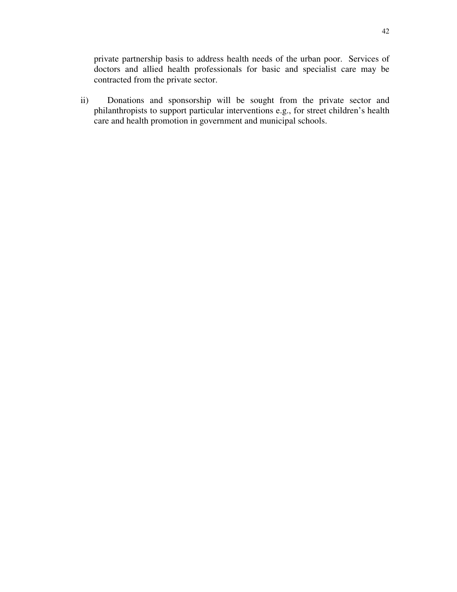private partnership basis to address health needs of the urban poor. Services of doctors and allied health professionals for basic and specialist care may be contracted from the private sector.

ii) Donations and sponsorship will be sought from the private sector and philanthropists to support particular interventions e.g., for street children's health care and health promotion in government and municipal schools.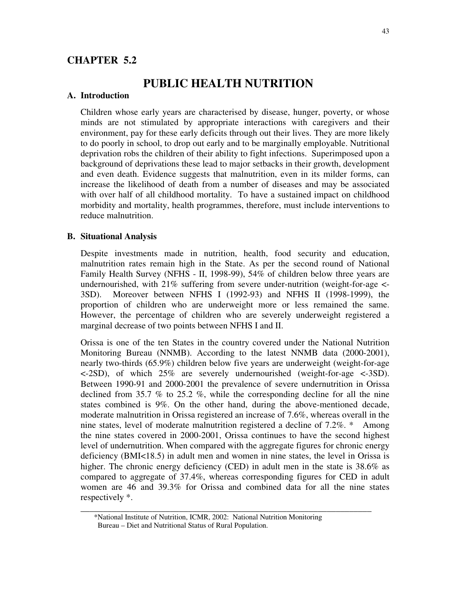# **CHAPTER 5.2**

# **PUBLIC HEALTH NUTRITION**

#### **A. Introduction**

Children whose early years are characterised by disease, hunger, poverty, or whose minds are not stimulated by appropriate interactions with caregivers and their environment, pay for these early deficits through out their lives. They are more likely to do poorly in school, to drop out early and to be marginally employable. Nutritional deprivation robs the children of their ability to fight infections. Superimposed upon a background of deprivations these lead to major setbacks in their growth, development and even death. Evidence suggests that malnutrition, even in its milder forms, can increase the likelihood of death from a number of diseases and may be associated with over half of all childhood mortality. To have a sustained impact on childhood morbidity and mortality, health programmes, therefore, must include interventions to reduce malnutrition.

## **B. Situational Analysis**

Despite investments made in nutrition, health, food security and education, malnutrition rates remain high in the State. As per the second round of National Family Health Survey (NFHS - II, 1998-99), 54% of children below three years are undernourished, with  $21\%$  suffering from severe under-nutrition (weight-for-age  $\leq$ 3SD). Moreover between NFHS I (1992-93) and NFHS II (1998-1999), the proportion of children who are underweight more or less remained the same. However, the percentage of children who are severely underweight registered a marginal decrease of two points between NFHS I and II.

Orissa is one of the ten States in the country covered under the National Nutrition Monitoring Bureau (NNMB). According to the latest NNMB data (2000-2001), nearly two-thirds (65.9%) children below five years are underweight (weight-for-age <-2SD), of which 25% are severely undernourished (weight-for-age <-3SD). Between 1990-91 and 2000-2001 the prevalence of severe undernutrition in Orissa declined from 35.7 % to 25.2 %, while the corresponding decline for all the nine states combined is 9%. On the other hand, during the above-mentioned decade, moderate malnutrition in Orissa registered an increase of 7.6%, whereas overall in the nine states, level of moderate malnutrition registered a decline of 7.2%. \* Among the nine states covered in 2000-2001, Orissa continues to have the second highest level of undernutrition. When compared with the aggregate figures for chronic energy deficiency (BMI<18.5) in adult men and women in nine states, the level in Orissa is higher. The chronic energy deficiency (CED) in adult men in the state is 38.6% as compared to aggregate of 37.4%, whereas corresponding figures for CED in adult women are 46 and 39.3% for Orissa and combined data for all the nine states respectively \*.

**\_\_\_\_\_\_\_\_\_\_\_\_\_\_\_\_\_\_\_\_\_\_\_\_\_\_\_\_\_\_\_\_\_\_\_\_\_\_\_\_\_\_\_\_\_\_\_\_\_\_\_\_\_\_\_\_\_\_\_\_\_\_\_\_\_**

<sup>\*</sup>National Institute of Nutrition, ICMR, 2002: National Nutrition Monitoring Bureau – Diet and Nutritional Status of Rural Population.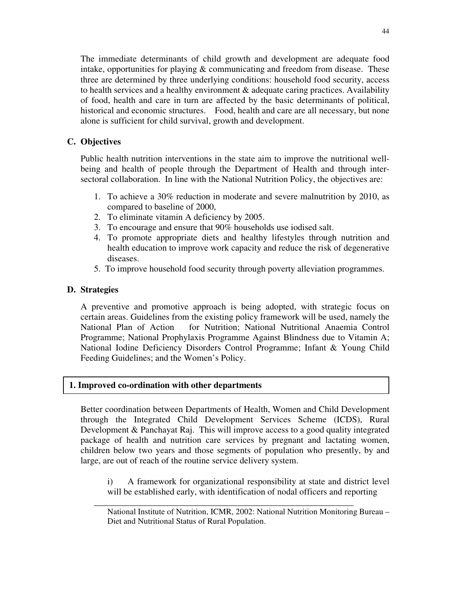The immediate determinants of child growth and development are adequate food intake, opportunities for playing & communicating and freedom from disease. These three are determined by three underlying conditions: household food security, access to health services and a healthy environment  $\&$  adequate caring practices. Availability of food, health and care in turn are affected by the basic determinants of political, historical and economic structures. Food, health and care are all necessary, but none alone is sufficient for child survival, growth and development.

# **C. Objectives**

Public health nutrition interventions in the state aim to improve the nutritional wellbeing and health of people through the Department of Health and through intersectoral collaboration. In line with the National Nutrition Policy, the objectives are:

- 1. To achieve a 30% reduction in moderate and severe malnutrition by 2010, as compared to baseline of 2000,
- 2. To eliminate vitamin A deficiency by 2005.
- 3. To encourage and ensure that 90% households use iodised salt.
- 4. To promote appropriate diets and healthy lifestyles through nutrition and health education to improve work capacity and reduce the risk of degenerative diseases.
- 5. To improve household food security through poverty alleviation programmes.

# **D. Strategies**

A preventive and promotive approach is being adopted, with strategic focus on certain areas. Guidelines from the existing policy framework will be used, namely the National Plan of Action for Nutrition; National Nutritional Anaemia Control Programme; National Prophylaxis Programme Against Blindness due to Vitamin A; National Iodine Deficiency Disorders Control Programme; Infant & Young Child Feeding Guidelines; and the Women's Policy.

# **1. Improved co-ordination with other departments**

Better coordination between Departments of Health, Women and Child Development through the Integrated Child Development Services Scheme (ICDS), Rural Development & Panchayat Raj. This will improve access to a good quality integrated package of health and nutrition care services by pregnant and lactating women, children below two years and those segments of population who presently, by and large, are out of reach of the routine service delivery system.

\_\_\_\_\_\_\_\_\_\_\_\_\_\_\_\_\_\_\_\_\_\_\_\_\_\_\_\_\_\_\_\_\_\_\_\_\_\_\_\_\_\_\_\_\_\_\_\_\_\_\_\_\_\_\_\_\_\_

i) A framework for organizational responsibility at state and district level will be established early, with identification of nodal officers and reporting

National Institute of Nutrition, ICMR, 2002: National Nutrition Monitoring Bureau – Diet and Nutritional Status of Rural Population.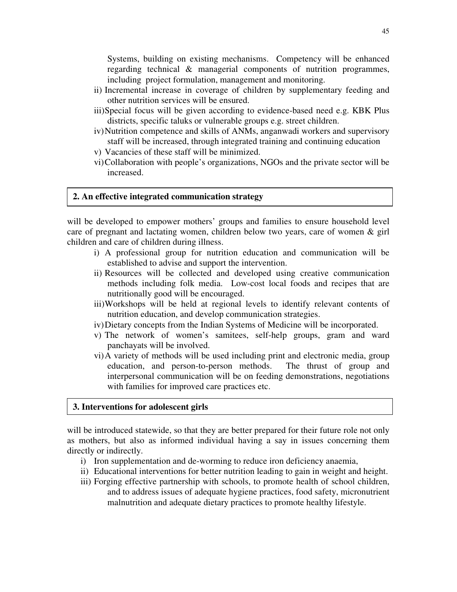Systems, building on existing mechanisms. Competency will be enhanced regarding technical & managerial components of nutrition programmes, including project formulation, management and monitoring.

- ii) Incremental increase in coverage of children by supplementary feeding and other nutrition services will be ensured.
- iii)Special focus will be given according to evidence-based need e.g. KBK Plus districts, specific taluks or vulnerable groups e.g. street children.
- iv)Nutrition competence and skills of ANMs, anganwadi workers and supervisory staff will be increased, through integrated training and continuing education
- v) Vacancies of these staff will be minimized.
- vi)Collaboration with people's organizations, NGOs and the private sector will be increased.

## **2. An effective integrated communication strategy**

will be developed to empower mothers' groups and families to ensure household level care of pregnant and lactating women, children below two years, care of women & girl children and care of children during illness.

- i) A professional group for nutrition education and communication will be established to advise and support the intervention.
- ii) Resources will be collected and developed using creative communication methods including folk media. Low-cost local foods and recipes that are nutritionally good will be encouraged.
- iii)Workshops will be held at regional levels to identify relevant contents of nutrition education, and develop communication strategies.
- iv)Dietary concepts from the Indian Systems of Medicine will be incorporated.
- v) The network of women's samitees, self-help groups, gram and ward panchayats will be involved.
- vi)A variety of methods will be used including print and electronic media, group education, and person-to-person methods. The thrust of group and interpersonal communication will be on feeding demonstrations, negotiations with families for improved care practices etc.

## **3. Interventions for adolescent girls**

will be introduced statewide, so that they are better prepared for their future role not only as mothers, but also as informed individual having a say in issues concerning them directly or indirectly.

- i) Iron supplementation and de-worming to reduce iron deficiency anaemia,
- ii) Educational interventions for better nutrition leading to gain in weight and height.
- iii) Forging effective partnership with schools, to promote health of school children, and to address issues of adequate hygiene practices, food safety, micronutrient malnutrition and adequate dietary practices to promote healthy lifestyle.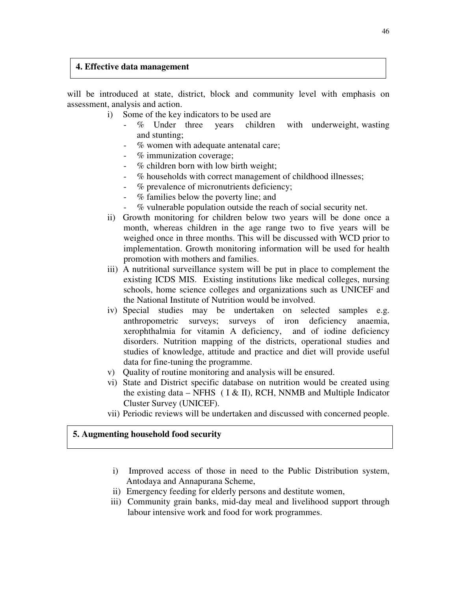## **4. Effective data management**

will be introduced at state, district, block and community level with emphasis on assessment, analysis and action.

- i) Some of the key indicators to be used are
	- % Under three years children with underweight, wasting and stunting;
	- % women with adequate antenatal care;
	- % immunization coverage;
	- $%$  children born with low birth weight;
	- % households with correct management of childhood illnesses;
	- % prevalence of micronutrients deficiency;
	- $%$  families below the poverty line; and
	- % vulnerable population outside the reach of social security net.
- ii) Growth monitoring for children below two years will be done once a month, whereas children in the age range two to five years will be weighed once in three months. This will be discussed with WCD prior to implementation. Growth monitoring information will be used for health promotion with mothers and families.
- iii) A nutritional surveillance system will be put in place to complement the existing ICDS MIS. Existing institutions like medical colleges, nursing schools, home science colleges and organizations such as UNICEF and the National Institute of Nutrition would be involved.
- iv) Special studies may be undertaken on selected samples e.g. anthropometric surveys; surveys of iron deficiency anaemia, xerophthalmia for vitamin A deficiency, and of iodine deficiency disorders. Nutrition mapping of the districts, operational studies and studies of knowledge, attitude and practice and diet will provide useful data for fine-tuning the programme.
- v) Quality of routine monitoring and analysis will be ensured.
- vi) State and District specific database on nutrition would be created using the existing data – NFHS (  $I & II$ ), RCH, NNMB and Multiple Indicator Cluster Survey (UNICEF).
- vii) Periodic reviews will be undertaken and discussed with concerned people.

## **5. Augmenting household food security**

- i) Improved access of those in need to the Public Distribution system, Antodaya and Annapurana Scheme,
- ii) Emergency feeding for elderly persons and destitute women,
- iii) Community grain banks, mid-day meal and livelihood support through labour intensive work and food for work programmes.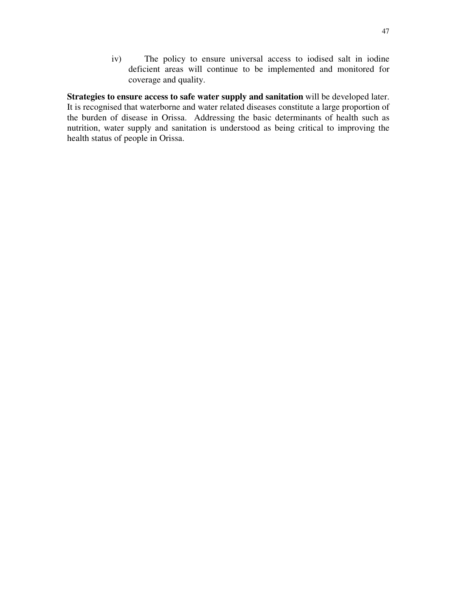iv) The policy to ensure universal access to iodised salt in iodine deficient areas will continue to be implemented and monitored for coverage and quality.

**Strategies to ensure access to safe water supply and sanitation** will be developed later. It is recognised that waterborne and water related diseases constitute a large proportion of the burden of disease in Orissa. Addressing the basic determinants of health such as nutrition, water supply and sanitation is understood as being critical to improving the health status of people in Orissa.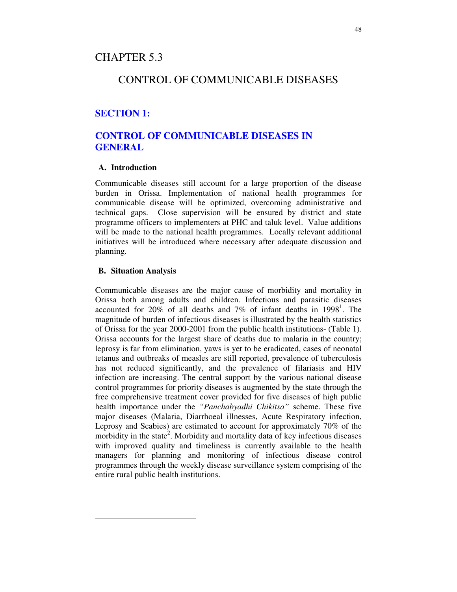# CHAPTER 5.3

# CONTROL OF COMMUNICABLE DISEASES

# **SECTION 1:**

# **CONTROL OF COMMUNICABLE DISEASES IN GENERAL**

## **A. Introduction**

Communicable diseases still account for a large proportion of the disease burden in Orissa. Implementation of national health programmes for communicable disease will be optimized, overcoming administrative and technical gaps. Close supervision will be ensured by district and state programme officers to implementers at PHC and taluk level. Value additions will be made to the national health programmes. Locally relevant additional initiatives will be introduced where necessary after adequate discussion and planning.

#### **B. Situation Analysis**

Communicable diseases are the major cause of morbidity and mortality in Orissa both among adults and children. Infectious and parasitic diseases accounted for 20% of all deaths and 7% of infant deaths in 1998<sup>1</sup>. The magnitude of burden of infectious diseases is illustrated by the health statistics of Orissa for the year 2000-2001 from the public health institutions- (Table 1). Orissa accounts for the largest share of deaths due to malaria in the country; leprosy is far from elimination, yaws is yet to be eradicated, cases of neonatal tetanus and outbreaks of measles are still reported, prevalence of tuberculosis has not reduced significantly, and the prevalence of filariasis and HIV infection are increasing. The central support by the various national disease control programmes for priority diseases is augmented by the state through the free comprehensive treatment cover provided for five diseases of high public health importance under the *"Panchabyadhi Chikitsa"* scheme. These five major diseases (Malaria, Diarrhoeal illnesses, Acute Respiratory infection, Leprosy and Scabies) are estimated to account for approximately 70% of the morbidity in the state<sup>2</sup>. Morbidity and mortality data of key infectious diseases with improved quality and timeliness is currently available to the health managers for planning and monitoring of infectious disease control programmes through the weekly disease surveillance system comprising of the entire rural public health institutions.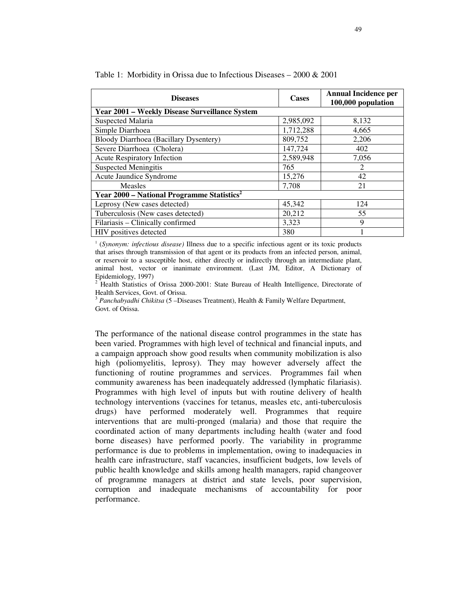| <b>Diseases</b>                                          | <b>Cases</b> | <b>Annual Incidence per</b><br>100,000 population |
|----------------------------------------------------------|--------------|---------------------------------------------------|
| Year 2001 – Weekly Disease Surveillance System           |              |                                                   |
| <b>Suspected Malaria</b>                                 | 2,985,092    | 8,132                                             |
| Simple Diarrhoea                                         | 1,712,288    | 4,665                                             |
| Bloody Diarrhoea (Bacillary Dysentery)                   | 809,752      | 2,206                                             |
| Severe Diarrhoea (Cholera)                               | 147,724      | 402                                               |
| <b>Acute Respiratory Infection</b>                       | 2,589,948    | 7,056                                             |
| <b>Suspected Meningitis</b>                              | 765          | 2                                                 |
| Acute Jaundice Syndrome                                  | 15,276       | 42                                                |
| <b>Measles</b>                                           | 7,708        | 21                                                |
| Year $2000$ – National Programme Statistics <sup>2</sup> |              |                                                   |
| Leprosy (New cases detected)                             | 45,342       | 124                                               |
| Tuberculosis (New cases detected)                        | 20,212       | 55                                                |
| Filariasis - Clinically confirmed                        | 3,323        | 9                                                 |
| HIV positives detected                                   | 380          |                                                   |

Table 1: Morbidity in Orissa due to Infectious Diseases – 2000 & 2001

1 (*Synonym: infectious disease)* Illness due to a specific infectious agent or its toxic products that arises through transmission of that agent or its products from an infected person, animal, or reservoir to a susceptible host, either directly or indirectly through an intermediate plant, animal host, vector or inanimate environment. (Last JM, Editor, A Dictionary of Epidemiology, 1997)

<sup>2</sup> Health Statistics of Orissa 2000-2001: State Bureau of Health Intelligence, Directorate of Health Services, Govt. of Orissa.

3 *Panchabyadhi Chikitsa* (5 –Diseases Treatment), Health & Family Welfare Department, Govt. of Orissa.

The performance of the national disease control programmes in the state has been varied. Programmes with high level of technical and financial inputs, and a campaign approach show good results when community mobilization is also high (poliomyelitis, leprosy). They may however adversely affect the functioning of routine programmes and services. Programmes fail when community awareness has been inadequately addressed (lymphatic filariasis). Programmes with high level of inputs but with routine delivery of health technology interventions (vaccines for tetanus, measles etc, anti-tuberculosis drugs) have performed moderately well. Programmes that require interventions that are multi-pronged (malaria) and those that require the coordinated action of many departments including health (water and food borne diseases) have performed poorly. The variability in programme performance is due to problems in implementation, owing to inadequacies in health care infrastructure, staff vacancies, insufficient budgets, low levels of public health knowledge and skills among health managers, rapid changeover of programme managers at district and state levels, poor supervision, corruption and inadequate mechanisms of accountability for poor performance.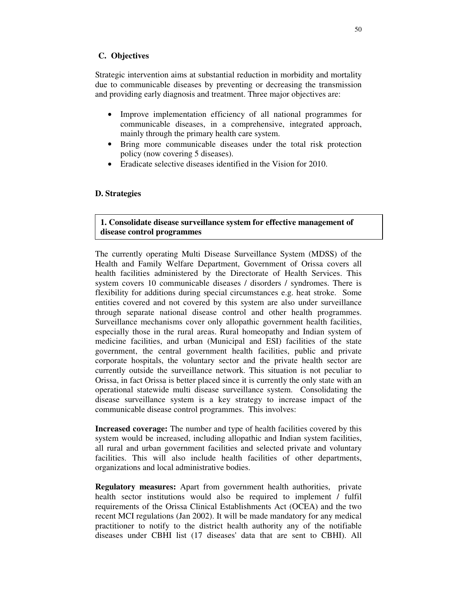## **C. Objectives**

Strategic intervention aims at substantial reduction in morbidity and mortality due to communicable diseases by preventing or decreasing the transmission and providing early diagnosis and treatment. Three major objectives are:

- Improve implementation efficiency of all national programmes for communicable diseases, in a comprehensive, integrated approach, mainly through the primary health care system.
- Bring more communicable diseases under the total risk protection policy (now covering 5 diseases).
- Eradicate selective diseases identified in the Vision for 2010.

#### **D. Strategies**

## **1. Consolidate disease surveillance system for effective management of disease control programmes**

The currently operating Multi Disease Surveillance System (MDSS) of the Health and Family Welfare Department, Government of Orissa covers all health facilities administered by the Directorate of Health Services. This system covers 10 communicable diseases / disorders / syndromes. There is flexibility for additions during special circumstances e.g. heat stroke. Some entities covered and not covered by this system are also under surveillance through separate national disease control and other health programmes. Surveillance mechanisms cover only allopathic government health facilities, especially those in the rural areas. Rural homeopathy and Indian system of medicine facilities, and urban (Municipal and ESI) facilities of the state government, the central government health facilities, public and private corporate hospitals, the voluntary sector and the private health sector are currently outside the surveillance network. This situation is not peculiar to Orissa, in fact Orissa is better placed since it is currently the only state with an operational statewide multi disease surveillance system. Consolidating the disease surveillance system is a key strategy to increase impact of the communicable disease control programmes. This involves:

**Increased coverage:** The number and type of health facilities covered by this system would be increased, including allopathic and Indian system facilities, all rural and urban government facilities and selected private and voluntary facilities. This will also include health facilities of other departments, organizations and local administrative bodies.

**Regulatory measures:** Apart from government health authorities, private health sector institutions would also be required to implement / fulfil requirements of the Orissa Clinical Establishments Act (OCEA) and the two recent MCI regulations (Jan 2002). It will be made mandatory for any medical practitioner to notify to the district health authority any of the notifiable diseases under CBHI list (17 diseases'data that are sent to CBHI). All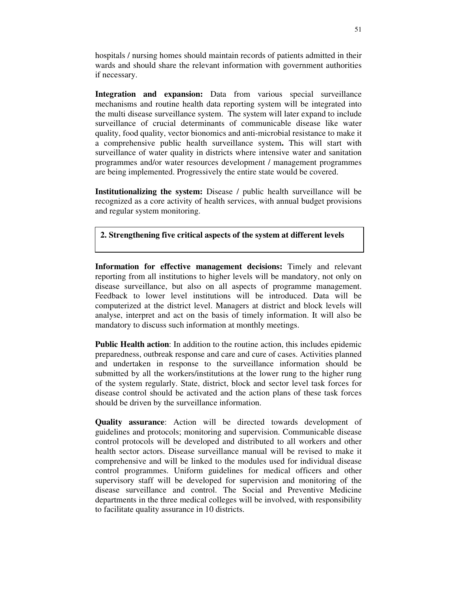hospitals / nursing homes should maintain records of patients admitted in their wards and should share the relevant information with government authorities if necessary.

**Integration and expansion:** Data from various special surveillance mechanisms and routine health data reporting system will be integrated into the multi disease surveillance system. The system will later expand to include surveillance of crucial determinants of communicable disease like water quality, food quality, vector bionomics and anti-microbial resistance to make it a comprehensive public health surveillance system**.** This will start with surveillance of water quality in districts where intensive water and sanitation programmes and/or water resources development / management programmes are being implemented. Progressively the entire state would be covered.

**Institutionalizing the system:** Disease / public health surveillance will be recognized as a core activity of health services, with annual budget provisions and regular system monitoring.

**2. Strengthening five critical aspects of the system at different levels**

**Information for effective management decisions:** Timely and relevant reporting from all institutions to higher levels will be mandatory, not only on disease surveillance, but also on all aspects of programme management. Feedback to lower level institutions will be introduced. Data will be computerized at the district level. Managers at district and block levels will analyse, interpret and act on the basis of timely information. It will also be mandatory to discuss such information at monthly meetings.

**Public Health action**: In addition to the routine action, this includes epidemic preparedness, outbreak response and care and cure of cases. Activities planned and undertaken in response to the surveillance information should be submitted by all the workers/institutions at the lower rung to the higher rung of the system regularly. State, district, block and sector level task forces for disease control should be activated and the action plans of these task forces should be driven by the surveillance information.

**Quality assurance**: Action will be directed towards development of guidelines and protocols; monitoring and supervision. Communicable disease control protocols will be developed and distributed to all workers and other health sector actors. Disease surveillance manual will be revised to make it comprehensive and will be linked to the modules used for individual disease control programmes. Uniform guidelines for medical officers and other supervisory staff will be developed for supervision and monitoring of the disease surveillance and control. The Social and Preventive Medicine departments in the three medical colleges will be involved, with responsibility to facilitate quality assurance in 10 districts.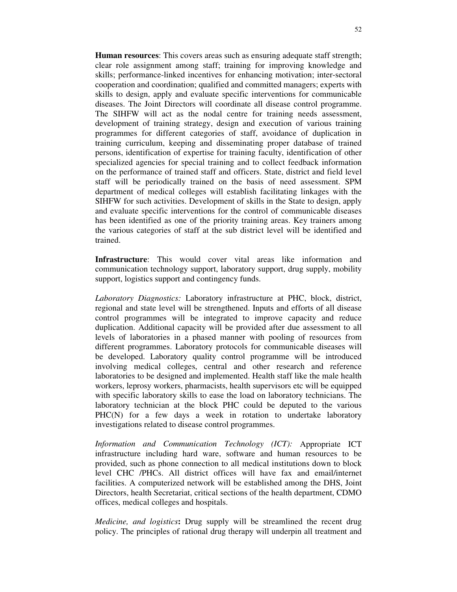**Human resources**: This covers areas such as ensuring adequate staff strength; clear role assignment among staff; training for improving knowledge and skills; performance-linked incentives for enhancing motivation; inter-sectoral cooperation and coordination; qualified and committed managers; experts with skills to design, apply and evaluate specific interventions for communicable diseases. The Joint Directors will coordinate all disease control programme. The SIHFW will act as the nodal centre for training needs assessment, development of training strategy, design and execution of various training programmes for different categories of staff, avoidance of duplication in training curriculum, keeping and disseminating proper database of trained persons, identification of expertise for training faculty, identification of other specialized agencies for special training and to collect feedback information on the performance of trained staff and officers. State, district and field level staff will be periodically trained on the basis of need assessment. SPM department of medical colleges will establish facilitating linkages with the SIHFW for such activities. Development of skills in the State to design, apply and evaluate specific interventions for the control of communicable diseases has been identified as one of the priority training areas. Key trainers among the various categories of staff at the sub district level will be identified and trained.

**Infrastructure**: This would cover vital areas like information and communication technology support, laboratory support, drug supply, mobility support, logistics support and contingency funds.

*Laboratory Diagnostics:* Laboratory infrastructure at PHC, block, district, regional and state level will be strengthened. Inputs and efforts of all disease control programmes will be integrated to improve capacity and reduce duplication. Additional capacity will be provided after due assessment to all levels of laboratories in a phased manner with pooling of resources from different programmes. Laboratory protocols for communicable diseases will be developed. Laboratory quality control programme will be introduced involving medical colleges, central and other research and reference laboratories to be designed and implemented. Health staff like the male health workers, leprosy workers, pharmacists, health supervisors etc will be equipped with specific laboratory skills to ease the load on laboratory technicians. The laboratory technician at the block PHC could be deputed to the various PHC(N) for a few days a week in rotation to undertake laboratory investigations related to disease control programmes.

*Information and Communication Technology (ICT):* Appropriate ICT infrastructure including hard ware, software and human resources to be provided, such as phone connection to all medical institutions down to block level CHC /PHCs. All district offices will have fax and email/internet facilities. A computerized network will be established among the DHS, Joint Directors, health Secretariat, critical sections of the health department, CDMO offices, medical colleges and hospitals.

*Medicine, and logistics***:** Drug supply will be streamlined the recent drug policy. The principles of rational drug therapy will underpin all treatment and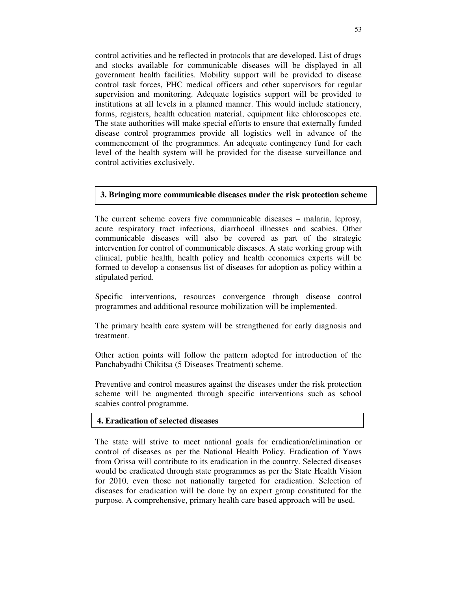control activities and be reflected in protocols that are developed. List of drugs and stocks available for communicable diseases will be displayed in all government health facilities. Mobility support will be provided to disease control task forces, PHC medical officers and other supervisors for regular supervision and monitoring. Adequate logistics support will be provided to institutions at all levels in a planned manner. This would include stationery, forms, registers, health education material, equipment like chloroscopes etc. The state authorities will make special efforts to ensure that externally funded disease control programmes provide all logistics well in advance of the commencement of the programmes. An adequate contingency fund for each level of the health system will be provided for the disease surveillance and control activities exclusively.

#### **3. Bringing more communicable diseases under the risk protection scheme**

The current scheme covers five communicable diseases – malaria, leprosy, acute respiratory tract infections, diarrhoeal illnesses and scabies. Other communicable diseases will also be covered as part of the strategic intervention for control of communicable diseases. A state working group with clinical, public health, health policy and health economics experts will be formed to develop a consensus list of diseases for adoption as policy within a stipulated period.

Specific interventions, resources convergence through disease control programmes and additional resource mobilization will be implemented.

The primary health care system will be strengthened for early diagnosis and treatment.

Other action points will follow the pattern adopted for introduction of the Panchabyadhi Chikitsa (5 Diseases Treatment) scheme.

Preventive and control measures against the diseases under the risk protection scheme will be augmented through specific interventions such as school scabies control programme.

#### **4. Eradication of selected diseases**

The state will strive to meet national goals for eradication/elimination or control of diseases as per the National Health Policy. Eradication of Yaws from Orissa will contribute to its eradication in the country. Selected diseases would be eradicated through state programmes as per the State Health Vision for 2010, even those not nationally targeted for eradication. Selection of diseases for eradication will be done by an expert group constituted for the purpose. A comprehensive, primary health care based approach will be used.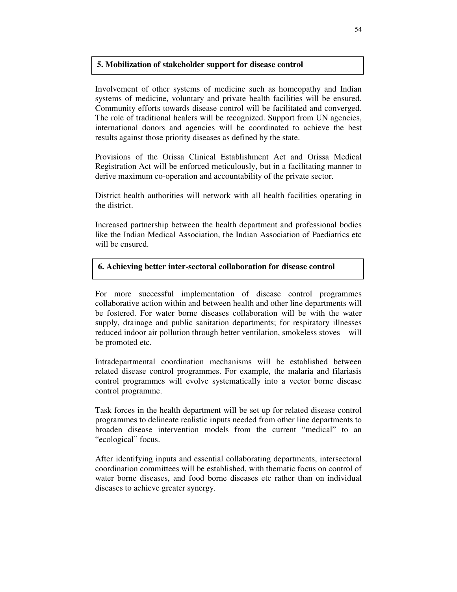#### **5. Mobilization of stakeholder support for disease control**

Involvement of other systems of medicine such as homeopathy and Indian systems of medicine, voluntary and private health facilities will be ensured. Community efforts towards disease control will be facilitated and converged. The role of traditional healers will be recognized. Support from UN agencies, international donors and agencies will be coordinated to achieve the best results against those priority diseases as defined by the state.

Provisions of the Orissa Clinical Establishment Act and Orissa Medical Registration Act will be enforced meticulously, but in a facilitating manner to derive maximum co-operation and accountability of the private sector.

District health authorities will network with all health facilities operating in the district.

Increased partnership between the health department and professional bodies like the Indian Medical Association, the Indian Association of Paediatrics etc will be ensured.

## **6. Achieving better inter-sectoral collaboration for disease control**

For more successful implementation of disease control programmes collaborative action within and between health and other line departments will be fostered. For water borne diseases collaboration will be with the water supply, drainage and public sanitation departments; for respiratory illnesses reduced indoor air pollution through better ventilation, smokeless stoves will be promoted etc.

Intradepartmental coordination mechanisms will be established between related disease control programmes. For example, the malaria and filariasis control programmes will evolve systematically into a vector borne disease control programme.

Task forces in the health department will be set up for related disease control programmes to delineate realistic inputs needed from other line departments to broaden disease intervention models from the current "medical" to an "ecological" focus.

After identifying inputs and essential collaborating departments, intersectoral coordination committees will be established, with thematic focus on control of water borne diseases, and food borne diseases etc rather than on individual diseases to achieve greater synergy.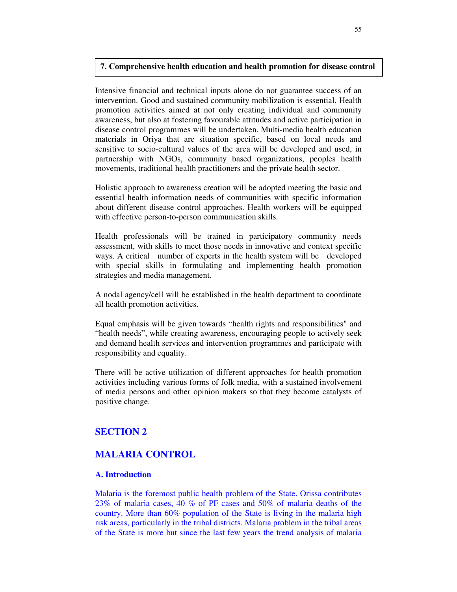#### **7. Comprehensive health education and health promotion for disease control**

Intensive financial and technical inputs alone do not guarantee success of an intervention. Good and sustained community mobilization is essential. Health promotion activities aimed at not only creating individual and community awareness, but also at fostering favourable attitudes and active participation in disease control programmes will be undertaken. Multi-media health education materials in Oriya that are situation specific, based on local needs and sensitive to socio-cultural values of the area will be developed and used, in partnership with NGOs, community based organizations, peoples health movements, traditional health practitioners and the private health sector.

Holistic approach to awareness creation will be adopted meeting the basic and essential health information needs of communities with specific information about different disease control approaches. Health workers will be equipped with effective person-to-person communication skills.

Health professionals will be trained in participatory community needs assessment, with skills to meet those needs in innovative and context specific ways. A critical number of experts in the health system will be developed with special skills in formulating and implementing health promotion strategies and media management.

A nodal agency/cell will be established in the health department to coordinate all health promotion activities.

Equal emphasis will be given towards "health rights and responsibilities" and "health needs", while creating awareness, encouraging people to actively seek and demand health services and intervention programmes and participate with responsibility and equality.

There will be active utilization of different approaches for health promotion activities including various forms of folk media, with a sustained involvement of media persons and other opinion makers so that they become catalysts of positive change.

# **SECTION 2**

# **MALARIA CONTROL**

#### **A. Introduction**

Malaria is the foremost public health problem of the State. Orissa contributes 23% of malaria cases, 40 % of PF cases and 50% of malaria deaths of the country. More than 60% population of the State is living in the malaria high risk areas, particularly in the tribal districts. Malaria problem in the tribal areas of the State is more but since the last few years the trend analysis of malaria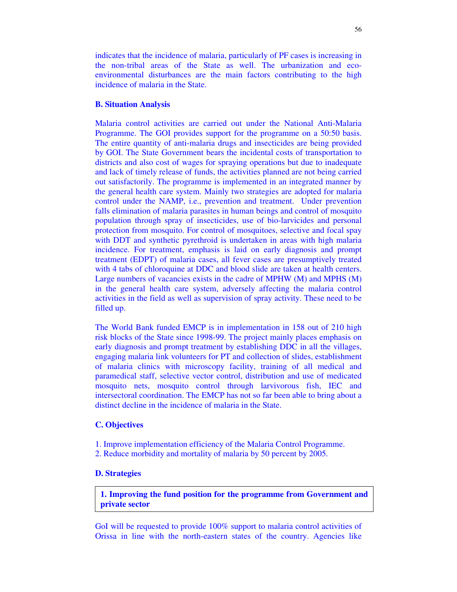indicates that the incidence of malaria, particularly of PF cases is increasing in the non-tribal areas of the State as well. The urbanization and ecoenvironmental disturbances are the main factors contributing to the high incidence of malaria in the State.

#### **B. Situation Analysis**

Malaria control activities are carried out under the National Anti-Malaria Programme. The GOI provides support for the programme on a 50:50 basis. The entire quantity of anti-malaria drugs and insecticides are being provided by GOI. The State Government bears the incidental costs of transportation to districts and also cost of wages for spraying operations but due to inadequate and lack of timely release of funds, the activities planned are not being carried out satisfactorily. The programme is implemented in an integrated manner by the general health care system. Mainly two strategies are adopted for malaria control under the NAMP, i.e., prevention and treatment. Under prevention falls elimination of malaria parasites in human beings and control of mosquito population through spray of insecticides, use of bio-larvicides and personal protection from mosquito. For control of mosquitoes, selective and focal spay with DDT and synthetic pyrethroid is undertaken in areas with high malaria incidence. For treatment, emphasis is laid on early diagnosis and prompt treatment (EDPT) of malaria cases, all fever cases are presumptively treated with 4 tabs of chloroquine at DDC and blood slide are taken at health centers. Large numbers of vacancies exists in the cadre of MPHW (M) and MPHS (M) in the general health care system, adversely affecting the malaria control activities in the field as well as supervision of spray activity. These need to be filled up.

The World Bank funded EMCP is in implementation in 158 out of 210 high risk blocks of the State since 1998-99. The project mainly places emphasis on early diagnosis and prompt treatment by establishing DDC in all the villages, engaging malaria link volunteers for PT and collection of slides, establishment of malaria clinics with microscopy facility, training of all medical and paramedical staff, selective vector control, distribution and use of medicated mosquito nets, mosquito control through larvivorous fish, IEC and intersectoral coordination. The EMCP has not so far been able to bring about a distinct decline in the incidence of malaria in the State.

#### **C. Objectives**

1. Improve implementation efficiency of the Malaria Control Programme.

2. Reduce morbidity and mortality of malaria by 50 percent by 2005.

## **D. Strategies**

**1. Improving the fund position for the programme from Government and private sector**

GoI will be requested to provide 100% support to malaria control activities of Orissa in line with the north-eastern states of the country. Agencies like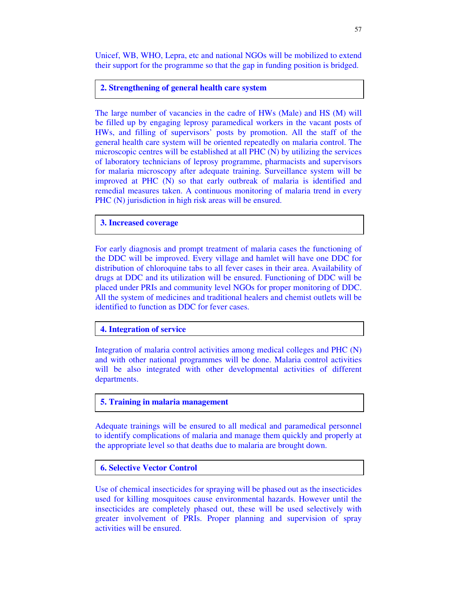Unicef, WB, WHO, Lepra, etc and national NGOs will be mobilized to extend their support for the programme so that the gap in funding position is bridged.

#### **2. Strengthening of general health care system**

The large number of vacancies in the cadre of HWs (Male) and HS (M) will be filled up by engaging leprosy paramedical workers in the vacant posts of HWs, and filling of supervisors' posts by promotion. All the staff of the general health care system will be oriented repeatedly on malaria control. The microscopic centres will be established at all PHC (N) by utilizing the services of laboratory technicians of leprosy programme, pharmacists and supervisors for malaria microscopy after adequate training. Surveillance system will be improved at PHC (N) so that early outbreak of malaria is identified and remedial measures taken. A continuous monitoring of malaria trend in every PHC (N) jurisdiction in high risk areas will be ensured.

## **3. Increased coverage**

For early diagnosis and prompt treatment of malaria cases the functioning of the DDC will be improved. Every village and hamlet will have one DDC for distribution of chloroquine tabs to all fever cases in their area. Availability of drugs at DDC and its utilization will be ensured. Functioning of DDC will be placed under PRIs and community level NGOs for proper monitoring of DDC. All the system of medicines and traditional healers and chemist outlets will be identified to function as DDC for fever cases.

#### **4. Integration of service**

Integration of malaria control activities among medical colleges and PHC (N) and with other national programmes will be done. Malaria control activities will be also integrated with other developmental activities of different departments.

## **5. Training in malaria management**

Adequate trainings will be ensured to all medical and paramedical personnel to identify complications of malaria and manage them quickly and properly at the appropriate level so that deaths due to malaria are brought down.

## **6. Selective Vector Control**

Use of chemical insecticides for spraying will be phased out as the insecticides used for killing mosquitoes cause environmental hazards. However until the insecticides are completely phased out, these will be used selectively with greater involvement of PRIs. Proper planning and supervision of spray activities will be ensured.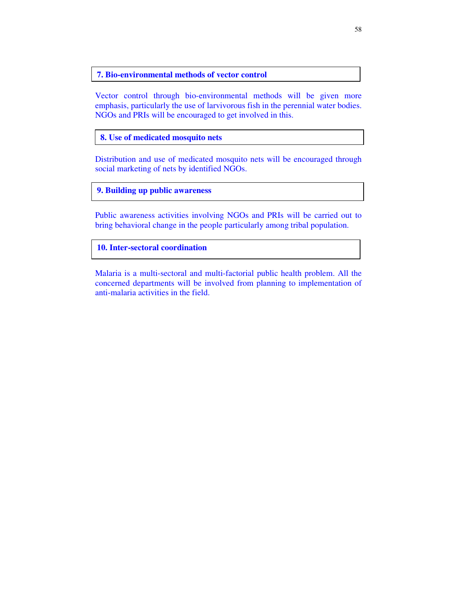#### **7. Bio-environmental methods of vector control**

Vector control through bio-environmental methods will be given more emphasis, particularly the use of larvivorous fish in the perennial water bodies. NGOs and PRIs will be encouraged to get involved in this.

**8. Use of medicated mosquito nets**

Distribution and use of medicated mosquito nets will be encouraged through social marketing of nets by identified NGOs.

## **9. Building up public awareness**

Public awareness activities involving NGOs and PRIs will be carried out to bring behavioral change in the people particularly among tribal population.

**10. Inter-sectoral coordination**

Malaria is a multi-sectoral and multi-factorial public health problem. All the concerned departments will be involved from planning to implementation of anti-malaria activities in the field.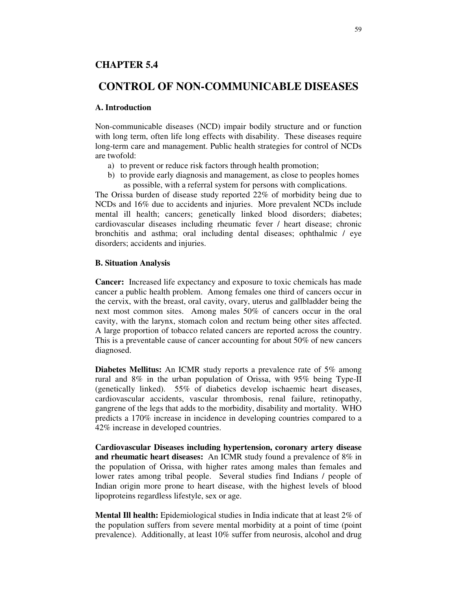## **CHAPTER 5.4**

# **CONTROL OF NON-COMMUNICABLE DISEASES**

#### **A. Introduction**

Non-communicable diseases (NCD) impair bodily structure and or function with long term, often life long effects with disability. These diseases require long-term care and management. Public health strategies for control of NCDs are twofold:

- a) to prevent or reduce risk factors through health promotion;
- b) to provide early diagnosis and management, as close to peoples homes as possible, with a referral system for persons with complications.

The Orissa burden of disease study reported 22% of morbidity being due to NCDs and 16% due to accidents and injuries. More prevalent NCDs include mental ill health; cancers; genetically linked blood disorders; diabetes; cardiovascular diseases including rheumatic fever / heart disease; chronic bronchitis and asthma; oral including dental diseases; ophthalmic / eye disorders; accidents and injuries.

#### **B. Situation Analysis**

**Cancer:** Increased life expectancy and exposure to toxic chemicals has made cancer a public health problem. Among females one third of cancers occur in the cervix, with the breast, oral cavity, ovary, uterus and gallbladder being the next most common sites. Among males 50% of cancers occur in the oral cavity, with the larynx, stomach colon and rectum being other sites affected. A large proportion of tobacco related cancers are reported across the country. This is a preventable cause of cancer accounting for about 50% of new cancers diagnosed.

**Diabetes Mellitus:** An ICMR study reports a prevalence rate of 5% among rural and 8% in the urban population of Orissa, with 95% being Type-II (genetically linked). 55% of diabetics develop ischaemic heart diseases, cardiovascular accidents, vascular thrombosis, renal failure, retinopathy, gangrene of the legs that adds to the morbidity, disability and mortality. WHO predicts a 170% increase in incidence in developing countries compared to a 42% increase in developed countries.

**Cardiovascular Diseases including hypertension, coronary artery disease and rheumatic heart diseases:** An ICMR study found a prevalence of 8% in the population of Orissa, with higher rates among males than females and lower rates among tribal people. Several studies find Indians / people of Indian origin more prone to heart disease, with the highest levels of blood lipoproteins regardless lifestyle, sex or age.

**Mental Ill health:** Epidemiological studies in India indicate that at least 2% of the population suffers from severe mental morbidity at a point of time (point prevalence). Additionally, at least 10% suffer from neurosis, alcohol and drug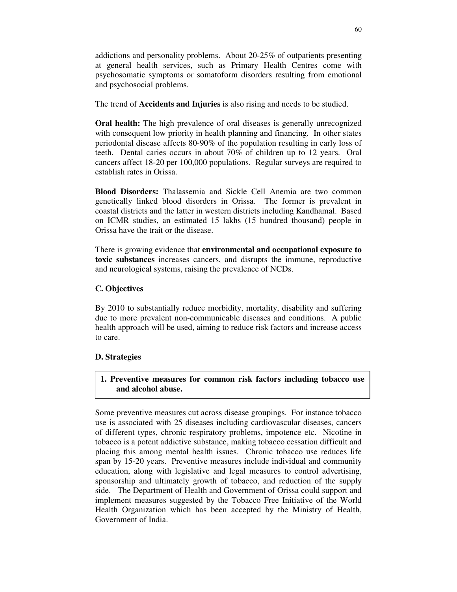addictions and personality problems. About 20-25% of outpatients presenting at general health services, such as Primary Health Centres come with psychosomatic symptoms or somatoform disorders resulting from emotional and psychosocial problems.

The trend of **Accidents and Injuries** is also rising and needs to be studied.

**Oral health:** The high prevalence of oral diseases is generally unrecognized with consequent low priority in health planning and financing. In other states periodontal disease affects 80-90% of the population resulting in early loss of teeth. Dental caries occurs in about 70% of children up to 12 years. Oral cancers affect 18-20 per 100,000 populations. Regular surveys are required to establish rates in Orissa.

**Blood Disorders:** Thalassemia and Sickle Cell Anemia are two common genetically linked blood disorders in Orissa. The former is prevalent in coastal districts and the latter in western districts including Kandhamal. Based on ICMR studies, an estimated 15 lakhs (15 hundred thousand) people in Orissa have the trait or the disease.

There is growing evidence that **environmental and occupational exposure to toxic substances** increases cancers, and disrupts the immune, reproductive and neurological systems, raising the prevalence of NCDs.

# **C. Objectives**

By 2010 to substantially reduce morbidity, mortality, disability and suffering due to more prevalent non-communicable diseases and conditions. A public health approach will be used, aiming to reduce risk factors and increase access to care.

# **D. Strategies**

**1. Preventive measures for common risk factors including tobacco use and alcohol abuse.**

Some preventive measures cut across disease groupings. For instance tobacco use is associated with 25 diseases including cardiovascular diseases, cancers of different types, chronic respiratory problems, impotence etc. Nicotine in tobacco is a potent addictive substance, making tobacco cessation difficult and placing this among mental health issues. Chronic tobacco use reduces life span by 15-20 years. Preventive measures include individual and community education, along with legislative and legal measures to control advertising, sponsorship and ultimately growth of tobacco, and reduction of the supply side. The Department of Health and Government of Orissa could support and implement measures suggested by the Tobacco Free Initiative of the World Health Organization which has been accepted by the Ministry of Health, Government of India.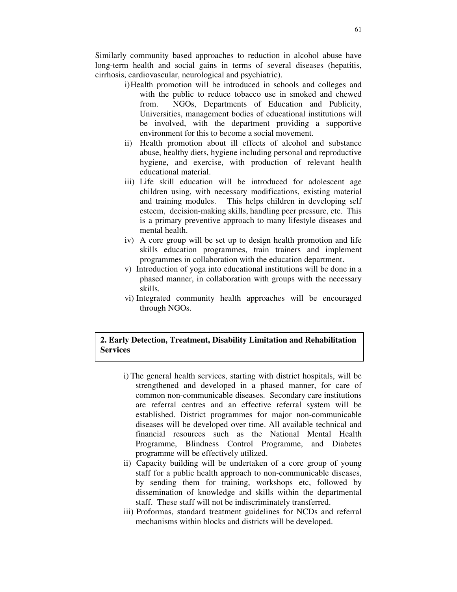Similarly community based approaches to reduction in alcohol abuse have long-term health and social gains in terms of several diseases (hepatitis, cirrhosis, cardiovascular, neurological and psychiatric).

- i)Health promotion will be introduced in schools and colleges and with the public to reduce tobacco use in smoked and chewed from. NGOs, Departments of Education and Publicity, Universities, management bodies of educational institutions will be involved, with the department providing a supportive environment for this to become a social movement.
- ii) Health promotion about ill effects of alcohol and substance abuse, healthy diets, hygiene including personal and reproductive hygiene, and exercise, with production of relevant health educational material.
- iii) Life skill education will be introduced for adolescent age children using, with necessary modifications, existing material and training modules. This helps children in developing self esteem, decision-making skills, handling peer pressure, etc. This is a primary preventive approach to many lifestyle diseases and mental health.
- iv) A core group will be set up to design health promotion and life skills education programmes, train trainers and implement programmes in collaboration with the education department.
- v) Introduction of yoga into educational institutions will be done in a phased manner, in collaboration with groups with the necessary skills.
- vi) Integrated community health approaches will be encouraged through NGOs.

## **2. Early Detection, Treatment, Disability Limitation and Rehabilitation Services**

- i) The general health services, starting with district hospitals, will be strengthened and developed in a phased manner, for care of common non-communicable diseases. Secondary care institutions are referral centres and an effective referral system will be established. District programmes for major non-communicable diseases will be developed over time. All available technical and financial resources such as the National Mental Health Programme, Blindness Control Programme, and Diabetes programme will be effectively utilized.
- ii) Capacity building will be undertaken of a core group of young staff for a public health approach to non-communicable diseases, by sending them for training, workshops etc, followed by dissemination of knowledge and skills within the departmental staff. These staff will not be indiscriminately transferred.
- iii) Proformas, standard treatment guidelines for NCDs and referral mechanisms within blocks and districts will be developed.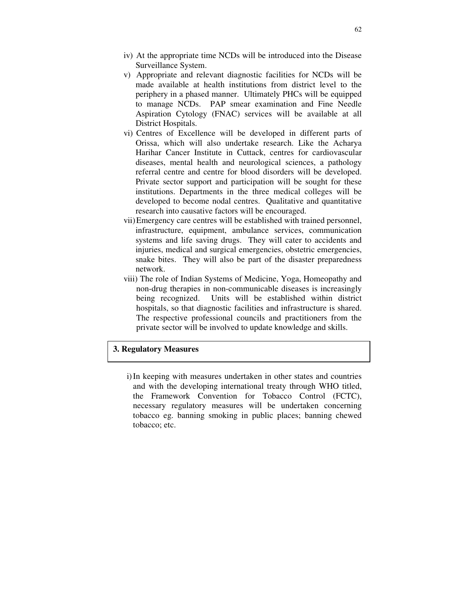- iv) At the appropriate time NCDs will be introduced into the Disease Surveillance System.
- v) Appropriate and relevant diagnostic facilities for NCDs will be made available at health institutions from district level to the periphery in a phased manner. Ultimately PHCs will be equipped to manage NCDs. PAP smear examination and Fine Needle Aspiration Cytology (FNAC) services will be available at all District Hospitals.
- vi) Centres of Excellence will be developed in different parts of Orissa, which will also undertake research. Like the Acharya Harihar Cancer Institute in Cuttack, centres for cardiovascular diseases, mental health and neurological sciences, a pathology referral centre and centre for blood disorders will be developed. Private sector support and participation will be sought for these institutions. Departments in the three medical colleges will be developed to become nodal centres. Qualitative and quantitative research into causative factors will be encouraged.
- vii)Emergency care centres will be established with trained personnel, infrastructure, equipment, ambulance services, communication systems and life saving drugs. They will cater to accidents and injuries, medical and surgical emergencies, obstetric emergencies, snake bites. They will also be part of the disaster preparedness network.
- viii) The role of Indian Systems of Medicine, Yoga, Homeopathy and non-drug therapies in non-communicable diseases is increasingly being recognized. Units will be established within district hospitals, so that diagnostic facilities and infrastructure is shared. The respective professional councils and practitioners from the private sector will be involved to update knowledge and skills.

# **3. Regulatory Measures**

i)In keeping with measures undertaken in other states and countries and with the developing international treaty through WHO titled, the Framework Convention for Tobacco Control (FCTC), necessary regulatory measures will be undertaken concerning tobacco eg. banning smoking in public places; banning chewed tobacco; etc.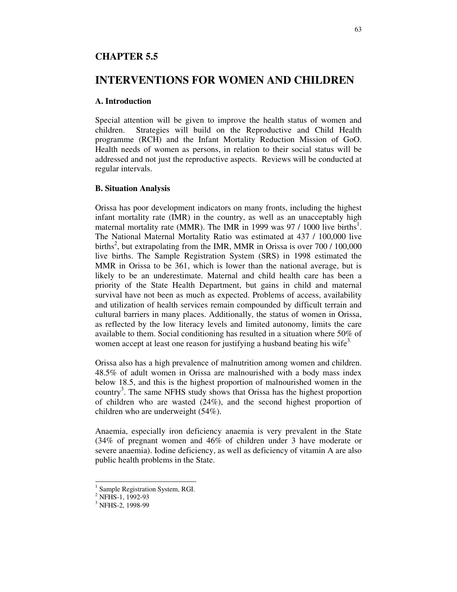## **CHAPTER 5.5**

# **INTERVENTIONS FOR WOMEN AND CHILDREN**

#### **A. Introduction**

Special attention will be given to improve the health status of women and children. Strategies will build on the Reproductive and Child Health programme (RCH) and the Infant Mortality Reduction Mission of GoO. Health needs of women as persons, in relation to their social status will be addressed and not just the reproductive aspects. Reviews will be conducted at regular intervals.

#### **B. Situation Analysis**

Orissa has poor development indicators on many fronts, including the highest infant mortality rate (IMR) in the country, as well as an unacceptably high maternal mortality rate (MMR). The IMR in 1999 was 97 / 1000 live births<sup>1</sup>. The National Maternal Mortality Ratio was estimated at 437 / 100,000 live births<sup>2</sup>, but extrapolating from the IMR, MMR in Orissa is over 700 / 100,000 live births. The Sample Registration System (SRS) in 1998 estimated the MMR in Orissa to be 361, which is lower than the national average, but is likely to be an underestimate. Maternal and child health care has been a priority of the State Health Department, but gains in child and maternal survival have not been as much as expected. Problems of access, availability and utilization of health services remain compounded by difficult terrain and cultural barriers in many places. Additionally, the status of women in Orissa, as reflected by the low literacy levels and limited autonomy, limits the care available to them. Social conditioning has resulted in a situation where 50% of women accept at least one reason for justifying a husband beating his wife<sup>3.</sup>

Orissa also has a high prevalence of malnutrition among women and children. 48.5% of adult women in Orissa are malnourished with a body mass index below 18.5, and this is the highest proportion of malnourished women in the country 3 . The same NFHS study shows that Orissa has the highest proportion of children who are wasted (24%), and the second highest proportion of children who are underweight (54%).

Anaemia, especially iron deficiency anaemia is very prevalent in the State (34% of pregnant women and 46% of children under 3 have moderate or severe anaemia). Iodine deficiency, as well as deficiency of vitamin A are also public health problems in the State.

<sup>&</sup>lt;sup>1</sup> Sample Registration System, RGI.

<sup>&</sup>lt;sup>2</sup> NFHS-1, 1992-93

<sup>&</sup>lt;sup>3</sup> NFHS-2, 1998-99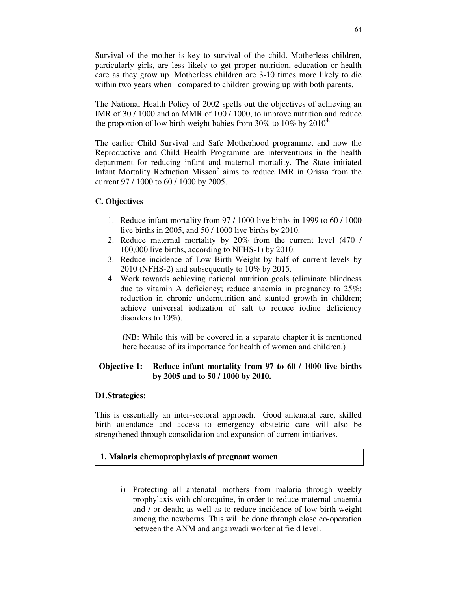Survival of the mother is key to survival of the child. Motherless children, particularly girls, are less likely to get proper nutrition, education or health care as they grow up. Motherless children are 3-10 times more likely to die within two years when compared to children growing up with both parents.

The National Health Policy of 2002 spells out the objectives of achieving an IMR of 30 / 1000 and an MMR of 100 / 1000, to improve nutrition and reduce the proportion of low birth weight babies from 30% to 10% by 2010<sup>4.</sup>

The earlier Child Survival and Safe Motherhood programme, and now the Reproductive and Child Health Programme are interventions in the health department for reducing infant and maternal mortality. The State initiated Infant Mortality Reduction Misson<sup>5</sup> aims to reduce IMR in Orissa from the current 97 / 1000 to 60 / 1000 by 2005.

## **C. Objectives**

- 1. Reduce infant mortality from 97 / 1000 live births in 1999 to 60 / 1000 live births in 2005, and 50 / 1000 live births by 2010.
- 2. Reduce maternal mortality by 20% from the current level (470 / 100,000 live births, according to NFHS-1) by 2010.
- 3. Reduce incidence of Low Birth Weight by half of current levels by 2010 (NFHS-2) and subsequently to 10% by 2015.
- 4. Work towards achieving national nutrition goals (eliminate blindness due to vitamin A deficiency; reduce anaemia in pregnancy to 25%; reduction in chronic undernutrition and stunted growth in children; achieve universal iodization of salt to reduce iodine deficiency disorders to 10%).

(NB: While this will be covered in a separate chapter it is mentioned here because of its importance for health of women and children.)

## **Objective 1: Reduce infant mortality from 97 to 60 / 1000 live births by 2005 and to 50 / 1000 by 2010.**

## **D1.Strategies:**

This is essentially an inter-sectoral approach. Good antenatal care, skilled birth attendance and access to emergency obstetric care will also be strengthened through consolidation and expansion of current initiatives.

## **1. Malaria chemoprophylaxis of pregnant women**

i) Protecting all antenatal mothers from malaria through weekly prophylaxis with chloroquine, in order to reduce maternal anaemia and / or death; as well as to reduce incidence of low birth weight among the newborns. This will be done through close co-operation between the ANM and anganwadi worker at field level.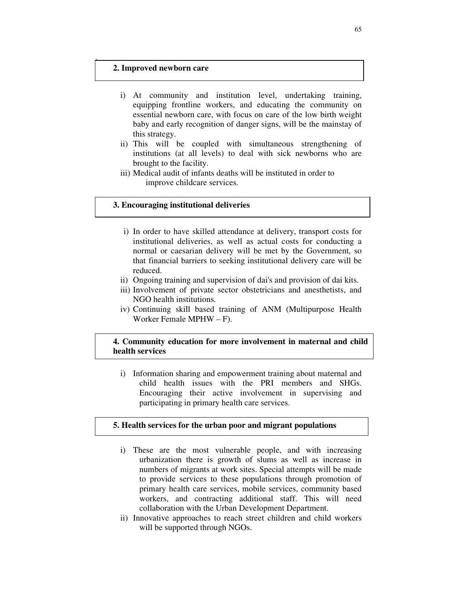# **2. Improved newborn care**

- i) At community and institution level, undertaking training, equipping frontline workers, and educating the community on essential newborn care, with focus on care of the low birth weight baby and early recognition of danger signs, will be the mainstay of this strategy.
- ii) This will be coupled with simultaneous strengthening of institutions (at all levels) to deal with sick newborns who are brought to the facility.
- iii) Medical audit of infants deaths will be instituted in order to improve childcare services.

#### **3. Encouraging institutional deliveries**

- i) In order to have skilled attendance at delivery, transport costs for institutional deliveries, as well as actual costs for conducting a normal or caesarian delivery will be met by the Government, so that financial barriers to seeking institutional delivery care will be reduced.
- ii) Ongoing training and supervision of dai's and provision of dai kits.
- iii) Involvement of private sector obstetricians and anesthetists, and NGO health institutions.
- iv) Continuing skill based training of ANM (Multipurpose Health Worker Female MPHW – F).

## **4. Community education for more involvement in maternal and child health services**

i) Information sharing and empowerment training about maternal and child health issues with the PRI members and SHGs. Encouraging their active involvement in supervising and participating in primary health care services.

#### **5. Health services for the urban poor and migrant populations**

- i) These are the most vulnerable people, and with increasing urbanization there is growth of slums as well as increase in numbers of migrants at work sites. Special attempts will be made to provide services to these populations through promotion of primary health care services, mobile services, community based workers, and contracting additional staff. This will need collaboration with the Urban Development Department.
- ii) Innovative approaches to reach street children and child workers will be supported through NGOs.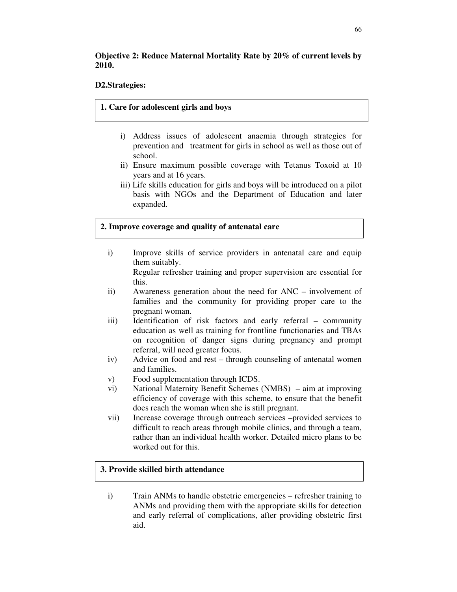# **Objective 2: Reduce Maternal Mortality Rate by 20% of current levels by 2010.**

## **D2.Strategies:**

## **1. Care for adolescent girls and boys**

- i) Address issues of adolescent anaemia through strategies for prevention and treatment for girls in school as well as those out of school.
- ii) Ensure maximum possible coverage with Tetanus Toxoid at 10 years and at 16 years.
- iii) Life skills education for girls and boys will be introduced on a pilot basis with NGOs and the Department of Education and later expanded.

## **2. Improve coverage and quality of antenatal care**

i) Improve skills of service providers in antenatal care and equip them suitably.

Regular refresher training and proper supervision are essential for this.

- ii) Awareness generation about the need for ANC involvement of families and the community for providing proper care to the pregnant woman.
- iii) Identification of risk factors and early referral community education as well as training for frontline functionaries and TBAs on recognition of danger signs during pregnancy and prompt referral, will need greater focus.
- iv) Advice on food and rest through counseling of antenatal women and families.
- v) Food supplementation through ICDS.
- vi) National Maternity Benefit Schemes (NMBS) aim at improving efficiency of coverage with this scheme, to ensure that the benefit does reach the woman when she is still pregnant.
- vii) Increase coverage through outreach services –provided services to difficult to reach areas through mobile clinics, and through a team, rather than an individual health worker. Detailed micro plans to be worked out for this.

## **3. Provide skilled birth attendance**

i) Train ANMs to handle obstetric emergencies – refresher training to ANMs and providing them with the appropriate skills for detection and early referral of complications, after providing obstetric first aid.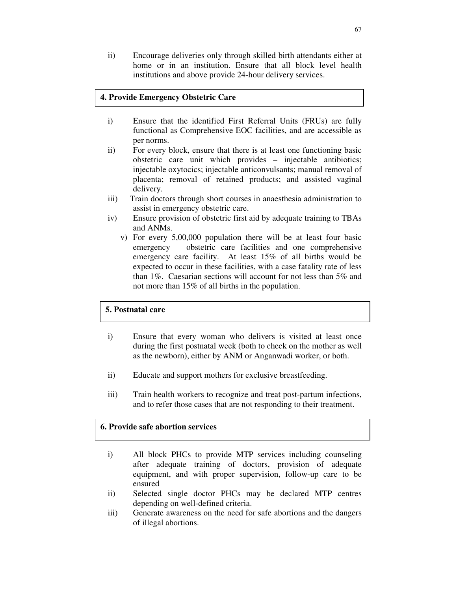ii) Encourage deliveries only through skilled birth attendants either at home or in an institution. Ensure that all block level health institutions and above provide 24-hour delivery services.

## **4. Provide Emergency Obstetric Care**

- i) Ensure that the identified First Referral Units (FRUs) are fully functional as Comprehensive EOC facilities, and are accessible as per norms.
- ii) For every block, ensure that there is at least one functioning basic obstetric care unit which provides – injectable antibiotics; injectable oxytocics; injectable anticonvulsants; manual removal of placenta; removal of retained products; and assisted vaginal delivery.
- iii) Train doctors through short courses in anaesthesia administration to assist in emergency obstetric care.
- iv) Ensure provision of obstetric first aid by adequate training to TBAs and ANMs.
	- v) For every 5,00,000 population there will be at least four basic emergency obstetric care facilities and one comprehensive emergency care facility. At least 15% of all births would be expected to occur in these facilities, with a case fatality rate of less than 1%. Caesarian sections will account for not less than 5% and not more than 15% of all births in the population.

#### **5. Postnatal care**

- i) Ensure that every woman who delivers is visited at least once during the first postnatal week (both to check on the mother as well as the newborn), either by ANM or Anganwadi worker, or both.
- ii) Educate and support mothers for exclusive breastfeeding.
- iii) Train health workers to recognize and treat post-partum infections, and to refer those cases that are not responding to their treatment.

#### **6. Provide safe abortion services**

- i) All block PHCs to provide MTP services including counseling after adequate training of doctors, provision of adequate equipment, and with proper supervision, follow-up care to be ensured
- ii) Selected single doctor PHCs may be declared MTP centres depending on well-defined criteria.
- iii) Generate awareness on the need for safe abortions and the dangers of illegal abortions.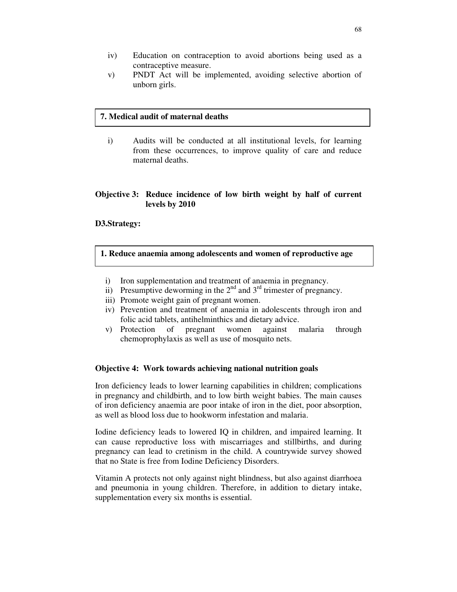- iv) Education on contraception to avoid abortions being used as a contraceptive measure.
- v) PNDT Act will be implemented, avoiding selective abortion of unborn girls.

#### **7. Medical audit of maternal deaths**

i) Audits will be conducted at all institutional levels, for learning from these occurrences, to improve quality of care and reduce maternal deaths.

#### **Objective 3: Reduce incidence of low birth weight by half of current levels by 2010**

#### **D3.Strategy:**

#### **1. Reduce anaemia among adolescents and women of reproductive age**

- i) Iron supplementation and treatment of anaemia in pregnancy.
- ii) Presumptive deworming in the  $2<sup>nd</sup>$  and  $3<sup>rd</sup>$  trimester of pregnancy.
- iii) Promote weight gain of pregnant women.
- iv) Prevention and treatment of anaemia in adolescents through iron and folic acid tablets, antihelminthics and dietary advice.
- v) Protection of pregnant women against malaria through chemoprophylaxis as well as use of mosquito nets.

#### **Objective 4: Work towards achieving national nutrition goals**

Iron deficiency leads to lower learning capabilities in children; complications in pregnancy and childbirth, and to low birth weight babies. The main causes of iron deficiency anaemia are poor intake of iron in the diet, poor absorption, as well as blood loss due to hookworm infestation and malaria.

Iodine deficiency leads to lowered IQ in children, and impaired learning. It can cause reproductive loss with miscarriages and stillbirths, and during pregnancy can lead to cretinism in the child. A countrywide survey showed that no State is free from Iodine Deficiency Disorders.

Vitamin A protects not only against night blindness, but also against diarrhoea and pneumonia in young children. Therefore, in addition to dietary intake, supplementation every six months is essential.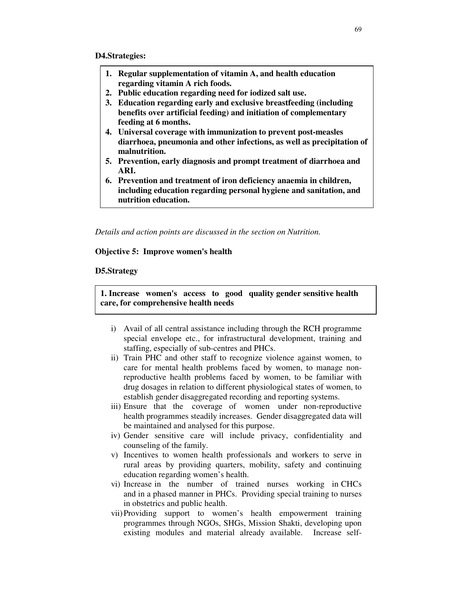- **1. Regular supplementation of vitamin A, and health education regarding vitamin A rich foods.**
- **2. Public education regarding need for iodized salt use.**
- **3. Education regarding early and exclusive breastfeeding (including benefits over artificial feeding) and initiation of complementary feeding at 6 months.**
- **4. Universal coverage with immunization to prevent post-measles diarrhoea, pneumonia and other infections, as well as precipitation of malnutrition.**
- **5. Prevention, early diagnosis and prompt treatment of diarrhoea and ARI.**
- **6. Prevention and treatment of iron deficiency anaemia in children, including education regarding personal hygiene and sanitation, and nutrition education.**

*Details and action points are discussed in the section on Nutrition.*

#### **Objective 5: Improve women's health**

#### **D5.Strategy**

**1. Increase women's access to good quality gender sensitive health care, for comprehensive health needs**

- i) Avail of all central assistance including through the RCH programme special envelope etc., for infrastructural development, training and staffing, especially of sub-centres and PHCs.
- ii) Train PHC and other staff to recognize violence against women, to care for mental health problems faced by women, to manage nonreproductive health problems faced by women, to be familiar with drug dosages in relation to different physiological states of women, to establish gender disaggregated recording and reporting systems.
- iii) Ensure that the coverage of women under non-reproductive health programmes steadily increases. Gender disaggregated data will be maintained and analysed for this purpose.
- iv) Gender sensitive care will include privacy, confidentiality and counseling of the family.
- v) Incentives to women health professionals and workers to serve in rural areas by providing quarters, mobility, safety and continuing education regarding women's health.
- vi) Increase in the number of trained nurses working in CHCs and in a phased manner in PHCs. Providing special training to nurses in obstetrics and public health.
- vii)Providing support to women's health empowerment training programmes through NGOs, SHGs, Mission Shakti, developing upon existing modules and material already available. Increase self-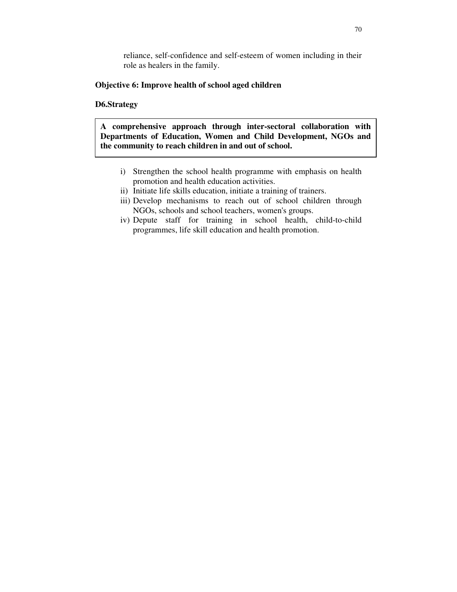reliance, self-confidence and self-esteem of women including in their role as healers in the family.

#### **Objective 6: Improve health of school aged children**

#### **D6.Strategy**

**A comprehensive approach through inter-sectoral collaboration with Departments of Education, Women and Child Development, NGOs and the community to reach children in and out of school.**

- i) Strengthen the school health programme with emphasis on health promotion and health education activities.
- ii) Initiate life skills education, initiate a training of trainers.
- iii) Develop mechanisms to reach out of school children through NGOs, schools and school teachers, women's groups.
- iv) Depute staff for training in school health, child-to-child programmes, life skill education and health promotion.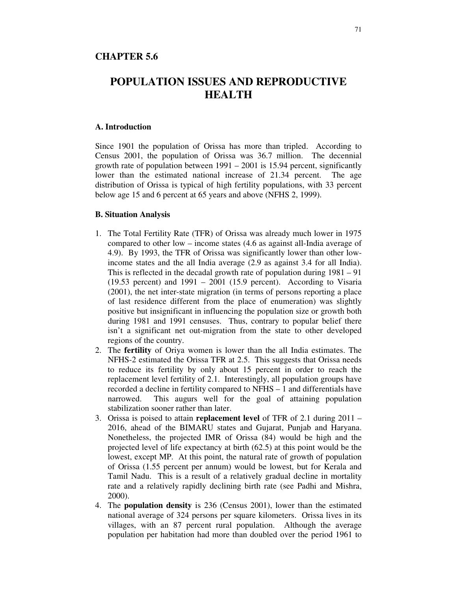#### **CHAPTER 5.6**

# **POPULATION ISSUES AND REPRODUCTIVE HEALTH**

#### **A. Introduction**

Since 1901 the population of Orissa has more than tripled. According to Census 2001, the population of Orissa was 36.7 million. The decennial growth rate of population between 1991 – 2001 is 15.94 percent, significantly lower than the estimated national increase of 21.34 percent. The age distribution of Orissa is typical of high fertility populations, with 33 percent below age 15 and 6 percent at 65 years and above (NFHS 2, 1999).

#### **B. Situation Analysis**

- 1. The Total Fertility Rate (TFR) of Orissa was already much lower in 1975 compared to other low – income states (4.6 as against all-India average of 4.9). By 1993, the TFR of Orissa was significantly lower than other lowincome states and the all India average (2.9 as against 3.4 for all India). This is reflected in the decadal growth rate of population during 1981 – 91  $(19.53 \text{ percent})$  and  $1991 - 2001$   $(15.9 \text{ percent})$ . According to Visaria (2001), the net inter-state migration (in terms of persons reporting a place of last residence different from the place of enumeration) was slightly positive but insignificant in influencing the population size or growth both during 1981 and 1991 censuses. Thus, contrary to popular belief there isn't a significant net out-migration from the state to other developed regions of the country.
- 2. The **fertility** of Oriya women is lower than the all India estimates. The NFHS-2 estimated the Orissa TFR at 2.5. This suggests that Orissa needs to reduce its fertility by only about 15 percent in order to reach the replacement level fertility of 2.1. Interestingly, all population groups have recorded a decline in fertility compared to NFHS – 1 and differentials have narrowed. This augurs well for the goal of attaining population stabilization sooner rather than later.
- 3. Orissa is poised to attain **replacement level** of TFR of 2.1 during 2011 2016, ahead of the BIMARU states and Gujarat, Punjab and Haryana. Nonetheless, the projected IMR of Orissa (84) would be high and the projected level of life expectancy at birth (62.5) at this point would be the lowest, except MP. At this point, the natural rate of growth of population of Orissa (1.55 percent per annum) would be lowest, but for Kerala and Tamil Nadu. This is a result of a relatively gradual decline in mortality rate and a relatively rapidly declining birth rate (see Padhi and Mishra, 2000).
- 4. The **population density** is 236 (Census 2001), lower than the estimated national average of 324 persons per square kilometers. Orissa lives in its villages, with an 87 percent rural population. Although the average population per habitation had more than doubled over the period 1961 to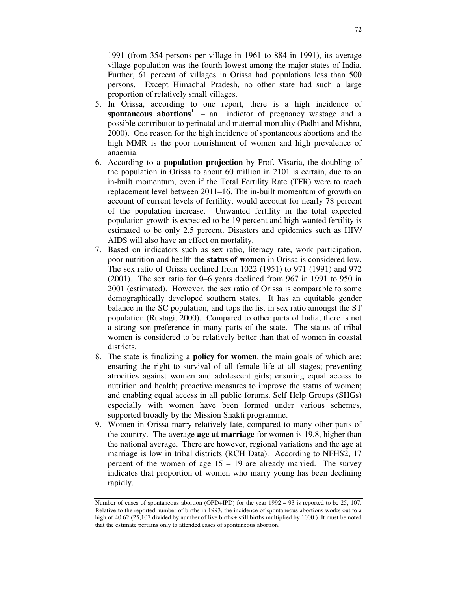1991 (from 354 persons per village in 1961 to 884 in 1991), its average village population was the fourth lowest among the major states of India. Further, 61 percent of villages in Orissa had populations less than 500 persons. Except Himachal Pradesh, no other state had such a large proportion of relatively small villages.

- 5. In Orissa, according to one report, there is a high incidence of **spontaneous abortions** 1 . – an indictor of pregnancy wastage and a possible contributor to perinatal and maternal mortality (Padhi and Mishra, 2000). One reason for the high incidence of spontaneous abortions and the high MMR is the poor nourishment of women and high prevalence of anaemia.
- 6. According to a **population projection** by Prof. Visaria, the doubling of the population in Orissa to about 60 million in 2101 is certain, due to an in-built momentum, even if the Total Fertility Rate (TFR) were to reach replacement level between 2011–16. The in-built momentum of growth on account of current levels of fertility, would account for nearly 78 percent of the population increase. Unwanted fertility in the total expected population growth is expected to be 19 percent and high-wanted fertility is estimated to be only 2.5 percent. Disasters and epidemics such as HIV/ AIDS will also have an effect on mortality.
- 7. Based on indicators such as sex ratio, literacy rate, work participation, poor nutrition and health the **status of women** in Orissa is considered low. The sex ratio of Orissa declined from 1022 (1951) to 971 (1991) and 972 (2001). The sex ratio for 0–6 years declined from 967 in 1991 to 950 in 2001 (estimated). However, the sex ratio of Orissa is comparable to some demographically developed southern states. It has an equitable gender balance in the SC population, and tops the list in sex ratio amongst the ST population (Rustagi, 2000). Compared to other parts of India, there is not a strong son-preference in many parts of the state. The status of tribal women is considered to be relatively better than that of women in coastal districts.
- 8. The state is finalizing a **policy for women**, the main goals of which are: ensuring the right to survival of all female life at all stages; preventing atrocities against women and adolescent girls; ensuring equal access to nutrition and health; proactive measures to improve the status of women; and enabling equal access in all public forums. Self Help Groups (SHGs) especially with women have been formed under various schemes, supported broadly by the Mission Shakti programme.
- 9. Women in Orissa marry relatively late, compared to many other parts of the country. The average **age at marriage** for women is 19.8, higher than the national average. There are however, regional variations and the age at marriage is low in tribal districts (RCH Data). According to NFHS2, 17 percent of the women of age 15 – 19 are already married. The survey indicates that proportion of women who marry young has been declining rapidly.

Number of cases of spontaneous abortion (OPD+IPD) for the year  $1992 - 93$  is reported to be 25, 107. Relative to the reported number of births in 1993, the incidence of spontaneous abortions works out to a high of 40.62 (25,107 divided by number of live births+ still births multiplied by 1000.) It must be noted that the estimate pertains only to attended cases of spontaneous abortion.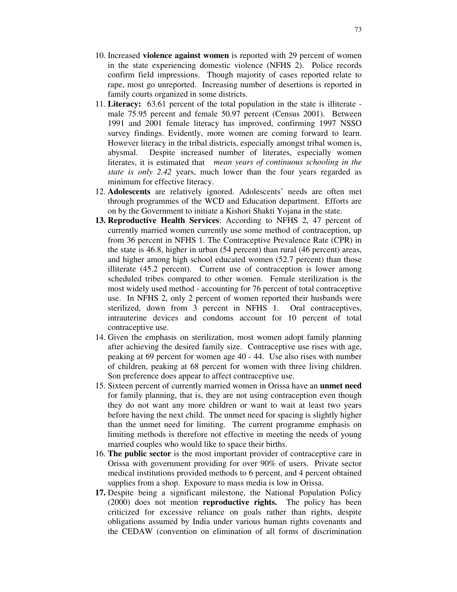- 10. Increased **violence against women** is reported with 29 percent of women in the state experiencing domestic violence (NFHS 2). Police records confirm field impressions. Though majority of cases reported relate to rape, most go unreported. Increasing number of desertions is reported in family courts organized in some districts.
- 11. **Literacy:** 63.61 percent of the total population in the state is illiterate male 75.95 percent and female 50.97 percent (Census 2001). Between 1991 and 2001 female literacy has improved, confirming 1997 NSSO survey findings. Evidently, more women are coming forward to learn. However literacy in the tribal districts, especially amongst tribal women is, abysmal. Despite increased number of literates, especially women literates, it is estimated that *mean years of continuous schooling in the state is only 2.42* years, much lower than the four years regarded as minimum for effective literacy.
- 12. **Adolescents** are relatively ignored. Adolescents' needs are often met through programmes of the WCD and Education department. Efforts are on by the Government to initiate a Kishori Shakti Yojana in the state.
- **13. Reproductive Health Services**: According to NFHS 2, 47 percent of currently married women currently use some method of contraception, up from 36 percent in NFHS 1. The Contraceptive Prevalence Rate (CPR) in the state is 46.8, higher in urban (54 percent) than rural (46 percent) areas, and higher among high school educated women (52.7 percent) than those illiterate (45.2 percent). Current use of contraception is lower among scheduled tribes compared to other women. Female sterilization is the most widely used method - accounting for 76 percent of total contraceptive use. In NFHS 2, only 2 percent of women reported their husbands were sterilized, down from 3 percent in NFHS 1. Oral contraceptives, intrauterine devices and condoms account for 10 percent of total contraceptive use.
- 14. Given the emphasis on sterilization, most women adopt family planning after achieving the desired family size. Contraceptive use rises with age, peaking at 69 percent for women age 40 - 44. Use also rises with number of children, peaking at 68 percent for women with three living children. Son preference does appear to affect contraceptive use.
- 15. Sixteen percent of currently married women in Orissa have an **unmet need** for family planning, that is, they are not using contraception even though they do not want any more children or want to wait at least two years before having the next child. The unmet need for spacing is slightly higher than the unmet need for limiting. The current programme emphasis on limiting methods is therefore not effective in meeting the needs of young married couples who would like to space their births.
- 16. **The public sector** is the most important provider of contraceptive care in Orissa with government providing for over 90% of users. Private sector medical institutions provided methods to 6 percent, and 4 percent obtained supplies from a shop. Exposure to mass media is low in Orissa.
- **17.** Despite being a significant milestone, the National Population Policy (2000) does not mention **reproductive rights.** The policy has been criticized for excessive reliance on goals rather than rights, despite obligations assumed by India under various human rights covenants and the CEDAW (convention on elimination of all forms of discrimination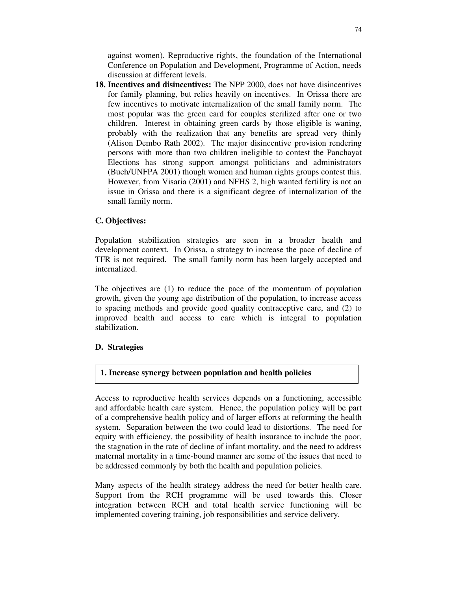against women). Reproductive rights, the foundation of the International Conference on Population and Development, Programme of Action, needs discussion at different levels.

**18. Incentives and disincentives:** The NPP 2000, does not have disincentives for family planning, but relies heavily on incentives. In Orissa there are few incentives to motivate internalization of the small family norm. The most popular was the green card for couples sterilized after one or two children. Interest in obtaining green cards by those eligible is waning, probably with the realization that any benefits are spread very thinly (Alison Dembo Rath 2002). The major disincentive provision rendering persons with more than two children ineligible to contest the Panchayat Elections has strong support amongst politicians and administrators (Buch/UNFPA 2001) though women and human rights groups contest this. However, from Visaria (2001) and NFHS 2, high wanted fertility is not an issue in Orissa and there is a significant degree of internalization of the small family norm.

## **C. Objectives:**

Population stabilization strategies are seen in a broader health and development context. In Orissa, a strategy to increase the pace of decline of TFR is not required. The small family norm has been largely accepted and internalized.

The objectives are (1) to reduce the pace of the momentum of population growth, given the young age distribution of the population, to increase access to spacing methods and provide good quality contraceptive care, and (2) to improved health and access to care which is integral to population stabilization.

## **D. Strategies**

## **1. Increase synergy between population and health policies**

Access to reproductive health services depends on a functioning, accessible and affordable health care system. Hence, the population policy will be part of a comprehensive health policy and of larger efforts at reforming the health system. Separation between the two could lead to distortions. The need for equity with efficiency, the possibility of health insurance to include the poor, the stagnation in the rate of decline of infant mortality, and the need to address maternal mortality in a time-bound manner are some of the issues that need to be addressed commonly by both the health and population policies.

Many aspects of the health strategy address the need for better health care. Support from the RCH programme will be used towards this. Closer integration between RCH and total health service functioning will be implemented covering training, job responsibilities and service delivery.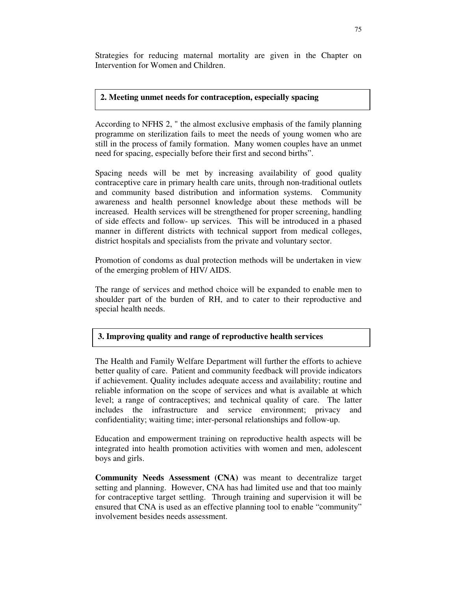Strategies for reducing maternal mortality are given in the Chapter on Intervention for Women and Children.

#### **2. Meeting unmet needs for contraception, especially spacing**

According to NFHS 2, " the almost exclusive emphasis of the family planning programme on sterilization fails to meet the needs of young women who are still in the process of family formation. Many women couples have an unmet need for spacing, especially before their first and second births".

Spacing needs will be met by increasing availability of good quality contraceptive care in primary health care units, through non-traditional outlets and community based distribution and information systems. Community awareness and health personnel knowledge about these methods will be increased. Health services will be strengthened for proper screening, handling of side effects and follow- up services. This will be introduced in a phased manner in different districts with technical support from medical colleges, district hospitals and specialists from the private and voluntary sector.

Promotion of condoms as dual protection methods will be undertaken in view of the emerging problem of HIV/ AIDS.

The range of services and method choice will be expanded to enable men to shoulder part of the burden of RH, and to cater to their reproductive and special health needs.

## **3. Improving quality and range of reproductive health services**

The Health and Family Welfare Department will further the efforts to achieve better quality of care. Patient and community feedback will provide indicators if achievement. Quality includes adequate access and availability; routine and reliable information on the scope of services and what is available at which level; a range of contraceptives; and technical quality of care. The latter includes the infrastructure and service environment; privacy and confidentiality; waiting time; inter-personal relationships and follow-up.

Education and empowerment training on reproductive health aspects will be integrated into health promotion activities with women and men, adolescent boys and girls.

**Community Needs Assessment (CNA)** was meant to decentralize target setting and planning. However, CNA has had limited use and that too mainly for contraceptive target settling. Through training and supervision it will be ensured that CNA is used as an effective planning tool to enable "community" involvement besides needs assessment.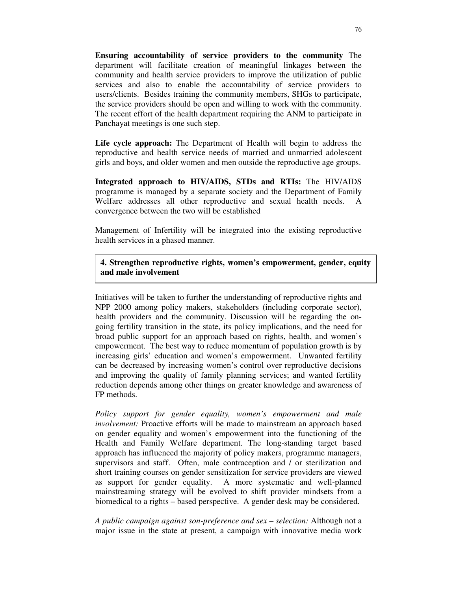**Ensuring accountability of service providers to the community** The department will facilitate creation of meaningful linkages between the community and health service providers to improve the utilization of public services and also to enable the accountability of service providers to users/clients. Besides training the community members, SHGs to participate, the service providers should be open and willing to work with the community. The recent effort of the health department requiring the ANM to participate in Panchayat meetings is one such step.

**Life cycle approach:** The Department of Health will begin to address the reproductive and health service needs of married and unmarried adolescent girls and boys, and older women and men outside the reproductive age groups.

**Integrated approach to HIV/AIDS, STDs and RTIs:** The HIV/AIDS programme is managed by a separate society and the Department of Family Welfare addresses all other reproductive and sexual health needs. A convergence between the two will be established

Management of Infertility will be integrated into the existing reproductive health services in a phased manner.

**4. Strengthen reproductive rights, women's empowerment, gender, equity and male involvement**

Initiatives will be taken to further the understanding of reproductive rights and NPP 2000 among policy makers, stakeholders (including corporate sector), health providers and the community. Discussion will be regarding the ongoing fertility transition in the state, its policy implications, and the need for broad public support for an approach based on rights, health, and women's empowerment. The best way to reduce momentum of population growth is by increasing girls' education and women's empowerment. Unwanted fertility can be decreased by increasing women's control over reproductive decisions and improving the quality of family planning services; and wanted fertility reduction depends among other things on greater knowledge and awareness of FP methods.

*Policy support for gender equality, women's empowerment and male involvement:* Proactive efforts will be made to mainstream an approach based on gender equality and women's empowerment into the functioning of the Health and Family Welfare department. The long-standing target based approach has influenced the majority of policy makers, programme managers, supervisors and staff. Often, male contraception and / or sterilization and short training courses on gender sensitization for service providers are viewed as support for gender equality. A more systematic and well-planned mainstreaming strategy will be evolved to shift provider mindsets from a biomedical to a rights – based perspective. A gender desk may be considered.

*A public campaign against son-preference and sex – selection:* Although not a major issue in the state at present, a campaign with innovative media work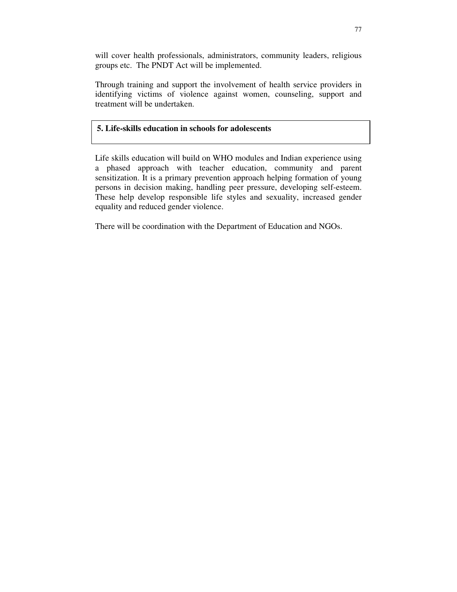will cover health professionals, administrators, community leaders, religious groups etc. The PNDT Act will be implemented.

Through training and support the involvement of health service providers in identifying victims of violence against women, counseling, support and treatment will be undertaken.

# **5. Life-skills education in schools for adolescents**

Life skills education will build on WHO modules and Indian experience using a phased approach with teacher education, community and parent sensitization. It is a primary prevention approach helping formation of young persons in decision making, handling peer pressure, developing self-esteem. These help develop responsible life styles and sexuality, increased gender equality and reduced gender violence.

There will be coordination with the Department of Education and NGOs.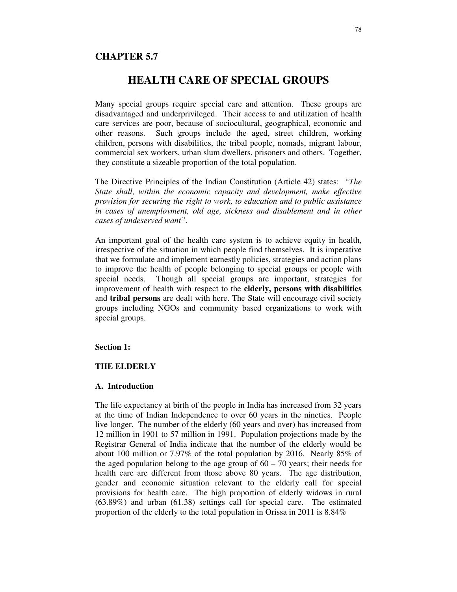## **CHAPTER 5.7**

# **HEALTH CARE OF SPECIAL GROUPS**

Many special groups require special care and attention. These groups are disadvantaged and underprivileged. Their access to and utilization of health care services are poor, because of sociocultural, geographical, economic and other reasons. Such groups include the aged, street children, working children, persons with disabilities, the tribal people, nomads, migrant labour, commercial sex workers, urban slum dwellers, prisoners and others. Together, they constitute a sizeable proportion of the total population.

The Directive Principles of the Indian Constitution (Article 42) states: *"The State shall, within the economic capacity and development, make effective provision for securing the right to work, to education and to public assistance in cases of unemployment, old age, sickness and disablement and in other cases of undeserved want".*

An important goal of the health care system is to achieve equity in health, irrespective of the situation in which people find themselves. It is imperative that we formulate and implement earnestly policies, strategies and action plans to improve the health of people belonging to special groups or people with special needs. Though all special groups are important, strategies for improvement of health with respect to the **elderly, persons with disabilities** and **tribal persons** are dealt with here. The State will encourage civil society groups including NGOs and community based organizations to work with special groups.

#### **Section 1:**

#### **THE ELDERLY**

#### **A. Introduction**

The life expectancy at birth of the people in India has increased from 32 years at the time of Indian Independence to over 60 years in the nineties. People live longer. The number of the elderly (60 years and over) has increased from 12 million in 1901 to 57 million in 1991. Population projections made by the Registrar General of India indicate that the number of the elderly would be about 100 million or 7.97% of the total population by 2016. Nearly 85% of the aged population belong to the age group of  $60 - 70$  years; their needs for health care are different from those above 80 years. The age distribution, gender and economic situation relevant to the elderly call for special provisions for health care. The high proportion of elderly widows in rural (63.89%) and urban (61.38) settings call for special care. The estimated proportion of the elderly to the total population in Orissa in 2011 is 8.84%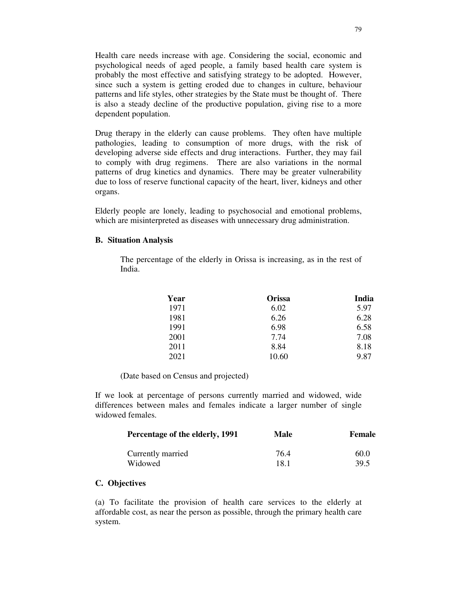Health care needs increase with age. Considering the social, economic and psychological needs of aged people, a family based health care system is probably the most effective and satisfying strategy to be adopted. However, since such a system is getting eroded due to changes in culture, behaviour patterns and life styles, other strategies by the State must be thought of. There is also a steady decline of the productive population, giving rise to a more dependent population.

Drug therapy in the elderly can cause problems. They often have multiple pathologies, leading to consumption of more drugs, with the risk of developing adverse side effects and drug interactions. Further, they may fail to comply with drug regimens. There are also variations in the normal patterns of drug kinetics and dynamics. There may be greater vulnerability due to loss of reserve functional capacity of the heart, liver, kidneys and other organs.

Elderly people are lonely, leading to psychosocial and emotional problems, which are misinterpreted as diseases with unnecessary drug administration.

#### **B. Situation Analysis**

The percentage of the elderly in Orissa is increasing, as in the rest of India.

| Year | <b>Orissa</b> | India |
|------|---------------|-------|
| 1971 | 6.02          | 5.97  |
| 1981 | 6.26          | 6.28  |
| 1991 | 6.98          | 6.58  |
| 2001 | 7.74          | 7.08  |
| 2011 | 8.84          | 8.18  |
| 2021 | 10.60         | 9.87  |

(Date based on Census and projected)

If we look at percentage of persons currently married and widowed, wide differences between males and females indicate a larger number of single widowed females.

| Percentage of the elderly, 1991 | Male | Female |  |  |
|---------------------------------|------|--------|--|--|
| Currently married               | 764  | 60.0   |  |  |
| Widowed                         | 18.1 | 39.5   |  |  |

#### **C. Objectives**

(a) To facilitate the provision of health care services to the elderly at affordable cost, as near the person as possible, through the primary health care system.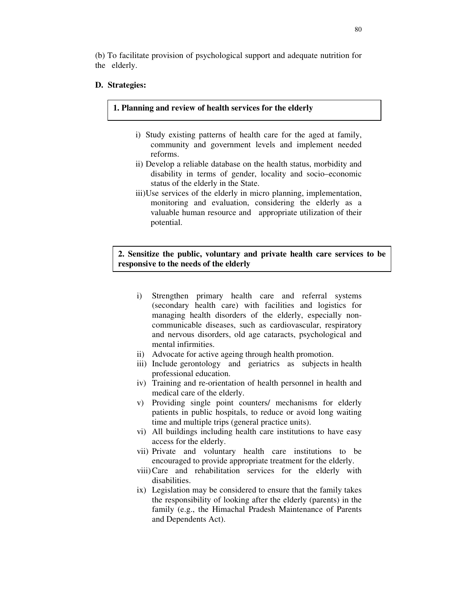(b) To facilitate provision of psychological support and adequate nutrition for the elderly.

#### **D. Strategies:**

#### **1. Planning and review of health services for the elderly**

- i) Study existing patterns of health care for the aged at family, community and government levels and implement needed reforms.
- ii) Develop a reliable database on the health status, morbidity and disability in terms of gender, locality and socio–economic status of the elderly in the State.
- iii)Use services of the elderly in micro planning, implementation, monitoring and evaluation, considering the elderly as a valuable human resource and appropriate utilization of their potential.

#### **2. Sensitize the public, voluntary and private health care services to be responsive to the needs of the elderly**

- i) Strengthen primary health care and referral systems (secondary health care) with facilities and logistics for managing health disorders of the elderly, especially noncommunicable diseases, such as cardiovascular, respiratory and nervous disorders, old age cataracts, psychological and mental infirmities.
- ii) Advocate for active ageing through health promotion.
- iii) Include gerontology and geriatrics as subjects in health professional education.
- iv) Training and re-orientation of health personnel in health and medical care of the elderly.
- v) Providing single point counters/ mechanisms for elderly patients in public hospitals, to reduce or avoid long waiting time and multiple trips (general practice units).
- vi) All buildings including health care institutions to have easy access for the elderly.
- vii) Private and voluntary health care institutions to be encouraged to provide appropriate treatment for the elderly.
- viii)Care and rehabilitation services for the elderly with disabilities.
- ix) Legislation may be considered to ensure that the family takes the responsibility of looking after the elderly (parents) in the family (e.g., the Himachal Pradesh Maintenance of Parents and Dependents Act).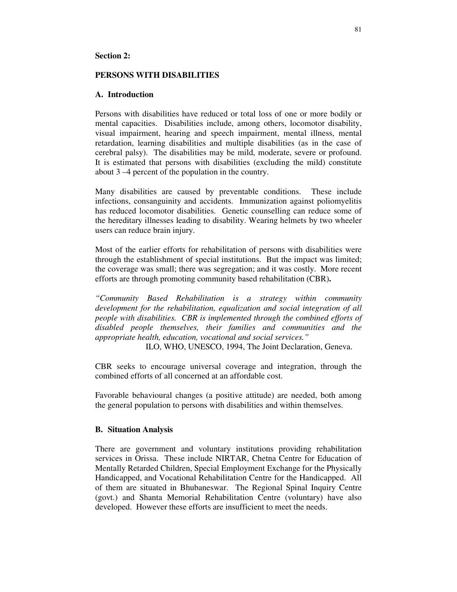#### **Section 2:**

#### **PERSONS WITH DISABILITIES**

#### **A. Introduction**

Persons with disabilities have reduced or total loss of one or more bodily or mental capacities. Disabilities include, among others, locomotor disability, visual impairment, hearing and speech impairment, mental illness, mental retardation, learning disabilities and multiple disabilities (as in the case of cerebral palsy). The disabilities may be mild, moderate, severe or profound. It is estimated that persons with disabilities (excluding the mild) constitute about 3 –4 percent of the population in the country.

Many disabilities are caused by preventable conditions. These include infections, consanguinity and accidents. Immunization against poliomyelitis has reduced locomotor disabilities. Genetic counselling can reduce some of the hereditary illnesses leading to disability. Wearing helmets by two wheeler users can reduce brain injury.

Most of the earlier efforts for rehabilitation of persons with disabilities were through the establishment of special institutions. But the impact was limited; the coverage was small; there was segregation; and it was costly. More recent efforts are through promoting community based rehabilitation (CBR)**.**

*"Community Based Rehabilitation is a strategy within community development for the rehabilitation, equalization and social integration of all people with disabilities. CBR is implemented through the combined efforts of disabled people themselves, their families and communities and the appropriate health, education, vocational and social services."*

ILO, WHO, UNESCO, 1994, The Joint Declaration, Geneva.

CBR seeks to encourage universal coverage and integration, through the combined efforts of all concerned at an affordable cost.

Favorable behavioural changes (a positive attitude) are needed, both among the general population to persons with disabilities and within themselves.

#### **B. Situation Analysis**

There are government and voluntary institutions providing rehabilitation services in Orissa. These include NIRTAR, Chetna Centre for Education of Mentally Retarded Children, Special Employment Exchange for the Physically Handicapped, and Vocational Rehabilitation Centre for the Handicapped. All of them are situated in Bhubaneswar. The Regional Spinal Inquiry Centre (govt.) and Shanta Memorial Rehabilitation Centre (voluntary) have also developed. However these efforts are insufficient to meet the needs.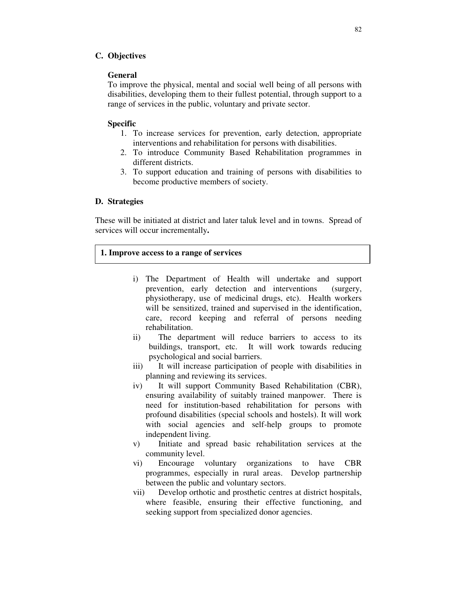#### **C. Objectives**

#### **General**

To improve the physical, mental and social well being of all persons with disabilities, developing them to their fullest potential, through support to a range of services in the public, voluntary and private sector.

#### **Specific**

- 1. To increase services for prevention, early detection, appropriate interventions and rehabilitation for persons with disabilities.
- 2. To introduce Community Based Rehabilitation programmes in different districts.
- 3. To support education and training of persons with disabilities to become productive members of society.

#### **D. Strategies**

These will be initiated at district and later taluk level and in towns. Spread of services will occur incrementally**.**

#### **1. Improve access to a range of services**

- i) The Department of Health will undertake and support prevention, early detection and interventions (surgery, physiotherapy, use of medicinal drugs, etc). Health workers will be sensitized, trained and supervised in the identification, care, record keeping and referral of persons needing rehabilitation.
- ii) The department will reduce barriers to access to its buildings, transport, etc. It will work towards reducing psychological and social barriers.
- iii) It will increase participation of people with disabilities in planning and reviewing its services.
- iv) It will support Community Based Rehabilitation (CBR), ensuring availability of suitably trained manpower. There is need for institution-based rehabilitation for persons with profound disabilities (special schools and hostels). It will work with social agencies and self-help groups to promote independent living.
- v) Initiate and spread basic rehabilitation services at the community level.
- vi) Encourage voluntary organizations to have CBR programmes, especially in rural areas. Develop partnership between the public and voluntary sectors.
- vii) Develop orthotic and prosthetic centres at district hospitals, where feasible, ensuring their effective functioning, and seeking support from specialized donor agencies.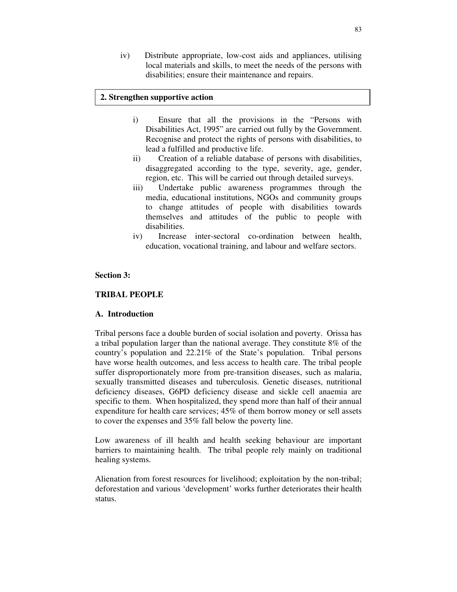iv) Distribute appropriate, low-cost aids and appliances, utilising local materials and skills, to meet the needs of the persons with disabilities; ensure their maintenance and repairs.

#### **2. Strengthen supportive action**

- i) Ensure that all the provisions in the "Persons with Disabilities Act, 1995" are carried out fully by the Government. Recognise and protect the rights of persons with disabilities, to lead a fulfilled and productive life.
- ii) Creation of a reliable database of persons with disabilities, disaggregated according to the type, severity, age, gender, region, etc. This will be carried out through detailed surveys.
- iii) Undertake public awareness programmes through the media, educational institutions, NGOs and community groups to change attitudes of people with disabilities towards themselves and attitudes of the public to people with disabilities.
- iv) Increase inter-sectoral co-ordination between health, education, vocational training, and labour and welfare sectors.

#### **Section 3:**

#### **TRIBAL PEOPLE**

#### **A. Introduction**

Tribal persons face a double burden of social isolation and poverty. Orissa has a tribal population larger than the national average. They constitute 8% of the country's population and 22.21% of the State's population. Tribal persons have worse health outcomes, and less access to health care. The tribal people suffer disproportionately more from pre-transition diseases, such as malaria, sexually transmitted diseases and tuberculosis. Genetic diseases, nutritional deficiency diseases, G6PD deficiency disease and sickle cell anaemia are specific to them. When hospitalized, they spend more than half of their annual expenditure for health care services; 45% of them borrow money or sell assets to cover the expenses and 35% fall below the poverty line.

Low awareness of ill health and health seeking behaviour are important barriers to maintaining health. The tribal people rely mainly on traditional healing systems.

Alienation from forest resources for livelihood; exploitation by the non-tribal; deforestation and various 'development' works further deteriorates their health status.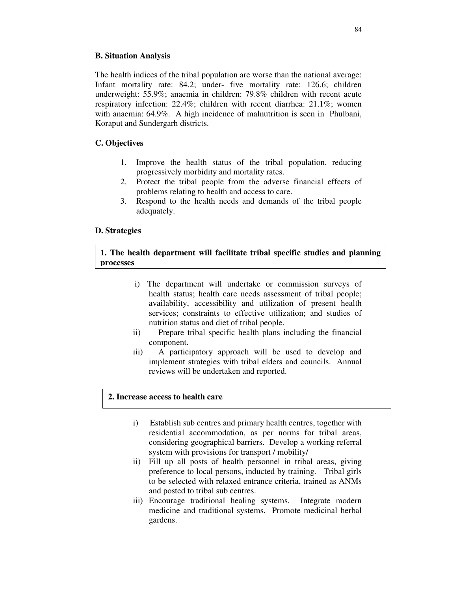## **B. Situation Analysis**

The health indices of the tribal population are worse than the national average: Infant mortality rate: 84.2; under- five mortality rate: 126.6; children underweight: 55.9%; anaemia in children: 79.8% children with recent acute respiratory infection: 22.4%; children with recent diarrhea: 21.1%; women with anaemia: 64.9%. A high incidence of malnutrition is seen in Phulbani, Koraput and Sundergarh districts.

# **C. Objectives**

- 1. Improve the health status of the tribal population, reducing progressively morbidity and mortality rates.
- 2. Protect the tribal people from the adverse financial effects of problems relating to health and access to care.
- 3. Respond to the health needs and demands of the tribal people adequately.

## **D. Strategies**

# **1. The health department will facilitate tribal specific studies and planning processes**

- i) The department will undertake or commission surveys of health status; health care needs assessment of tribal people; availability, accessibility and utilization of present health services; constraints to effective utilization; and studies of nutrition status and diet of tribal people.
- ii) Prepare tribal specific health plans including the financial component.
- iii) A participatory approach will be used to develop and implement strategies with tribal elders and councils. Annual reviews will be undertaken and reported.

## **2. Increase access to health care**

- i) Establish sub centres and primary health centres, together with residential accommodation, as per norms for tribal areas, considering geographical barriers. Develop a working referral system with provisions for transport / mobility/
- ii) Fill up all posts of health personnel in tribal areas, giving preference to local persons, inducted by training. Tribal girls to be selected with relaxed entrance criteria, trained as ANMs and posted to tribal sub centres.
- iii) Encourage traditional healing systems. Integrate modern medicine and traditional systems. Promote medicinal herbal gardens.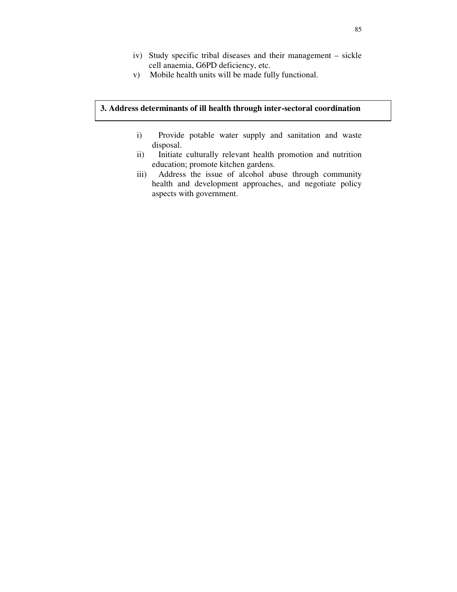- iv) Study specific tribal diseases and their management sickle cell anaemia, G6PD deficiency, etc.
- v) Mobile health units will be made fully functional.

# **3. Address determinants of ill health through inter-sectoral coordination**

- i) Provide potable water supply and sanitation and waste disposal.
- ii) Initiate culturally relevant health promotion and nutrition education; promote kitchen gardens.
- iii) Address the issue of alcohol abuse through community health and development approaches, and negotiate policy aspects with government.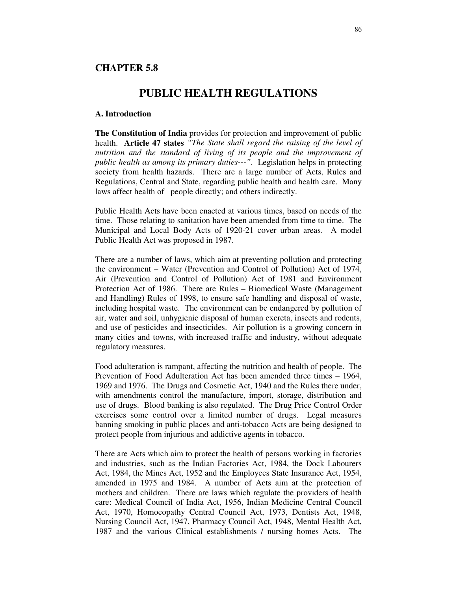## **CHAPTER 5.8**

# **PUBLIC HEALTH REGULATIONS**

#### **A. Introduction**

**The Constitution of India** provides for protection and improvement of public health. **Article 47 states** *"The State shall regard the raising of the level of nutrition and the standard of living of its people and the improvement of public health as among its primary duties---".* Legislation helps in protecting society from health hazards. There are a large number of Acts, Rules and Regulations, Central and State, regarding public health and health care. Many laws affect health of people directly; and others indirectly.

Public Health Acts have been enacted at various times, based on needs of the time. Those relating to sanitation have been amended from time to time. The Municipal and Local Body Acts of 1920-21 cover urban areas. A model Public Health Act was proposed in 1987.

There are a number of laws, which aim at preventing pollution and protecting the environment – Water (Prevention and Control of Pollution) Act of 1974, Air (Prevention and Control of Pollution) Act of 1981 and Environment Protection Act of 1986. There are Rules – Biomedical Waste (Management and Handling) Rules of 1998, to ensure safe handling and disposal of waste, including hospital waste. The environment can be endangered by pollution of air, water and soil, unhygienic disposal of human excreta, insects and rodents, and use of pesticides and insecticides. Air pollution is a growing concern in many cities and towns, with increased traffic and industry, without adequate regulatory measures.

Food adulteration is rampant, affecting the nutrition and health of people. The Prevention of Food Adulteration Act has been amended three times – 1964, 1969 and 1976. The Drugs and Cosmetic Act, 1940 and the Rules there under, with amendments control the manufacture, import, storage, distribution and use of drugs. Blood banking is also regulated. The Drug Price Control Order exercises some control over a limited number of drugs. Legal measures banning smoking in public places and anti-tobacco Acts are being designed to protect people from injurious and addictive agents in tobacco.

There are Acts which aim to protect the health of persons working in factories and industries, such as the Indian Factories Act, 1984, the Dock Labourers Act, 1984, the Mines Act, 1952 and the Employees State Insurance Act, 1954, amended in 1975 and 1984. A number of Acts aim at the protection of mothers and children. There are laws which regulate the providers of health care: Medical Council of India Act, 1956, Indian Medicine Central Council Act, 1970, Homoeopathy Central Council Act, 1973, Dentists Act, 1948, Nursing Council Act, 1947, Pharmacy Council Act, 1948, Mental Health Act, 1987 and the various Clinical establishments / nursing homes Acts. The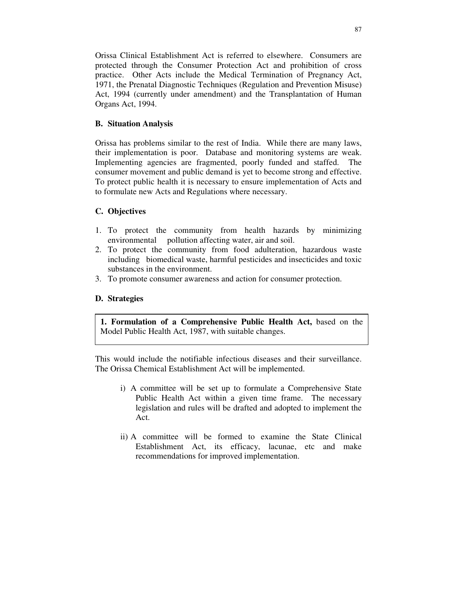Orissa Clinical Establishment Act is referred to elsewhere. Consumers are protected through the Consumer Protection Act and prohibition of cross practice. Other Acts include the Medical Termination of Pregnancy Act, 1971, the Prenatal Diagnostic Techniques (Regulation and Prevention Misuse) Act, 1994 (currently under amendment) and the Transplantation of Human Organs Act, 1994.

## **B. Situation Analysis**

Orissa has problems similar to the rest of India. While there are many laws, their implementation is poor. Database and monitoring systems are weak. Implementing agencies are fragmented, poorly funded and staffed. The consumer movement and public demand is yet to become strong and effective. To protect public health it is necessary to ensure implementation of Acts and to formulate new Acts and Regulations where necessary.

# **C. Objectives**

- 1. To protect the community from health hazards by minimizing environmental pollution affecting water, air and soil.
- 2. To protect the community from food adulteration, hazardous waste including biomedical waste, harmful pesticides and insecticides and toxic substances in the environment.
- 3. To promote consumer awareness and action for consumer protection.

## **D. Strategies**

**1. Formulation of a Comprehensive Public Health Act,** based on the Model Public Health Act, 1987, with suitable changes.

This would include the notifiable infectious diseases and their surveillance. The Orissa Chemical Establishment Act will be implemented.

- i) A committee will be set up to formulate a Comprehensive State Public Health Act within a given time frame. The necessary legislation and rules will be drafted and adopted to implement the Act.
- ii) A committee will be formed to examine the State Clinical Establishment Act, its efficacy, lacunae, etc and make recommendations for improved implementation.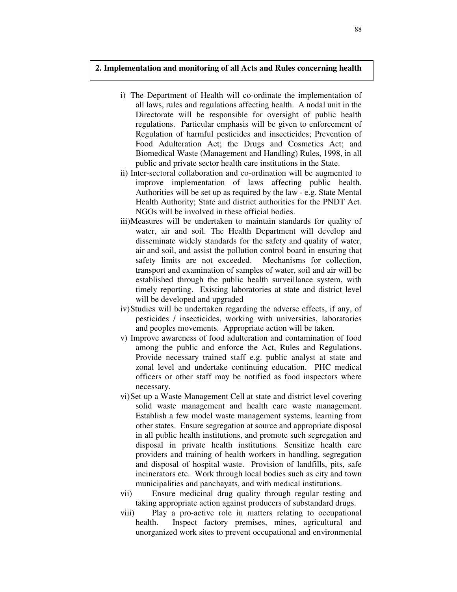#### **2. Implementation and monitoring of all Acts and Rules concerning health**

- i) The Department of Health will co-ordinate the implementation of all laws, rules and regulations affecting health. A nodal unit in the Directorate will be responsible for oversight of public health regulations. Particular emphasis will be given to enforcement of Regulation of harmful pesticides and insecticides; Prevention of Food Adulteration Act; the Drugs and Cosmetics Act; and Biomedical Waste (Management and Handling) Rules, 1998, in all public and private sector health care institutions in the State.
- ii) Inter-sectoral collaboration and co-ordination will be augmented to improve implementation of laws affecting public health. Authorities will be set up as required by the law - e.g. State Mental Health Authority; State and district authorities for the PNDT Act. NGOs will be involved in these official bodies.
- iii)Measures will be undertaken to maintain standards for quality of water, air and soil. The Health Department will develop and disseminate widely standards for the safety and quality of water, air and soil, and assist the pollution control board in ensuring that safety limits are not exceeded. Mechanisms for collection, transport and examination of samples of water, soil and air will be established through the public health surveillance system, with timely reporting. Existing laboratories at state and district level will be developed and upgraded
- iv)Studies will be undertaken regarding the adverse effects, if any, of pesticides / insecticides, working with universities, laboratories and peoples movements. Appropriate action will be taken.
- v) Improve awareness of food adulteration and contamination of food among the public and enforce the Act, Rules and Regulations. Provide necessary trained staff e.g. public analyst at state and zonal level and undertake continuing education. PHC medical officers or other staff may be notified as food inspectors where necessary.
- vi)Set up a Waste Management Cell at state and district level covering solid waste management and health care waste management. Establish a few model waste management systems, learning from other states. Ensure segregation at source and appropriate disposal in all public health institutions, and promote such segregation and disposal in private health institutions. Sensitize health care providers and training of health workers in handling, segregation and disposal of hospital waste. Provision of landfills, pits, safe incinerators etc. Work through local bodies such as city and town municipalities and panchayats, and with medical institutions.
- vii) Ensure medicinal drug quality through regular testing and taking appropriate action against producers of substandard drugs.
- viii) Play a pro-active role in matters relating to occupational health. Inspect factory premises, mines, agricultural and unorganized work sites to prevent occupational and environmental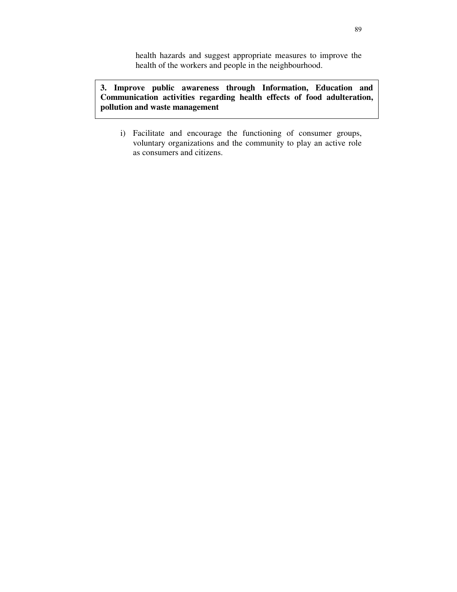health hazards and suggest appropriate measures to improve the health of the workers and people in the neighbourhood.

**3. Improve public awareness through Information, Education and Communication activities regarding health effects of food adulteration, pollution and waste management**

i) Facilitate and encourage the functioning of consumer groups, voluntary organizations and the community to play an active role as consumers and citizens.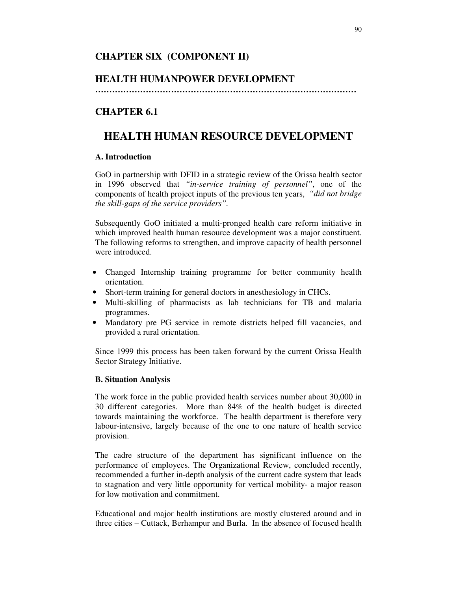# **CHAPTER SIX (COMPONENT II)**

# **HEALTH HUMANPOWER DEVELOPMENT**

**…………………………………………………………………………………**

# **CHAPTER 6.1**

# **HEALTH HUMAN RESOURCE DEVELOPMENT**

## **A. Introduction**

GoO in partnership with DFID in a strategic review of the Orissa health sector in 1996 observed that *"in-service training of personnel"*, one of the components of health project inputs of the previous ten years, *"did not bridge the skill-gaps of the service providers".*

Subsequently GoO initiated a multi-pronged health care reform initiative in which improved health human resource development was a major constituent. The following reforms to strengthen, and improve capacity of health personnel were introduced.

- Changed Internship training programme for better community health orientation.
- Short-term training for general doctors in anesthesiology in CHCs.
- Multi-skilling of pharmacists as lab technicians for TB and malaria programmes.
- Mandatory pre PG service in remote districts helped fill vacancies, and provided a rural orientation.

Since 1999 this process has been taken forward by the current Orissa Health Sector Strategy Initiative.

## **B. Situation Analysis**

The work force in the public provided health services number about 30,000 in 30 different categories. More than 84% of the health budget is directed towards maintaining the workforce. The health department is therefore very labour-intensive, largely because of the one to one nature of health service provision.

The cadre structure of the department has significant influence on the performance of employees. The Organizational Review, concluded recently, recommended a further in-depth analysis of the current cadre system that leads to stagnation and very little opportunity for vertical mobility- a major reason for low motivation and commitment.

Educational and major health institutions are mostly clustered around and in three cities – Cuttack, Berhampur and Burla. In the absence of focused health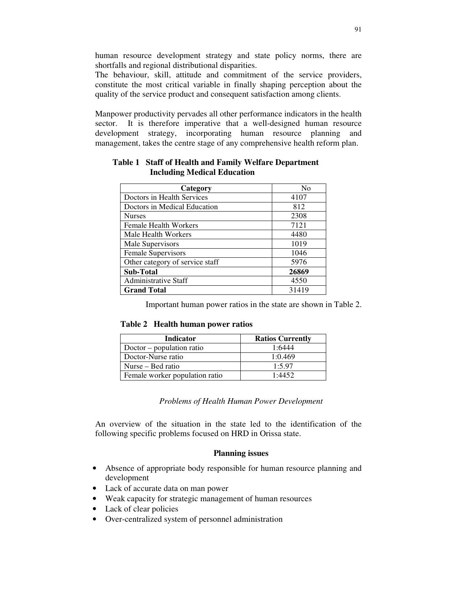human resource development strategy and state policy norms, there are shortfalls and regional distributional disparities.

The behaviour, skill, attitude and commitment of the service providers, constitute the most critical variable in finally shaping perception about the quality of the service product and consequent satisfaction among clients.

Manpower productivity pervades all other performance indicators in the health sector. It is therefore imperative that a well-designed human resource development strategy, incorporating human resource planning and management, takes the centre stage of any comprehensive health reform plan.

| Category                        | N <sub>0</sub> |
|---------------------------------|----------------|
| Doctors in Health Services      | 4107           |
| Doctors in Medical Education    | 812            |
| <b>Nurses</b>                   | 2308           |
| <b>Female Health Workers</b>    | 7121           |
| Male Health Workers             | 4480           |
| Male Supervisors                | 1019           |
| <b>Female Supervisors</b>       | 1046           |
| Other category of service staff | 5976           |
| <b>Sub-Total</b>                | 26869          |
| <b>Administrative Staff</b>     | 4550           |
| <b>Grand Total</b>              | 31419          |

# **Table 1 Staff of Health and Family Welfare Department Including Medical Education**

Important human power ratios in the state are shown in Table 2.

#### **Table 2 Health human power ratios**

| Indicator                      | <b>Ratios Currently</b> |
|--------------------------------|-------------------------|
| $Doctor$ – population ratio    | 1:6444                  |
| Doctor-Nurse ratio             | 1:0.469                 |
| Nurse – Bed ratio              | 1:5.97                  |
| Female worker population ratio | 1.4452                  |

*Problems of Health Human Power Development*

An overview of the situation in the state led to the identification of the following specific problems focused on HRD in Orissa state.

#### **Planning issues**

- Absence of appropriate body responsible for human resource planning and development
- Lack of accurate data on man power
- Weak capacity for strategic management of human resources
- Lack of clear policies
- Over-centralized system of personnel administration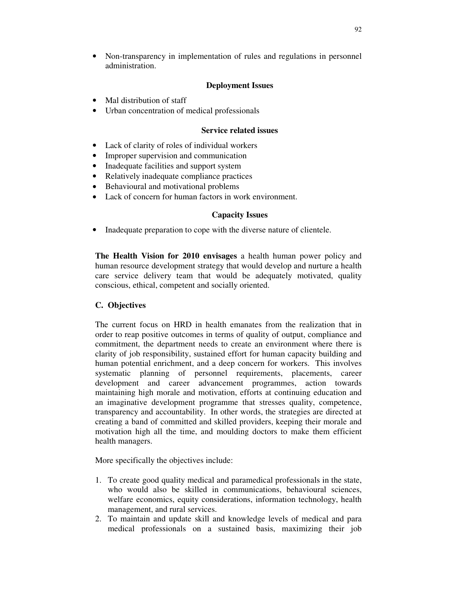• Non-transparency in implementation of rules and regulations in personnel administration.

## **Deployment Issues**

- Mal distribution of staff
- Urban concentration of medical professionals

#### **Service related issues**

- Lack of clarity of roles of individual workers
- Improper supervision and communication
- Inadequate facilities and support system
- Relatively inadequate compliance practices
- Behavioural and motivational problems
- Lack of concern for human factors in work environment.

## **Capacity Issues**

• Inadequate preparation to cope with the diverse nature of clientele.

**The Health Vision for 2010 envisages** a health human power policy and human resource development strategy that would develop and nurture a health care service delivery team that would be adequately motivated, quality conscious, ethical, competent and socially oriented.

## **C. Objectives**

The current focus on HRD in health emanates from the realization that in order to reap positive outcomes in terms of quality of output, compliance and commitment, the department needs to create an environment where there is clarity of job responsibility, sustained effort for human capacity building and human potential enrichment, and a deep concern for workers. This involves systematic planning of personnel requirements, placements, career development and career advancement programmes, action towards maintaining high morale and motivation, efforts at continuing education and an imaginative development programme that stresses quality, competence, transparency and accountability. In other words, the strategies are directed at creating a band of committed and skilled providers, keeping their morale and motivation high all the time, and moulding doctors to make them efficient health managers.

More specifically the objectives include:

- 1. To create good quality medical and paramedical professionals in the state, who would also be skilled in communications, behavioural sciences, welfare economics, equity considerations, information technology, health management, and rural services.
- 2. To maintain and update skill and knowledge levels of medical and para medical professionals on a sustained basis, maximizing their job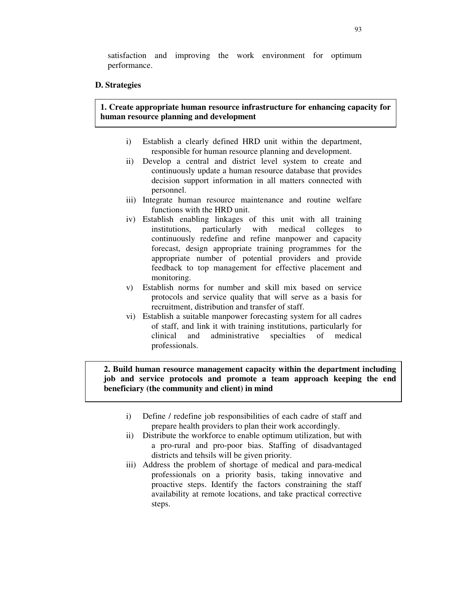satisfaction and improving the work environment for optimum performance.

#### **D. Strategies**

**1. Create appropriate human resource infrastructure for enhancing capacity for human resource planning and development**

- i) Establish a clearly defined HRD unit within the department, responsible for human resource planning and development.
- ii) Develop a central and district level system to create and continuously update a human resource database that provides decision support information in all matters connected with personnel.
- iii) Integrate human resource maintenance and routine welfare functions with the HRD unit.
- iv) Establish enabling linkages of this unit with all training institutions, particularly with medical colleges continuously redefine and refine manpower and capacity forecast, design appropriate training programmes for the appropriate number of potential providers and provide feedback to top management for effective placement and monitoring.
- v) Establish norms for number and skill mix based on service protocols and service quality that will serve as a basis for recruitment, distribution and transfer of staff.
- vi) Establish a suitable manpower forecasting system for all cadres of staff, and link it with training institutions, particularly for clinical and administrative specialties of medical professionals.

**2. Build human resource management capacity within the department including job and service protocols and promote a team approach keeping the end beneficiary (the community and client) in mind**

- i) Define / redefine job responsibilities of each cadre of staff and prepare health providers to plan their work accordingly.
- ii) Distribute the workforce to enable optimum utilization, but with a pro-rural and pro-poor bias. Staffing of disadvantaged districts and tehsils will be given priority.
- iii) Address the problem of shortage of medical and para-medical professionals on a priority basis, taking innovative and proactive steps. Identify the factors constraining the staff availability at remote locations, and take practical corrective steps.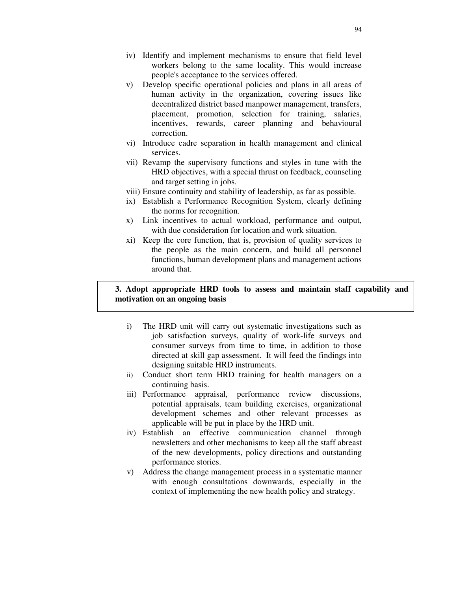- iv) Identify and implement mechanisms to ensure that field level workers belong to the same locality. This would increase people's acceptance to the services offered.
- v) Develop specific operational policies and plans in all areas of human activity in the organization, covering issues like decentralized district based manpower management, transfers, placement, promotion, selection for training, salaries, incentives, rewards, career planning and behavioural correction.
- vi) Introduce cadre separation in health management and clinical services.
- vii) Revamp the supervisory functions and styles in tune with the HRD objectives, with a special thrust on feedback, counseling and target setting in jobs.
- viii) Ensure continuity and stability of leadership, as far as possible.
- ix) Establish a Performance Recognition System, clearly defining the norms for recognition.
- x) Link incentives to actual workload, performance and output, with due consideration for location and work situation.
- xi) Keep the core function, that is, provision of quality services to the people as the main concern, and build all personnel functions, human development plans and management actions around that.

#### **3. Adopt appropriate HRD tools to assess and maintain staff capability and motivation on an ongoing basis**

- i) The HRD unit will carry out systematic investigations such as job satisfaction surveys, quality of work-life surveys and consumer surveys from time to time, in addition to those directed at skill gap assessment. It will feed the findings into designing suitable HRD instruments.
- ii) Conduct short term HRD training for health managers on a continuing basis.
- iii) Performance appraisal, performance review discussions, potential appraisals, team building exercises, organizational development schemes and other relevant processes as applicable will be put in place by the HRD unit.
- iv) Establish an effective communication channel through newsletters and other mechanisms to keep all the staff abreast of the new developments, policy directions and outstanding performance stories.
- v) Address the change management process in a systematic manner with enough consultations downwards, especially in the context of implementing the new health policy and strategy.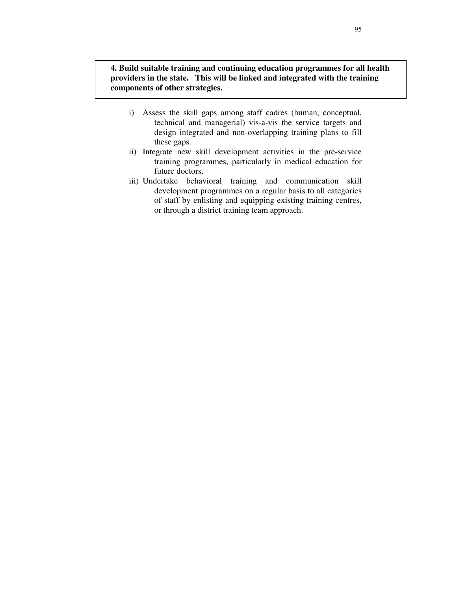**4. Build suitable training and continuing education programmes for all health providers in the state. This will be linked and integrated with the training components of other strategies.**

- i) Assess the skill gaps among staff cadres (human, conceptual, technical and managerial) vis-a-vis the service targets and design integrated and non-overlapping training plans to fill these gaps.
- ii) Integrate new skill development activities in the pre-service training programmes, particularly in medical education for future doctors.
- iii) Undertake behavioral training and communication skill development programmes on a regular basis to all categories of staff by enlisting and equipping existing training centres, or through a district training team approach.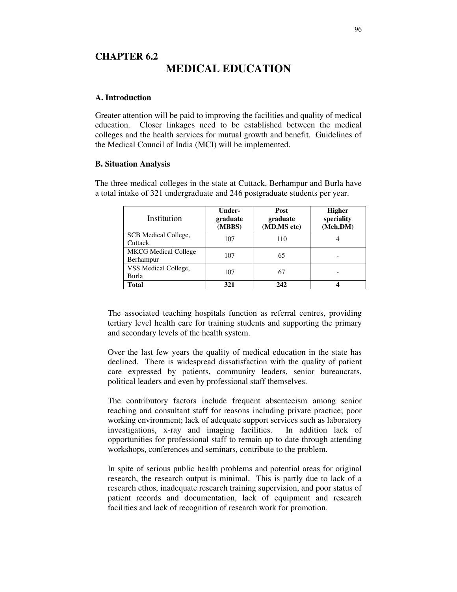# **CHAPTER 6.2 MEDICAL EDUCATION**

#### **A. Introduction**

Greater attention will be paid to improving the facilities and quality of medical education. Closer linkages need to be established between the medical colleges and the health services for mutual growth and benefit. Guidelines of the Medical Council of India (MCI) will be implemented.

#### **B. Situation Analysis**

The three medical colleges in the state at Cuttack, Berhampur and Burla have a total intake of 321 undergraduate and 246 postgraduate students per year.

| Institution                              | Under-<br>graduate<br>(MBBS) | Post<br>graduate<br>(MD,MS etc) | <b>Higher</b><br>speciality<br>(Mch,DM) |
|------------------------------------------|------------------------------|---------------------------------|-----------------------------------------|
| SCB Medical College,<br>Cuttack          | 107                          | 110                             |                                         |
| <b>MKCG</b> Medical College<br>Berhampur | 107                          | 65                              |                                         |
| VSS Medical College,<br>Burla            | 107                          | 67                              |                                         |
| Total                                    | 321                          | 242                             |                                         |

The associated teaching hospitals function as referral centres, providing tertiary level health care for training students and supporting the primary and secondary levels of the health system.

Over the last few years the quality of medical education in the state has declined. There is widespread dissatisfaction with the quality of patient care expressed by patients, community leaders, senior bureaucrats, political leaders and even by professional staff themselves.

The contributory factors include frequent absenteeism among senior teaching and consultant staff for reasons including private practice; poor working environment; lack of adequate support services such as laboratory investigations, x-ray and imaging facilities. In addition lack of opportunities for professional staff to remain up to date through attending workshops, conferences and seminars, contribute to the problem.

In spite of serious public health problems and potential areas for original research, the research output is minimal. This is partly due to lack of a research ethos, inadequate research training supervision, and poor status of patient records and documentation, lack of equipment and research facilities and lack of recognition of research work for promotion.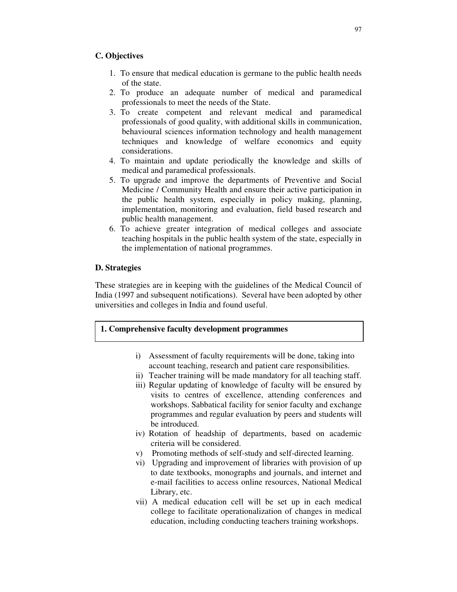## **C. Objectives**

- 1. To ensure that medical education is germane to the public health needs of the state.
- 2. To produce an adequate number of medical and paramedical professionals to meet the needs of the State.
- 3. To create competent and relevant medical and paramedical professionals of good quality, with additional skills in communication, behavioural sciences information technology and health management techniques and knowledge of welfare economics and equity considerations.
- 4. To maintain and update periodically the knowledge and skills of medical and paramedical professionals.
- 5. To upgrade and improve the departments of Preventive and Social Medicine / Community Health and ensure their active participation in the public health system, especially in policy making, planning, implementation, monitoring and evaluation, field based research and public health management.
- 6. To achieve greater integration of medical colleges and associate teaching hospitals in the public health system of the state, especially in the implementation of national programmes.

#### **D. Strategies**

These strategies are in keeping with the guidelines of the Medical Council of India (1997 and subsequent notifications). Several have been adopted by other universities and colleges in India and found useful.

#### **1. Comprehensive faculty development programmes**

- i) Assessment of faculty requirements will be done, taking into account teaching, research and patient care responsibilities.
- ii) Teacher training will be made mandatory for all teaching staff.
- iii) Regular updating of knowledge of faculty will be ensured by visits to centres of excellence, attending conferences and workshops. Sabbatical facility for senior faculty and exchange programmes and regular evaluation by peers and students will be introduced.
- iv) Rotation of headship of departments, based on academic criteria will be considered.
- v) Promoting methods of self-study and self-directed learning.
- vi) Upgrading and improvement of libraries with provision of up to date textbooks, monographs and journals, and internet and e-mail facilities to access online resources, National Medical Library, etc.
- vii) A medical education cell will be set up in each medical college to facilitate operationalization of changes in medical education, including conducting teachers training workshops.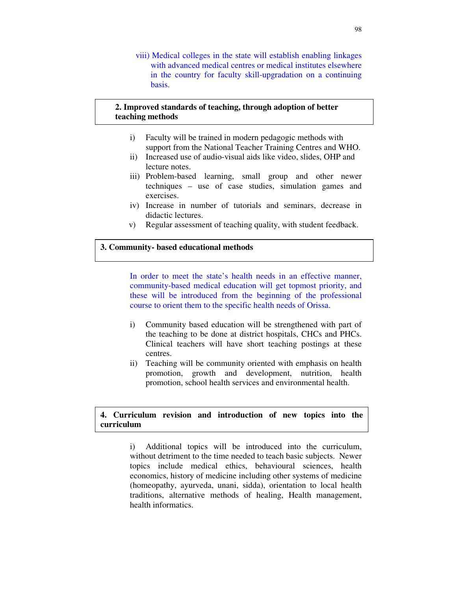viii) Medical colleges in the state will establish enabling linkages with advanced medical centres or medical institutes elsewhere in the country for faculty skill-upgradation on a continuing basis.

#### **2. Improved standards of teaching, through adoption of better teaching methods**

- i) Faculty will be trained in modern pedagogic methods with support from the National Teacher Training Centres and WHO.
- ii) Increased use of audio-visual aids like video, slides, OHP and lecture notes.
- iii) Problem-based learning, small group and other newer techniques – use of case studies, simulation games and exercises.
- iv) Increase in number of tutorials and seminars, decrease in didactic lectures.
- v) Regular assessment of teaching quality, with student feedback.

## **3. Community- based educational methods**

In order to meet the state's health needs in an effective manner, community-based medical education will get topmost priority, and these will be introduced from the beginning of the professional course to orient them to the specific health needs of Orissa.

- i) Community based education will be strengthened with part of the teaching to be done at district hospitals, CHCs and PHCs. Clinical teachers will have short teaching postings at these centres.
- ii) Teaching will be community oriented with emphasis on health promotion, growth and development, nutrition, health promotion, school health services and environmental health.

## **4. Curriculum revision and introduction of new topics into the curriculum**

i) Additional topics will be introduced into the curriculum, without detriment to the time needed to teach basic subjects. Newer topics include medical ethics, behavioural sciences, health economics, history of medicine including other systems of medicine (homeopathy, ayurveda, unani, sidda), orientation to local health traditions, alternative methods of healing, Health management, health informatics.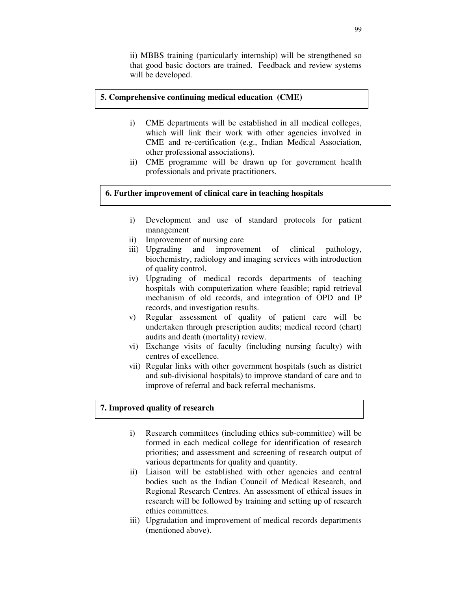ii) MBBS training (particularly internship) will be strengthened so that good basic doctors are trained. Feedback and review systems will be developed.

#### **5. Comprehensive continuing medical education (CME)**

- i) CME departments will be established in all medical colleges, which will link their work with other agencies involved in CME and re-certification (e.g., Indian Medical Association, other professional associations).
- ii) CME programme will be drawn up for government health professionals and private practitioners.

## **6. Further improvement of clinical care in teaching hospitals**

- i) Development and use of standard protocols for patient management
- ii) Improvement of nursing care
- iii) Upgrading and improvement of clinical pathology, biochemistry, radiology and imaging services with introduction of quality control.
- iv) Upgrading of medical records departments of teaching hospitals with computerization where feasible; rapid retrieval mechanism of old records, and integration of OPD and IP records, and investigation results.
- v) Regular assessment of quality of patient care will be undertaken through prescription audits; medical record (chart) audits and death (mortality) review.
- vi) Exchange visits of faculty (including nursing faculty) with centres of excellence.
- vii) Regular links with other government hospitals (such as district and sub-divisional hospitals) to improve standard of care and to improve of referral and back referral mechanisms.

## **7. Improved quality of research**

- i) Research committees (including ethics sub-committee) will be formed in each medical college for identification of research priorities; and assessment and screening of research output of various departments for quality and quantity.
- ii) Liaison will be established with other agencies and central bodies such as the Indian Council of Medical Research, and Regional Research Centres. An assessment of ethical issues in research will be followed by training and setting up of research ethics committees.
- iii) Upgradation and improvement of medical records departments (mentioned above).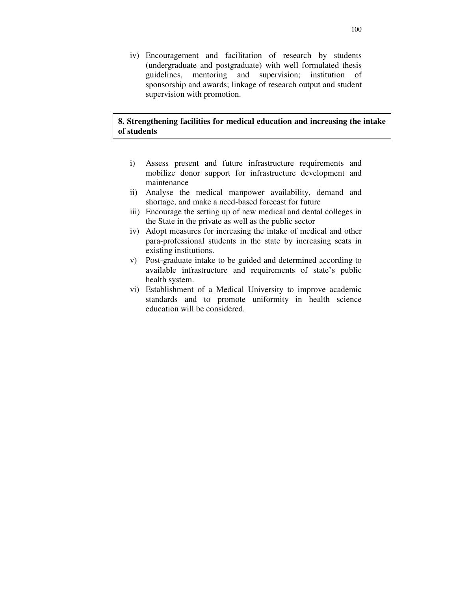iv) Encouragement and facilitation of research by students (undergraduate and postgraduate) with well formulated thesis guidelines, mentoring and supervision; institution of sponsorship and awards; linkage of research output and student supervision with promotion.

## **8. Strengthening facilities for medical education and increasing the intake of students**

- i) Assess present and future infrastructure requirements and mobilize donor support for infrastructure development and maintenance
- ii) Analyse the medical manpower availability, demand and shortage, and make a need-based forecast for future
- iii) Encourage the setting up of new medical and dental colleges in the State in the private as well as the public sector
- iv) Adopt measures for increasing the intake of medical and other para-professional students in the state by increasing seats in existing institutions.
- v) Post-graduate intake to be guided and determined according to available infrastructure and requirements of state's public health system.
- vi) Establishment of a Medical University to improve academic standards and to promote uniformity in health science education will be considered.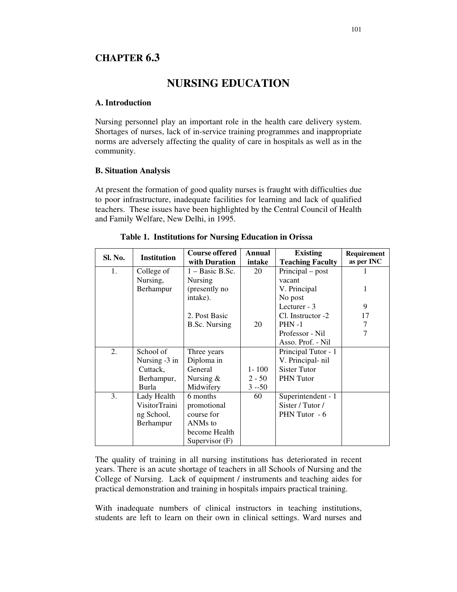# **CHAPTER 6.3**

# **NURSING EDUCATION**

## **A. Introduction**

Nursing personnel play an important role in the health care delivery system. Shortages of nurses, lack of in-service training programmes and inappropriate norms are adversely affecting the quality of care in hospitals as well as in the community.

## **B. Situation Analysis**

At present the formation of good quality nurses is fraught with difficulties due to poor infrastructure, inadequate facilities for learning and lack of qualified teachers. These issues have been highlighted by the Central Council of Health and Family Welfare, New Delhi, in 1995.

| Sl. No. | <b>Institution</b> | <b>Course offered</b> | Annual    | <b>Existing</b>         | Requirement |
|---------|--------------------|-----------------------|-----------|-------------------------|-------------|
|         |                    | with Duration         | intake    | <b>Teaching Faculty</b> | as per INC  |
| 1.      | College of         | $1 - Basic B.Sc.$     | 20        | Principal – post        |             |
|         | Nursing,           | Nursing               |           | vacant                  |             |
|         | Berhampur          | (presently no         |           | V. Principal            |             |
|         |                    | intake).              |           | No post                 |             |
|         |                    |                       |           | Lecturer - 3            | 9           |
|         |                    | 2. Post Basic         |           | Cl. Instructor -2       | 17          |
|         |                    | <b>B.Sc. Nursing</b>  | 20        | $PHN-1$                 | 7           |
|         |                    |                       |           | Professor - Nil         | 7           |
|         |                    |                       |           | Asso. Prof. - Nil       |             |
| 2.      | School of          | Three years           |           | Principal Tutor - 1     |             |
|         | Nursing -3 in      | Diploma in            |           | V. Principal- nil       |             |
|         | Cuttack,           | General               | $1 - 100$ | <b>Sister Tutor</b>     |             |
|         | Berhampur,         | Nursing $&$           | $2 - 50$  | <b>PHN</b> Tutor        |             |
|         | Burla              | Midwifery             | $3 - 50$  |                         |             |
| 3.      | Lady Health        | 6 months              | 60        | Superintendent - 1      |             |
|         | VisitorTraini      | promotional           |           | Sister / Tutor /        |             |
|         | ng School,         | course for            |           | PHN Tutor - 6           |             |
|         | Berhampur          | ANM <sub>s</sub> to   |           |                         |             |
|         |                    | become Health         |           |                         |             |
|         |                    | Supervisor $(F)$      |           |                         |             |

|  | Table 1. Institutions for Nursing Education in Orissa |  |  |  |  |  |
|--|-------------------------------------------------------|--|--|--|--|--|
|--|-------------------------------------------------------|--|--|--|--|--|

The quality of training in all nursing institutions has deteriorated in recent years. There is an acute shortage of teachers in all Schools of Nursing and the College of Nursing. Lack of equipment / instruments and teaching aides for practical demonstration and training in hospitals impairs practical training.

With inadequate numbers of clinical instructors in teaching institutions, students are left to learn on their own in clinical settings. Ward nurses and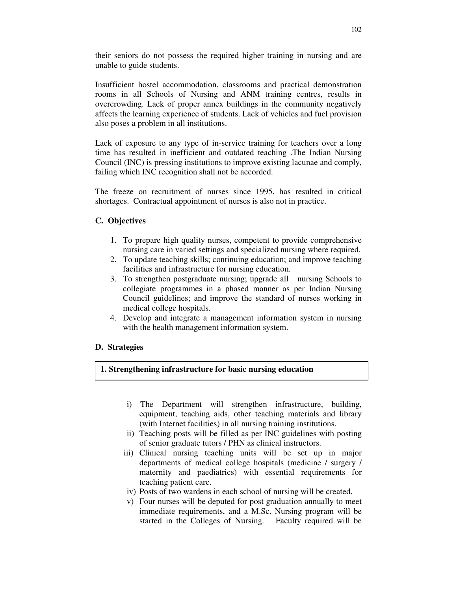their seniors do not possess the required higher training in nursing and are unable to guide students.

Insufficient hostel accommodation, classrooms and practical demonstration rooms in all Schools of Nursing and ANM training centres, results in overcrowding. Lack of proper annex buildings in the community negatively affects the learning experience of students. Lack of vehicles and fuel provision also poses a problem in all institutions.

Lack of exposure to any type of in-service training for teachers over a long time has resulted in inefficient and outdated teaching .The Indian Nursing Council (INC) is pressing institutions to improve existing lacunae and comply, failing which INC recognition shall not be accorded.

The freeze on recruitment of nurses since 1995, has resulted in critical shortages. Contractual appointment of nurses is also not in practice.

# **C. Objectives**

- 1. To prepare high quality nurses, competent to provide comprehensive nursing care in varied settings and specialized nursing where required.
- 2. To update teaching skills; continuing education; and improve teaching facilities and infrastructure for nursing education.
- 3. To strengthen postgraduate nursing; upgrade all nursing Schools to collegiate programmes in a phased manner as per Indian Nursing Council guidelines; and improve the standard of nurses working in medical college hospitals.
- 4. Develop and integrate a management information system in nursing with the health management information system.

# **D. Strategies**

# **1. Strengthening infrastructure for basic nursing education**

- i) The Department will strengthen infrastructure, building, equipment, teaching aids, other teaching materials and library (with Internet facilities) in all nursing training institutions.
- ii) Teaching posts will be filled as per INC guidelines with posting of senior graduate tutors / PHN as clinical instructors.
- iii) Clinical nursing teaching units will be set up in major departments of medical college hospitals (medicine / surgery / maternity and paediatrics) with essential requirements for teaching patient care.
- iv) Posts of two wardens in each school of nursing will be created.
- v) Four nurses will be deputed for post graduation annually to meet immediate requirements, and a M.Sc. Nursing program will be started in the Colleges of Nursing. Faculty required will be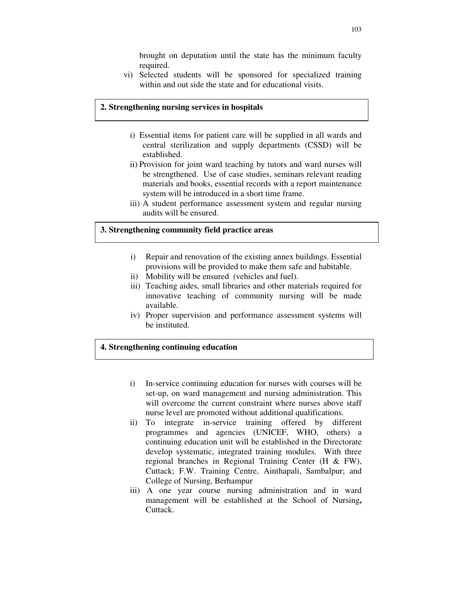brought on deputation until the state has the minimum faculty required.

vi) Selected students will be sponsored for specialized training within and out side the state and for educational visits.

#### **2. Strengthening nursing services in hospitals**

- i) Essential items for patient care will be supplied in all wards and central sterilization and supply departments (CSSD) will be established.
- ii) Provision for joint ward teaching by tutors and ward nurses will be strengthened. Use of case studies, seminars relevant reading materials and books, essential records with a report maintenance system will be introduced in a short time frame.
- iii) A student performance assessment system and regular nursing audits will be ensured.

# **3. Strengthening community field practice areas**

- i) Repair and renovation of the existing annex buildings. Essential provisions will be provided to make them safe and habitable.
- ii) Mobility will be ensured (vehicles and fuel).
- iii) Teaching aides, small libraries and other materials required for innovative teaching of community nursing will be made available.
- iv) Proper supervision and performance assessment systems will be instituted.

## **4. Strengthening continuing education**

- i) In-service continuing education for nurses with courses will be set-up, on ward management and nursing administration. This will overcome the current constraint where nurses above staff nurse level are promoted without additional qualifications.
- ii) To integrate in-service training offered by different programmes and agencies (UNICEF, WHO, others) a continuing education unit will be established in the Directorate develop systematic, integrated training modules. With three regional branches in Regional Training Center (H & FW), Cuttack; F.W. Training Centre, Ainthapali, Sambalpur; and College of Nursing, Berhampur
- iii) A one year course nursing administration and in ward management will be established at the School of Nursing**,** Cuttack.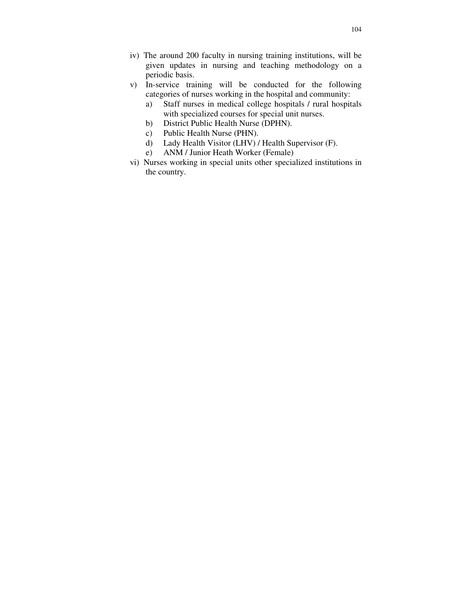- iv) The around 200 faculty in nursing training institutions, will be given updates in nursing and teaching methodology on a periodic basis.
- v) In-service training will be conducted for the following categories of nurses working in the hospital and community:
	- a) Staff nurses in medical college hospitals / rural hospitals with specialized courses for special unit nurses.
	- b) District Public Health Nurse (DPHN).
	- c) Public Health Nurse (PHN).
	- d) Lady Health Visitor (LHV) / Health Supervisor (F).
	- e) ANM / Junior Heath Worker (Female)
- vi) Nurses working in special units other specialized institutions in the country.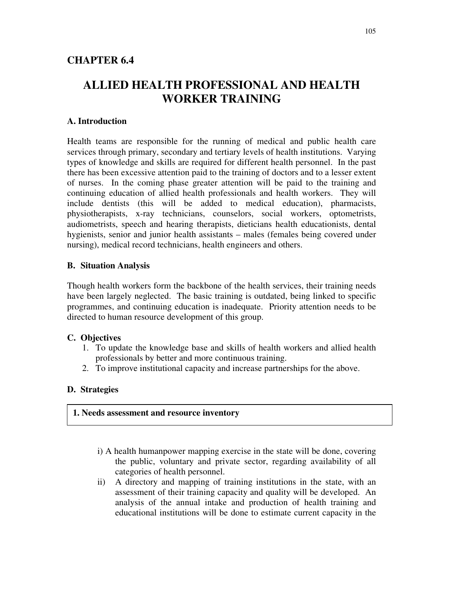# **ALLIED HEALTH PROFESSIONAL AND HEALTH WORKER TRAINING**

# **A. Introduction**

Health teams are responsible for the running of medical and public health care services through primary, secondary and tertiary levels of health institutions. Varying types of knowledge and skills are required for different health personnel. In the past there has been excessive attention paid to the training of doctors and to a lesser extent of nurses. In the coming phase greater attention will be paid to the training and continuing education of allied health professionals and health workers. They will include dentists (this will be added to medical education), pharmacists, physiotherapists, x-ray technicians, counselors, social workers, optometrists, audiometrists, speech and hearing therapists, dieticians health educationists, dental hygienists, senior and junior health assistants – males (females being covered under nursing), medical record technicians, health engineers and others.

# **B. Situation Analysis**

Though health workers form the backbone of the health services, their training needs have been largely neglected. The basic training is outdated, being linked to specific programmes, and continuing education is inadequate. Priority attention needs to be directed to human resource development of this group.

# **C. Objectives**

- 1. To update the knowledge base and skills of health workers and allied health professionals by better and more continuous training.
- 2. To improve institutional capacity and increase partnerships for the above.

# **D. Strategies**

## **1. Needs assessment and resource inventory**

- i) A health humanpower mapping exercise in the state will be done, covering the public, voluntary and private sector, regarding availability of all categories of health personnel.
- ii) A directory and mapping of training institutions in the state, with an assessment of their training capacity and quality will be developed. An analysis of the annual intake and production of health training and educational institutions will be done to estimate current capacity in the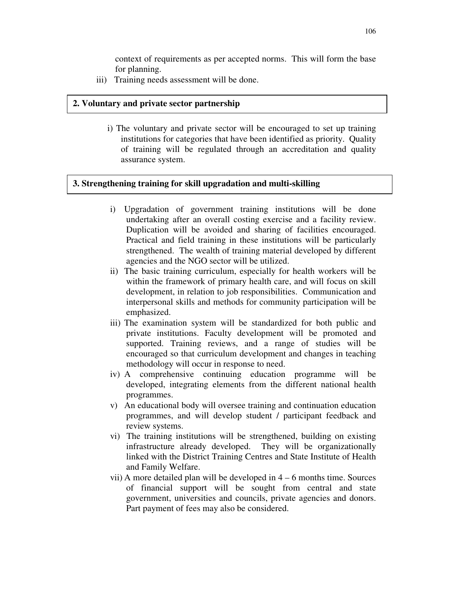context of requirements as per accepted norms. This will form the base for planning.

iii) Training needs assessment will be done.

## **2. Voluntary and private sector partnership**

i) The voluntary and private sector will be encouraged to set up training institutions for categories that have been identified as priority. Quality of training will be regulated through an accreditation and quality assurance system.

# **3. Strengthening training for skill upgradation and multi-skilling**

- i) Upgradation of government training institutions will be done undertaking after an overall costing exercise and a facility review. Duplication will be avoided and sharing of facilities encouraged. Practical and field training in these institutions will be particularly strengthened. The wealth of training material developed by different agencies and the NGO sector will be utilized.
- ii) The basic training curriculum, especially for health workers will be within the framework of primary health care, and will focus on skill development, in relation to job responsibilities. Communication and interpersonal skills and methods for community participation will be emphasized.
- iii) The examination system will be standardized for both public and private institutions. Faculty development will be promoted and supported. Training reviews, and a range of studies will be encouraged so that curriculum development and changes in teaching methodology will occur in response to need.
- iv) A comprehensive continuing education programme will be developed, integrating elements from the different national health programmes.
- v) An educational body will oversee training and continuation education programmes, and will develop student / participant feedback and review systems.
- vi) The training institutions will be strengthened, building on existing infrastructure already developed. They will be organizationally linked with the District Training Centres and State Institute of Health and Family Welfare.
- vii) A more detailed plan will be developed in 4 6 months time. Sources of financial support will be sought from central and state government, universities and councils, private agencies and donors. Part payment of fees may also be considered.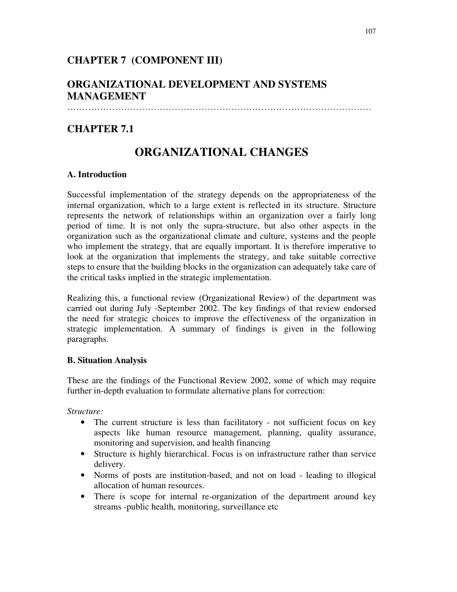# **CHAPTER 7 (COMPONENT III)**

# **ORGANIZATIONAL DEVELOPMENT AND SYSTEMS MANAGEMENT**

…………………………………………………………………………………………

# **CHAPTER 7.1**

# **ORGANIZATIONAL CHANGES**

# **A. Introduction**

Successful implementation of the strategy depends on the appropriateness of the internal organization, which to a large extent is reflected in its structure. Structure represents the network of relationships within an organization over a fairly long period of time. It is not only the supra-structure, but also other aspects in the organization such as the organizational climate and culture, systems and the people who implement the strategy, that are equally important. It is therefore imperative to look at the organization that implements the strategy, and take suitable corrective steps to ensure that the building blocks in the organization can adequately take care of the critical tasks implied in the strategic implementation.

Realizing this, a functional review (Organizational Review) of the department was carried out during July -September 2002. The key findings of that review endorsed the need for strategic choices to improve the effectiveness of the organization in strategic implementation. A summary of findings is given in the following paragraphs.

# **B. Situation Analysis**

These are the findings of the Functional Review 2002, some of which may require further in-depth evaluation to formulate alternative plans for correction:

*Structure:*

- The current structure is less than facilitatory not sufficient focus on key aspects like human resource management, planning, quality assurance, monitoring and supervision, and health financing
- Structure is highly hierarchical. Focus is on infrastructure rather than service delivery.
- Norms of posts are institution-based, and not on load leading to illogical allocation of human resources.
- There is scope for internal re-organization of the department around key streams -public health, monitoring, surveillance etc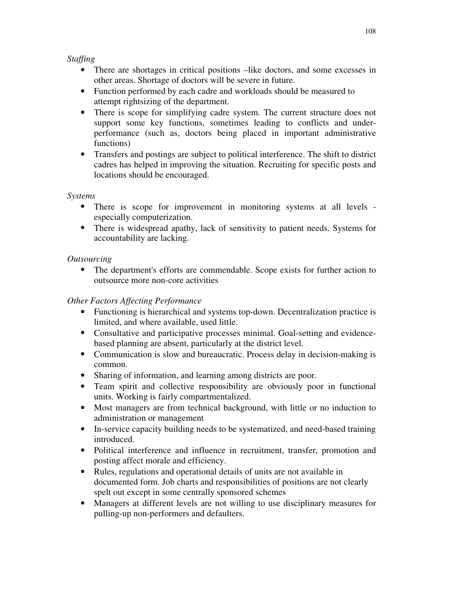# *Staffing*

- There are shortages in critical positions –like doctors, and some excesses in other areas. Shortage of doctors will be severe in future.
- Function performed by each cadre and workloads should be measured to attempt rightsizing of the department.
- There is scope for simplifying cadre system. The current structure does not support some key functions, sometimes leading to conflicts and underperformance (such as, doctors being placed in important administrative functions)
- Transfers and postings are subject to political interference. The shift to district cadres has helped in improving the situation. Recruiting for specific posts and locations should be encouraged.

# *Systems*

- There is scope for improvement in monitoring systems at all levels especially computerization.
- There is widespread apathy, lack of sensitivity to patient needs. Systems for accountability are lacking.

# *Outsourcing*

• The department's efforts are commendable. Scope exists for further action to outsource more non-core activities

# *Other Factors Affecting Performance*

- Functioning is hierarchical and systems top-down. Decentralization practice is limited, and where available, used little.
- Consultative and participative processes minimal. Goal-setting and evidencebased planning are absent, particularly at the district level.
- Communication is slow and bureaucratic. Process delay in decision-making is common.
- Sharing of information, and learning among districts are poor.
- Team spirit and collective responsibility are obviously poor in functional units. Working is fairly compartmentalized.
- Most managers are from technical background, with little or no induction to administration or management
- In-service capacity building needs to be systematized, and need-based training introduced.
- Political interference and influence in recruitment, transfer, promotion and posting affect morale and efficiency.
- Rules, regulations and operational details of units are not available in documented form. Job charts and responsibilities of positions are not clearly spelt out except in some centrally sponsored schemes
- Managers at different levels are not willing to use disciplinary measures for pulling-up non-performers and defaulters.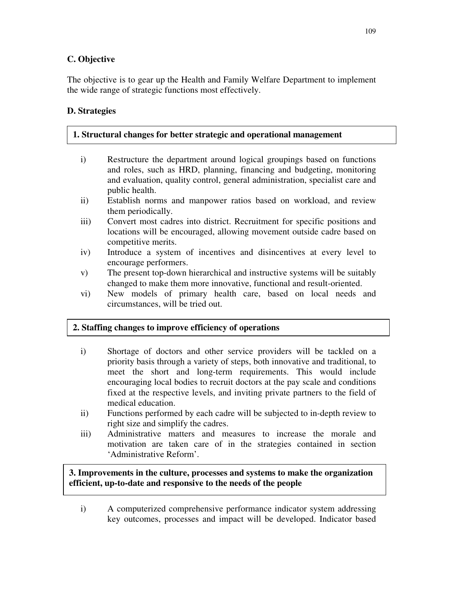# **C. Objective**

The objective is to gear up the Health and Family Welfare Department to implement the wide range of strategic functions most effectively.

# **D. Strategies**

| 1. Structural changes for better strategic and operational management |                                                                                                                                                                                                                                 |  |  |  |  |
|-----------------------------------------------------------------------|---------------------------------------------------------------------------------------------------------------------------------------------------------------------------------------------------------------------------------|--|--|--|--|
| $\mathbf{i}$                                                          | Restructure the department around logical groupings based on functions<br>and roles, such as HRD, planning, financing and budgeting, monitoring<br>and evaluation, quality control, general administration, specialist care and |  |  |  |  |
|                                                                       | public health.                                                                                                                                                                                                                  |  |  |  |  |
| $\ddot{i}$                                                            | Establish norms and manpower ratios based on workload, and review<br>them periodically.                                                                                                                                         |  |  |  |  |
| iii)                                                                  | Convert most cadres into district. Recruitment for specific positions and                                                                                                                                                       |  |  |  |  |

- locations will be encouraged, allowing movement outside cadre based on competitive merits.
- iv) Introduce a system of incentives and disincentives at every level to encourage performers.
- v) The present top-down hierarchical and instructive systems will be suitably changed to make them more innovative, functional and result-oriented.
- vi) New models of primary health care, based on local needs and circumstances, will be tried out.

# **2. Staffing changes to improve efficiency of operations**

- i) Shortage of doctors and other service providers will be tackled on a priority basis through a variety of steps, both innovative and traditional, to meet the short and long-term requirements. This would include encouraging local bodies to recruit doctors at the pay scale and conditions fixed at the respective levels, and inviting private partners to the field of medical education.
- ii) Functions performed by each cadre will be subjected to in-depth review to right size and simplify the cadres.
- iii) Administrative matters and measures to increase the morale and motivation are taken care of in the strategies contained in section 'Administrative Reform'.

**3. Improvements in the culture, processes and systems to make the organization efficient, up-to-date and responsive to the needs of the people**

i) A computerized comprehensive performance indicator system addressing key outcomes, processes and impact will be developed. Indicator based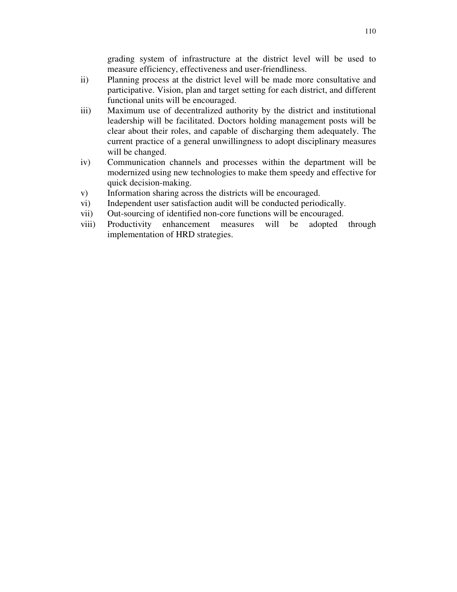grading system of infrastructure at the district level will be used to measure efficiency, effectiveness and user-friendliness.

- ii) Planning process at the district level will be made more consultative and participative. Vision, plan and target setting for each district, and different functional units will be encouraged.
- iii) Maximum use of decentralized authority by the district and institutional leadership will be facilitated. Doctors holding management posts will be clear about their roles, and capable of discharging them adequately. The current practice of a general unwillingness to adopt disciplinary measures will be changed.
- iv) Communication channels and processes within the department will be modernized using new technologies to make them speedy and effective for quick decision-making.
- v) Information sharing across the districts will be encouraged.
- vi) Independent user satisfaction audit will be conducted periodically.
- vii) Out-sourcing of identified non-core functions will be encouraged.
- viii) Productivity enhancement measures will be adopted through implementation of HRD strategies.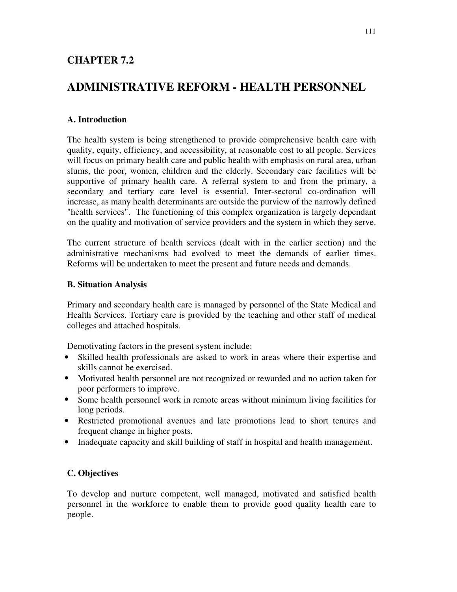# **CHAPTER 7.2**

# **ADMINISTRATIVE REFORM - HEALTH PERSONNEL**

# **A. Introduction**

The health system is being strengthened to provide comprehensive health care with quality, equity, efficiency, and accessibility, at reasonable cost to all people. Services will focus on primary health care and public health with emphasis on rural area, urban slums, the poor, women, children and the elderly. Secondary care facilities will be supportive of primary health care. A referral system to and from the primary, a secondary and tertiary care level is essential. Inter-sectoral co-ordination will increase, as many health determinants are outside the purview of the narrowly defined "health services". The functioning of this complex organization is largely dependant on the quality and motivation of service providers and the system in which they serve.

The current structure of health services (dealt with in the earlier section) and the administrative mechanisms had evolved to meet the demands of earlier times. Reforms will be undertaken to meet the present and future needs and demands.

#### **B. Situation Analysis**

Primary and secondary health care is managed by personnel of the State Medical and Health Services. Tertiary care is provided by the teaching and other staff of medical colleges and attached hospitals.

Demotivating factors in the present system include:

- Skilled health professionals are asked to work in areas where their expertise and skills cannot be exercised.
- Motivated health personnel are not recognized or rewarded and no action taken for poor performers to improve.
- Some health personnel work in remote areas without minimum living facilities for long periods.
- Restricted promotional avenues and late promotions lead to short tenures and frequent change in higher posts.
- Inadequate capacity and skill building of staff in hospital and health management.

## **C. Objectives**

To develop and nurture competent, well managed, motivated and satisfied health personnel in the workforce to enable them to provide good quality health care to people.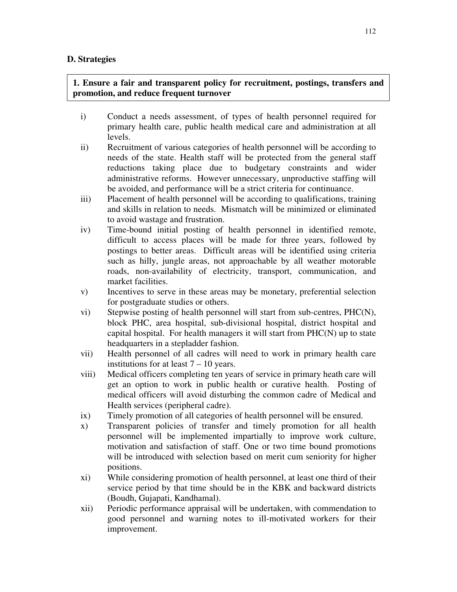## **D. Strategies**

# **1. Ensure a fair and transparent policy for recruitment, postings, transfers and promotion, and reduce frequent turnover**

- i) Conduct a needs assessment, of types of health personnel required for primary health care, public health medical care and administration at all levels.
- ii) Recruitment of various categories of health personnel will be according to needs of the state. Health staff will be protected from the general staff reductions taking place due to budgetary constraints and wider administrative reforms. However unnecessary, unproductive staffing will be avoided, and performance will be a strict criteria for continuance.
- iii) Placement of health personnel will be according to qualifications, training and skills in relation to needs. Mismatch will be minimized or eliminated to avoid wastage and frustration.
- iv) Time-bound initial posting of health personnel in identified remote, difficult to access places will be made for three years, followed by postings to better areas. Difficult areas will be identified using criteria such as hilly, jungle areas, not approachable by all weather motorable roads, non-availability of electricity, transport, communication, and market facilities.
- v) Incentives to serve in these areas may be monetary, preferential selection for postgraduate studies or others.
- vi) Stepwise posting of health personnel will start from sub-centres, PHC(N), block PHC, area hospital, sub-divisional hospital, district hospital and capital hospital. For health managers it will start from PHC(N) up to state headquarters in a stepladder fashion.
- vii) Health personnel of all cadres will need to work in primary health care institutions for at least 7 – 10 years.
- viii) Medical officers completing ten years of service in primary heath care will get an option to work in public health or curative health. Posting of medical officers will avoid disturbing the common cadre of Medical and Health services (peripheral cadre).
- ix) Timely promotion of all categories of health personnel will be ensured.
- x) Transparent policies of transfer and timely promotion for all health personnel will be implemented impartially to improve work culture, motivation and satisfaction of staff. One or two time bound promotions will be introduced with selection based on merit cum seniority for higher positions.
- xi) While considering promotion of health personnel, at least one third of their service period by that time should be in the KBK and backward districts (Boudh, Gujapati, Kandhamal).
- xii) Periodic performance appraisal will be undertaken, with commendation to good personnel and warning notes to ill-motivated workers for their improvement.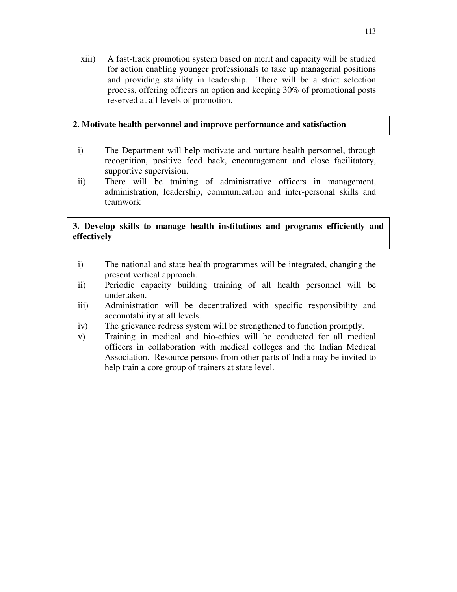xiii) A fast-track promotion system based on merit and capacity will be studied for action enabling younger professionals to take up managerial positions and providing stability in leadership. There will be a strict selection process, offering officers an option and keeping 30% of promotional posts reserved at all levels of promotion.

## **2. Motivate health personnel and improve performance and satisfaction**

- i) The Department will help motivate and nurture health personnel, through recognition, positive feed back, encouragement and close facilitatory, supportive supervision.
- ii) There will be training of administrative officers in management, administration, leadership, communication and inter-personal skills and teamwork

# **3. Develop skills to manage health institutions and programs efficiently and effectively**

- i) The national and state health programmes will be integrated, changing the present vertical approach.
- ii) Periodic capacity building training of all health personnel will be undertaken.
- iii) Administration will be decentralized with specific responsibility and accountability at all levels.
- iv) The grievance redress system will be strengthened to function promptly.
- v) Training in medical and bio-ethics will be conducted for all medical officers in collaboration with medical colleges and the Indian Medical Association. Resource persons from other parts of India may be invited to help train a core group of trainers at state level.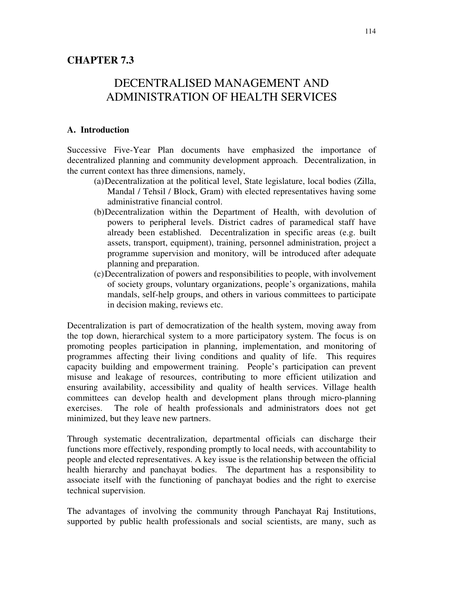# DECENTRALISED MANAGEMENT AND ADMINISTRATION OF HEALTH SERVICES

## **A. Introduction**

Successive Five-Year Plan documents have emphasized the importance of decentralized planning and community development approach. Decentralization, in the current context has three dimensions, namely,

- (a)Decentralization at the political level, State legislature, local bodies (Zilla, Mandal / Tehsil / Block, Gram) with elected representatives having some administrative financial control.
- (b)Decentralization within the Department of Health, with devolution of powers to peripheral levels. District cadres of paramedical staff have already been established. Decentralization in specific areas (e.g. built assets, transport, equipment), training, personnel administration, project a programme supervision and monitory, will be introduced after adequate planning and preparation.
- (c)Decentralization of powers and responsibilities to people, with involvement of society groups, voluntary organizations, people's organizations, mahila mandals, self-help groups, and others in various committees to participate in decision making, reviews etc.

Decentralization is part of democratization of the health system, moving away from the top down, hierarchical system to a more participatory system. The focus is on promoting peoples participation in planning, implementation, and monitoring of programmes affecting their living conditions and quality of life. This requires capacity building and empowerment training. People's participation can prevent misuse and leakage of resources, contributing to more efficient utilization and ensuring availability, accessibility and quality of health services. Village health committees can develop health and development plans through micro-planning exercises. The role of health professionals and administrators does not get minimized, but they leave new partners.

Through systematic decentralization, departmental officials can discharge their functions more effectively, responding promptly to local needs, with accountability to people and elected representatives. A key issue is the relationship between the official health hierarchy and panchayat bodies. The department has a responsibility to associate itself with the functioning of panchayat bodies and the right to exercise technical supervision.

The advantages of involving the community through Panchayat Raj Institutions, supported by public health professionals and social scientists, are many, such as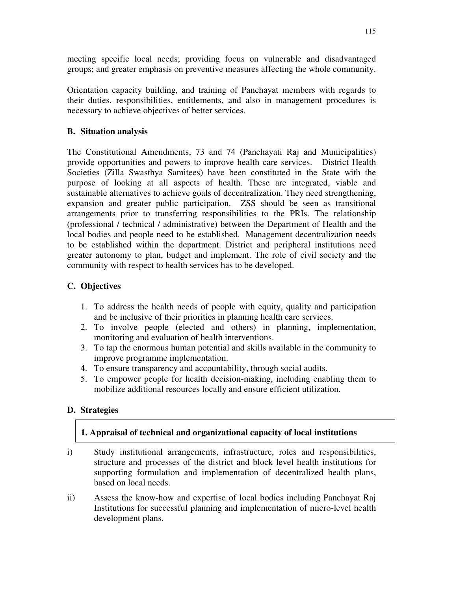meeting specific local needs; providing focus on vulnerable and disadvantaged groups; and greater emphasis on preventive measures affecting the whole community.

Orientation capacity building, and training of Panchayat members with regards to their duties, responsibilities, entitlements, and also in management procedures is necessary to achieve objectives of better services.

# **B. Situation analysis**

The Constitutional Amendments, 73 and 74 (Panchayati Raj and Municipalities) provide opportunities and powers to improve health care services. District Health Societies (Zilla Swasthya Samitees) have been constituted in the State with the purpose of looking at all aspects of health. These are integrated, viable and sustainable alternatives to achieve goals of decentralization. They need strengthening, expansion and greater public participation. ZSS should be seen as transitional arrangements prior to transferring responsibilities to the PRIs. The relationship (professional / technical / administrative) between the Department of Health and the local bodies and people need to be established. Management decentralization needs to be established within the department. District and peripheral institutions need greater autonomy to plan, budget and implement. The role of civil society and the community with respect to health services has to be developed.

## **C. Objectives**

- 1. To address the health needs of people with equity, quality and participation and be inclusive of their priorities in planning health care services.
- 2. To involve people (elected and others) in planning, implementation, monitoring and evaluation of health interventions.
- 3. To tap the enormous human potential and skills available in the community to improve programme implementation.
- 4. To ensure transparency and accountability, through social audits.
- 5. To empower people for health decision-making, including enabling them to mobilize additional resources locally and ensure efficient utilization.

## **D. Strategies**

## **1. Appraisal of technical and organizational capacity of local institutions**

- i) Study institutional arrangements, infrastructure, roles and responsibilities, structure and processes of the district and block level health institutions for supporting formulation and implementation of decentralized health plans, based on local needs.
- ii) Assess the know-how and expertise of local bodies including Panchayat Raj Institutions for successful planning and implementation of micro-level health development plans.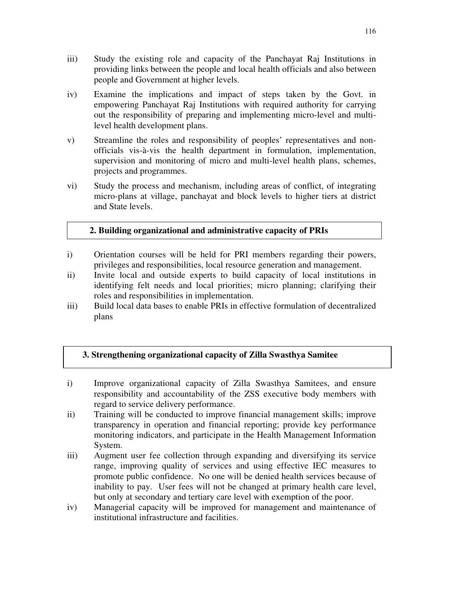- iii) Study the existing role and capacity of the Panchayat Raj Institutions in providing links between the people and local health officials and also between people and Government at higher levels.
- iv) Examine the implications and impact of steps taken by the Govt. in empowering Panchayat Raj Institutions with required authority for carrying out the responsibility of preparing and implementing micro-level and multilevel health development plans.
- v) Streamline the roles and responsibility of peoples' representatives and nonofficials vis-à-vis the health department in formulation, implementation, supervision and monitoring of micro and multi-level health plans, schemes, projects and programmes.
- vi) Study the process and mechanism, including areas of conflict, of integrating micro-plans at village, panchayat and block levels to higher tiers at district and State levels.

# **2. Building organizational and administrative capacity of PRIs**

- i) Orientation courses will be held for PRI members regarding their powers, privileges and responsibilities, local resource generation and management.
- ii) Invite local and outside experts to build capacity of local institutions in identifying felt needs and local priorities; micro planning; clarifying their roles and responsibilities in implementation.
- iii) Build local data bases to enable PRIs in effective formulation of decentralized plans

# **3. Strengthening organizational capacity of Zilla Swasthya Samitee**

- i) Improve organizational capacity of Zilla Swasthya Samitees, and ensure responsibility and accountability of the ZSS executive body members with regard to service delivery performance.
- ii) Training will be conducted to improve financial management skills; improve transparency in operation and financial reporting; provide key performance monitoring indicators, and participate in the Health Management Information System.
- iii) Augment user fee collection through expanding and diversifying its service range, improving quality of services and using effective IEC measures to promote public confidence. No one will be denied health services because of inability to pay. User fees will not be changed at primary health care level, but only at secondary and tertiary care level with exemption of the poor.
- iv) Managerial capacity will be improved for management and maintenance of institutional infrastructure and facilities.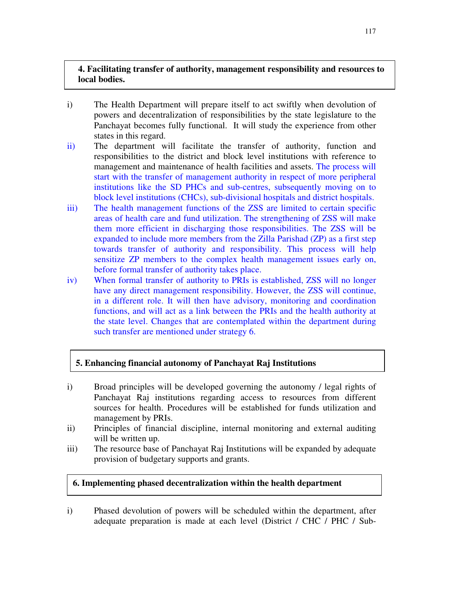# **4. Facilitating transfer of authority, management responsibility and resources to local bodies.**

- i) The Health Department will prepare itself to act swiftly when devolution of powers and decentralization of responsibilities by the state legislature to the Panchayat becomes fully functional. It will study the experience from other states in this regard.
- ii) The department will facilitate the transfer of authority, function and responsibilities to the district and block level institutions with reference to management and maintenance of health facilities and assets. The process will start with the transfer of management authority in respect of more peripheral institutions like the SD PHCs and sub-centres, subsequently moving on to block level institutions (CHCs), sub-divisional hospitals and district hospitals.
- iii) The health management functions of the ZSS are limited to certain specific areas of health care and fund utilization. The strengthening of ZSS will make them more efficient in discharging those responsibilities. The ZSS will be expanded to include more members from the Zilla Parishad (ZP) as a first step towards transfer of authority and responsibility. This process will help sensitize ZP members to the complex health management issues early on, before formal transfer of authority takes place.
- iv) When formal transfer of authority to PRIs is established, ZSS will no longer have any direct management responsibility. However, the ZSS will continue, in a different role. It will then have advisory, monitoring and coordination functions, and will act as a link between the PRIs and the health authority at the state level. Changes that are contemplated within the department during such transfer are mentioned under strategy 6.

# **5. Enhancing financial autonomy of Panchayat Raj Institutions**

- i) Broad principles will be developed governing the autonomy / legal rights of Panchayat Raj institutions regarding access to resources from different sources for health. Procedures will be established for funds utilization and management by PRIs.
- ii) Principles of financial discipline, internal monitoring and external auditing will be written up.
- iii) The resource base of Panchayat Raj Institutions will be expanded by adequate provision of budgetary supports and grants.

# **6. Implementing phased decentralization within the health department**

i) Phased devolution of powers will be scheduled within the department, after adequate preparation is made at each level (District / CHC / PHC / Sub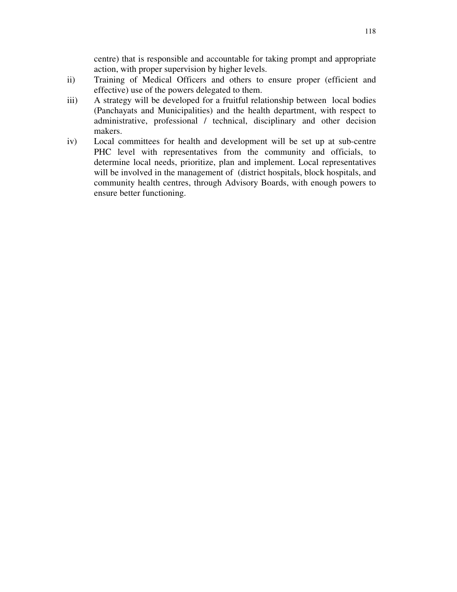centre) that is responsible and accountable for taking prompt and appropriate action, with proper supervision by higher levels.

- ii) Training of Medical Officers and others to ensure proper (efficient and effective) use of the powers delegated to them.
- iii) A strategy will be developed for a fruitful relationship between local bodies (Panchayats and Municipalities) and the health department, with respect to administrative, professional / technical, disciplinary and other decision makers.
- iv) Local committees for health and development will be set up at sub-centre PHC level with representatives from the community and officials, to determine local needs, prioritize, plan and implement. Local representatives will be involved in the management of (district hospitals, block hospitals, and community health centres, through Advisory Boards, with enough powers to ensure better functioning.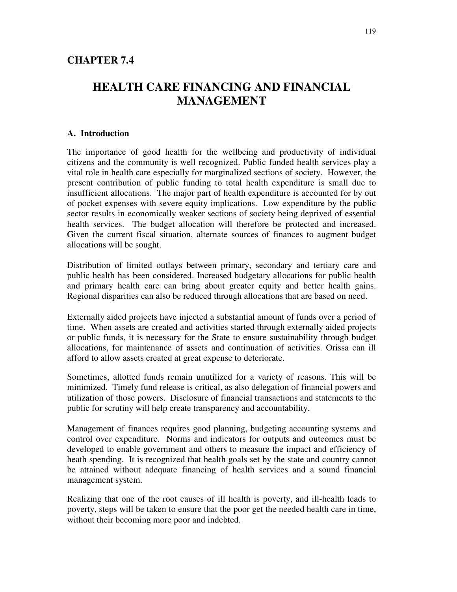# **HEALTH CARE FINANCING AND FINANCIAL MANAGEMENT**

### **A. Introduction**

The importance of good health for the wellbeing and productivity of individual citizens and the community is well recognized. Public funded health services play a vital role in health care especially for marginalized sections of society. However, the present contribution of public funding to total health expenditure is small due to insufficient allocations. The major part of health expenditure is accounted for by out of pocket expenses with severe equity implications. Low expenditure by the public sector results in economically weaker sections of society being deprived of essential health services. The budget allocation will therefore be protected and increased. Given the current fiscal situation, alternate sources of finances to augment budget allocations will be sought.

Distribution of limited outlays between primary, secondary and tertiary care and public health has been considered. Increased budgetary allocations for public health and primary health care can bring about greater equity and better health gains. Regional disparities can also be reduced through allocations that are based on need.

Externally aided projects have injected a substantial amount of funds over a period of time. When assets are created and activities started through externally aided projects or public funds, it is necessary for the State to ensure sustainability through budget allocations, for maintenance of assets and continuation of activities. Orissa can ill afford to allow assets created at great expense to deteriorate.

Sometimes, allotted funds remain unutilized for a variety of reasons. This will be minimized. Timely fund release is critical, as also delegation of financial powers and utilization of those powers. Disclosure of financial transactions and statements to the public for scrutiny will help create transparency and accountability.

Management of finances requires good planning, budgeting accounting systems and control over expenditure. Norms and indicators for outputs and outcomes must be developed to enable government and others to measure the impact and efficiency of heath spending. It is recognized that health goals set by the state and country cannot be attained without adequate financing of health services and a sound financial management system.

Realizing that one of the root causes of ill health is poverty, and ill-health leads to poverty, steps will be taken to ensure that the poor get the needed health care in time, without their becoming more poor and indebted.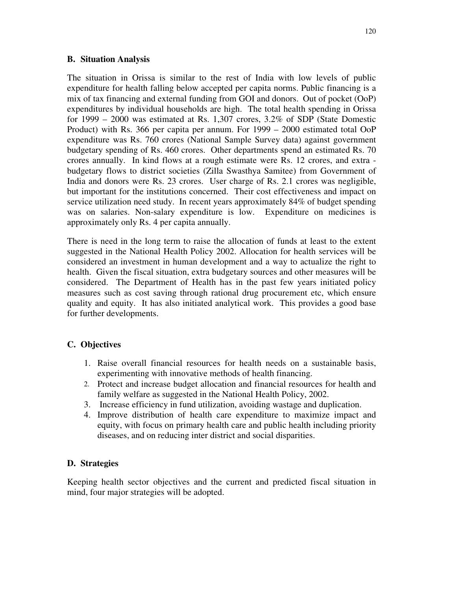## **B. Situation Analysis**

The situation in Orissa is similar to the rest of India with low levels of public expenditure for health falling below accepted per capita norms. Public financing is a mix of tax financing and external funding from GOI and donors. Out of pocket (OoP) expenditures by individual households are high. The total health spending in Orissa for 1999 – 2000 was estimated at Rs. 1,307 crores, 3.2% of SDP (State Domestic Product) with Rs. 366 per capita per annum. For 1999 – 2000 estimated total OoP expenditure was Rs. 760 crores (National Sample Survey data) against government budgetary spending of Rs. 460 crores. Other departments spend an estimated Rs. 70 crores annually. In kind flows at a rough estimate were Rs. 12 crores, and extra budgetary flows to district societies (Zilla Swasthya Samitee) from Government of India and donors were Rs. 23 crores. User charge of Rs. 2.1 crores was negligible, but important for the institutions concerned. Their cost effectiveness and impact on service utilization need study. In recent years approximately 84% of budget spending was on salaries. Non-salary expenditure is low. Expenditure on medicines is approximately only Rs. 4 per capita annually.

There is need in the long term to raise the allocation of funds at least to the extent suggested in the National Health Policy 2002. Allocation for health services will be considered an investment in human development and a way to actualize the right to health. Given the fiscal situation, extra budgetary sources and other measures will be considered. The Department of Health has in the past few years initiated policy measures such as cost saving through rational drug procurement etc, which ensure quality and equity. It has also initiated analytical work. This provides a good base for further developments.

## **C. Objectives**

- 1. Raise overall financial resources for health needs on a sustainable basis, experimenting with innovative methods of health financing.
- 2. Protect and increase budget allocation and financial resources for health and family welfare as suggested in the National Health Policy, 2002.
- 3. Increase efficiency in fund utilization, avoiding wastage and duplication.
- 4. Improve distribution of health care expenditure to maximize impact and equity, with focus on primary health care and public health including priority diseases, and on reducing inter district and social disparities.

## **D. Strategies**

Keeping health sector objectives and the current and predicted fiscal situation in mind, four major strategies will be adopted.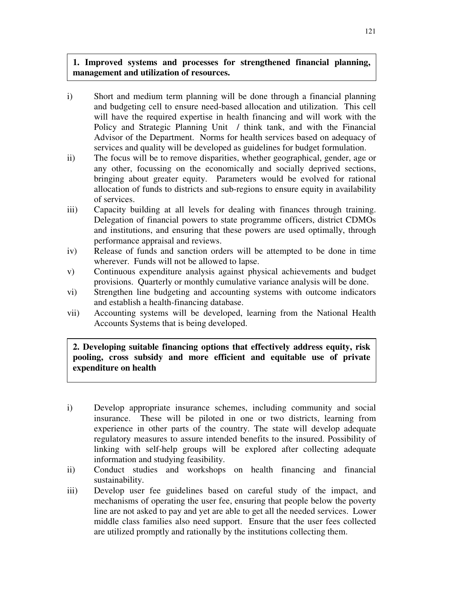# **1. Improved systems and processes for strengthened financial planning, management and utilization of resources.**

- i) Short and medium term planning will be done through a financial planning and budgeting cell to ensure need-based allocation and utilization. This cell will have the required expertise in health financing and will work with the Policy and Strategic Planning Unit / think tank, and with the Financial Advisor of the Department. Norms for health services based on adequacy of services and quality will be developed as guidelines for budget formulation.
- ii) The focus will be to remove disparities, whether geographical, gender, age or any other, focussing on the economically and socially deprived sections, bringing about greater equity. Parameters would be evolved for rational allocation of funds to districts and sub-regions to ensure equity in availability of services.
- iii) Capacity building at all levels for dealing with finances through training. Delegation of financial powers to state programme officers, district CDMOs and institutions, and ensuring that these powers are used optimally, through performance appraisal and reviews.
- iv) Release of funds and sanction orders will be attempted to be done in time wherever. Funds will not be allowed to lapse.
- v) Continuous expenditure analysis against physical achievements and budget provisions. Quarterly or monthly cumulative variance analysis will be done.
- vi) Strengthen line budgeting and accounting systems with outcome indicators and establish a health-financing database.
- vii) Accounting systems will be developed, learning from the National Health Accounts Systems that is being developed.

# **2. Developing suitable financing options that effectively address equity, risk pooling, cross subsidy and more efficient and equitable use of private expenditure on health**

- i) Develop appropriate insurance schemes, including community and social insurance. These will be piloted in one or two districts, learning from experience in other parts of the country. The state will develop adequate regulatory measures to assure intended benefits to the insured. Possibility of linking with self-help groups will be explored after collecting adequate information and studying feasibility.
- ii) Conduct studies and workshops on health financing and financial sustainability.
- iii) Develop user fee guidelines based on careful study of the impact, and mechanisms of operating the user fee, ensuring that people below the poverty line are not asked to pay and yet are able to get all the needed services. Lower middle class families also need support. Ensure that the user fees collected are utilized promptly and rationally by the institutions collecting them.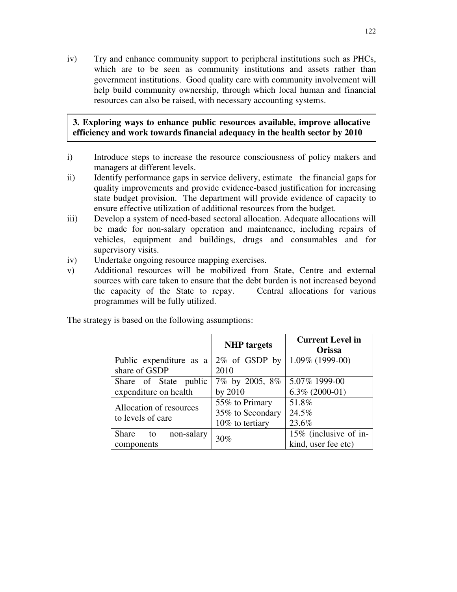iv) Try and enhance community support to peripheral institutions such as PHCs, which are to be seen as community institutions and assets rather than government institutions. Good quality care with community involvement will help build community ownership, through which local human and financial resources can also be raised, with necessary accounting systems.

## **3. Exploring ways to enhance public resources available, improve allocative efficiency and work towards financial adequacy in the health sector by 2010**

- i) Introduce steps to increase the resource consciousness of policy makers and managers at different levels.
- ii) Identify performance gaps in service delivery, estimate the financial gaps for quality improvements and provide evidence-based justification for increasing state budget provision. The department will provide evidence of capacity to ensure effective utilization of additional resources from the budget.
- iii) Develop a system of need-based sectoral allocation. Adequate allocations will be made for non-salary operation and maintenance, including repairs of vehicles, equipment and buildings, drugs and consumables and for supervisory visits.
- iv) Undertake ongoing resource mapping exercises.
- v) Additional resources will be mobilized from State, Centre and external sources with care taken to ensure that the debt burden is not increased beyond the capacity of the State to repay. Central allocations for various programmes will be fully utilized.

The strategy is based on the following assumptions:

|                           | <b>NHP</b> targets | <b>Current Level in</b><br>Orissa |  |  |
|---------------------------|--------------------|-----------------------------------|--|--|
| Public expenditure as a   | $2\%$ of GSDP by   | $1.09\%$ (1999-00)                |  |  |
| share of GSDP             | 2010               |                                   |  |  |
| Share of State public     | 7% by 2005, 8%     | 5.07% 1999-00                     |  |  |
| expenditure on health     | by 2010            | $6.3\%$ (2000-01)                 |  |  |
| Allocation of resources   | 55% to Primary     | 51.8%                             |  |  |
| to levels of care         | 35% to Secondary   | 24.5%                             |  |  |
|                           | 10% to tertiary    | 23.6%                             |  |  |
| Share<br>non-salary<br>to | 30%                | 15% (inclusive of in-             |  |  |
| components                |                    | kind, user fee etc)               |  |  |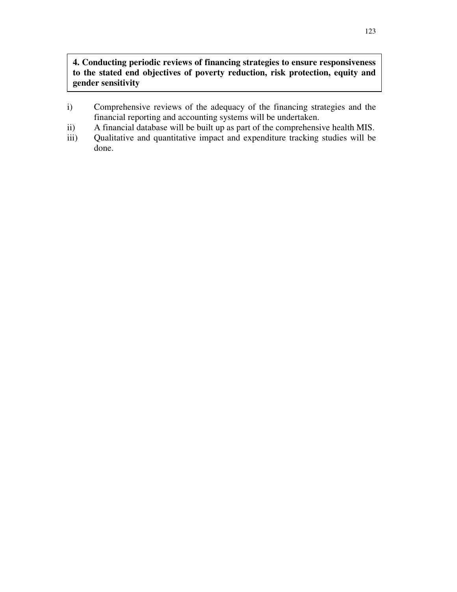# **4. Conducting periodic reviews of financing strategies to ensure responsiveness to the stated end objectives of poverty reduction, risk protection, equity and gender sensitivity**

- i) Comprehensive reviews of the adequacy of the financing strategies and the financial reporting and accounting systems will be undertaken.
- ii) A financial database will be built up as part of the comprehensive health MIS.
- iii) Qualitative and quantitative impact and expenditure tracking studies will be done.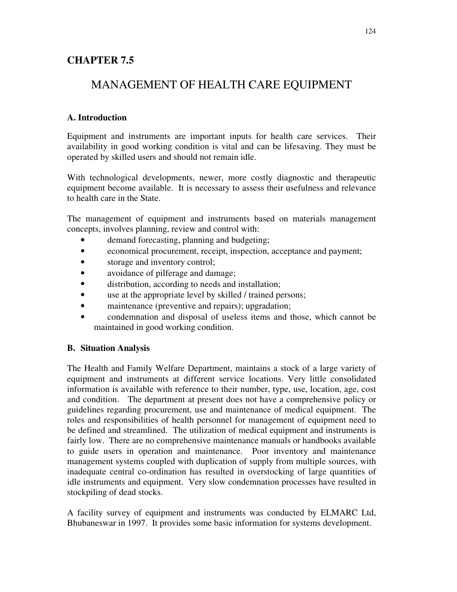# **CHAPTER 7.5**

# MANAGEMENT OF HEALTH CARE EQUIPMENT

# **A. Introduction**

Equipment and instruments are important inputs for health care services. Their availability in good working condition is vital and can be lifesaving. They must be operated by skilled users and should not remain idle.

With technological developments, newer, more costly diagnostic and therapeutic equipment become available. It is necessary to assess their usefulness and relevance to health care in the State.

The management of equipment and instruments based on materials management concepts, involves planning, review and control with:

- demand forecasting, planning and budgeting;
- economical procurement, receipt, inspection, acceptance and payment;
- storage and inventory control;
- avoidance of pilferage and damage;
- distribution, according to needs and installation;
- use at the appropriate level by skilled / trained persons;
- maintenance (preventive and repairs); upgradation;
- condemnation and disposal of useless items and those, which cannot be maintained in good working condition.

## **B. Situation Analysis**

The Health and Family Welfare Department, maintains a stock of a large variety of equipment and instruments at different service locations. Very little consolidated information is available with reference to their number, type, use, location, age, cost and condition. The department at present does not have a comprehensive policy or guidelines regarding procurement, use and maintenance of medical equipment. The roles and responsibilities of health personnel for management of equipment need to be defined and streamlined. The utilization of medical equipment and instruments is fairly low. There are no comprehensive maintenance manuals or handbooks available to guide users in operation and maintenance. Poor inventory and maintenance management systems coupled with duplication of supply from multiple sources, with inadequate central co-ordination has resulted in overstocking of large quantities of idle instruments and equipment. Very slow condemnation processes have resulted in stockpiling of dead stocks.

A facility survey of equipment and instruments was conducted by ELMARC Ltd, Bhubaneswar in 1997. It provides some basic information for systems development.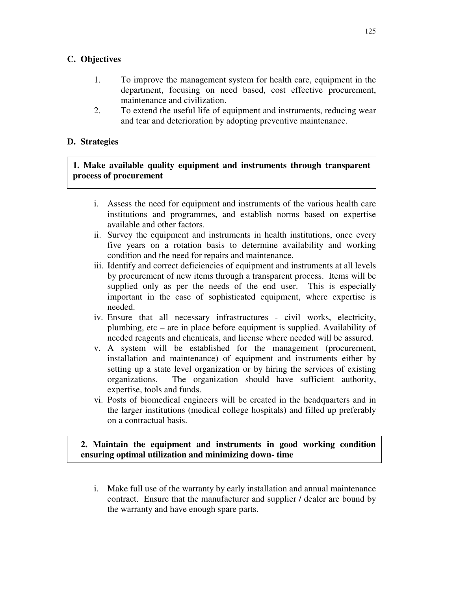## **C. Objectives**

- 1. To improve the management system for health care, equipment in the department, focusing on need based, cost effective procurement, maintenance and civilization.
- 2. To extend the useful life of equipment and instruments, reducing wear and tear and deterioration by adopting preventive maintenance.

## **D. Strategies**

# **1. Make available quality equipment and instruments through transparent process of procurement**

- i. Assess the need for equipment and instruments of the various health care institutions and programmes, and establish norms based on expertise available and other factors.
- ii. Survey the equipment and instruments in health institutions, once every five years on a rotation basis to determine availability and working condition and the need for repairs and maintenance.
- iii. Identify and correct deficiencies of equipment and instruments at all levels by procurement of new items through a transparent process. Items will be supplied only as per the needs of the end user. This is especially important in the case of sophisticated equipment, where expertise is needed.
- iv. Ensure that all necessary infrastructures civil works, electricity, plumbing, etc – are in place before equipment is supplied. Availability of needed reagents and chemicals, and license where needed will be assured.
- v. A system will be established for the management (procurement, installation and maintenance) of equipment and instruments either by setting up a state level organization or by hiring the services of existing organizations. The organization should have sufficient authority, expertise, tools and funds.
- vi. Posts of biomedical engineers will be created in the headquarters and in the larger institutions (medical college hospitals) and filled up preferably on a contractual basis.

## **2. Maintain the equipment and instruments in good working condition ensuring optimal utilization and minimizing down- time**

i. Make full use of the warranty by early installation and annual maintenance contract. Ensure that the manufacturer and supplier / dealer are bound by the warranty and have enough spare parts.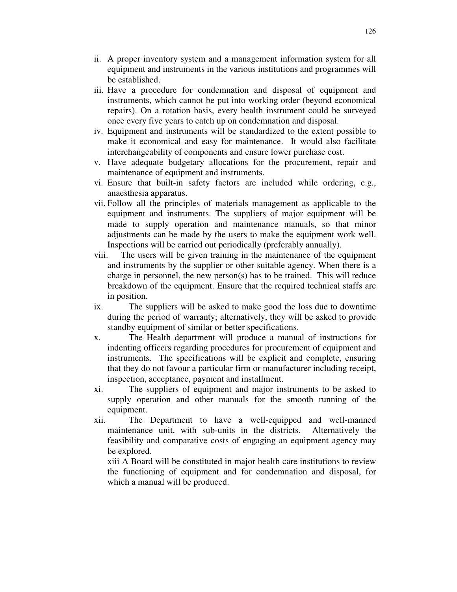- ii. A proper inventory system and a management information system for all equipment and instruments in the various institutions and programmes will be established.
- iii. Have a procedure for condemnation and disposal of equipment and instruments, which cannot be put into working order (beyond economical repairs). On a rotation basis, every health instrument could be surveyed once every five years to catch up on condemnation and disposal.
- iv. Equipment and instruments will be standardized to the extent possible to make it economical and easy for maintenance. It would also facilitate interchangeability of components and ensure lower purchase cost.
- v. Have adequate budgetary allocations for the procurement, repair and maintenance of equipment and instruments.
- vi. Ensure that built-in safety factors are included while ordering, e.g., anaesthesia apparatus.
- vii. Follow all the principles of materials management as applicable to the equipment and instruments. The suppliers of major equipment will be made to supply operation and maintenance manuals, so that minor adjustments can be made by the users to make the equipment work well. Inspections will be carried out periodically (preferably annually).
- viii. The users will be given training in the maintenance of the equipment and instruments by the supplier or other suitable agency. When there is a charge in personnel, the new person(s) has to be trained. This will reduce breakdown of the equipment. Ensure that the required technical staffs are in position.
- ix. The suppliers will be asked to make good the loss due to downtime during the period of warranty; alternatively, they will be asked to provide standby equipment of similar or better specifications.
- x. The Health department will produce a manual of instructions for indenting officers regarding procedures for procurement of equipment and instruments. The specifications will be explicit and complete, ensuring that they do not favour a particular firm or manufacturer including receipt, inspection, acceptance, payment and installment.
- xi. The suppliers of equipment and major instruments to be asked to supply operation and other manuals for the smooth running of the equipment.
- xii. The Department to have a well-equipped and well-manned maintenance unit, with sub-units in the districts. Alternatively the feasibility and comparative costs of engaging an equipment agency may be explored.

xiii A Board will be constituted in major health care institutions to review the functioning of equipment and for condemnation and disposal, for which a manual will be produced.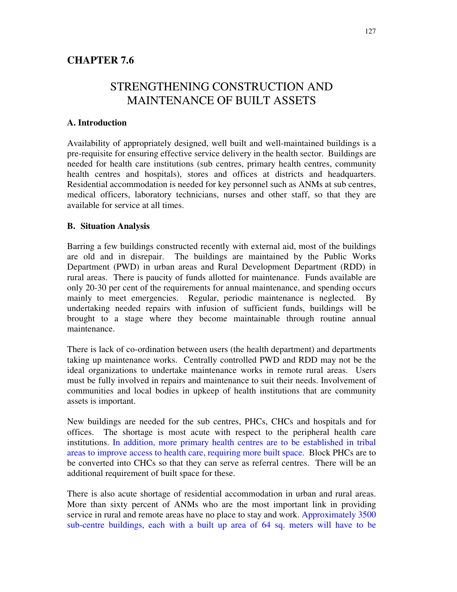# STRENGTHENING CONSTRUCTION AND MAINTENANCE OF BUILT ASSETS

## **A. Introduction**

Availability of appropriately designed, well built and well-maintained buildings is a pre-requisite for ensuring effective service delivery in the health sector. Buildings are needed for health care institutions (sub centres, primary health centres, community health centres and hospitals), stores and offices at districts and headquarters. Residential accommodation is needed for key personnel such as ANMs at sub centres, medical officers, laboratory technicians, nurses and other staff, so that they are available for service at all times.

## **B. Situation Analysis**

Barring a few buildings constructed recently with external aid, most of the buildings are old and in disrepair. The buildings are maintained by the Public Works Department (PWD) in urban areas and Rural Development Department (RDD) in rural areas. There is paucity of funds allotted for maintenance. Funds available are only 20-30 per cent of the requirements for annual maintenance, and spending occurs mainly to meet emergencies. Regular, periodic maintenance is neglected. By undertaking needed repairs with infusion of sufficient funds, buildings will be brought to a stage where they become maintainable through routine annual maintenance.

There is lack of co-ordination between users (the health department) and departments taking up maintenance works. Centrally controlled PWD and RDD may not be the ideal organizations to undertake maintenance works in remote rural areas. Users must be fully involved in repairs and maintenance to suit their needs. Involvement of communities and local bodies in upkeep of health institutions that are community assets is important.

New buildings are needed for the sub centres, PHCs, CHCs and hospitals and for offices. The shortage is most acute with respect to the peripheral health care institutions. In addition, more primary health centres are to be established in tribal areas to improve access to health care, requiring more built space. Block PHCs are to be converted into CHCs so that they can serve as referral centres. There will be an additional requirement of built space for these.

There is also acute shortage of residential accommodation in urban and rural areas. More than sixty percent of ANMs who are the most important link in providing service in rural and remote areas have no place to stay and work. Approximately 3500 sub-centre buildings, each with a built up area of 64 sq. meters will have to be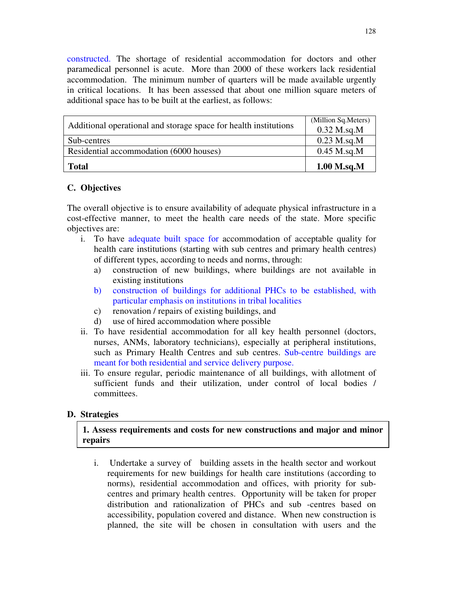constructed. The shortage of residential accommodation for doctors and other paramedical personnel is acute. More than 2000 of these workers lack residential accommodation. The minimum number of quarters will be made available urgently in critical locations. It has been assessed that about one million square meters of additional space has to be built at the earliest, as follows:

| Additional operational and storage space for health institutions | (Million Sq. Meters)<br>$0.32$ M.sq.M |
|------------------------------------------------------------------|---------------------------------------|
| Sub-centres                                                      | $0.23$ M.sq.M                         |
| Residential accommodation (6000 houses)                          | $0.45$ M.sq.M                         |
| <b>Total</b>                                                     | $1.00$ M.sq.M                         |

## **C. Objectives**

The overall objective is to ensure availability of adequate physical infrastructure in a cost-effective manner, to meet the health care needs of the state. More specific objectives are:

- i. To have adequate built space for accommodation of acceptable quality for health care institutions (starting with sub centres and primary health centres) of different types, according to needs and norms, through:
	- a) construction of new buildings, where buildings are not available in existing institutions
	- b) construction of buildings for additional PHCs to be established, with particular emphasis on institutions in tribal localities
	- c) renovation / repairs of existing buildings, and
	- d) use of hired accommodation where possible
- ii. To have residential accommodation for all key health personnel (doctors, nurses, ANMs, laboratory technicians), especially at peripheral institutions, such as Primary Health Centres and sub centres. Sub-centre buildings are meant for both residential and service delivery purpose.
- iii. To ensure regular, periodic maintenance of all buildings, with allotment of sufficient funds and their utilization, under control of local bodies / committees.

## **D. Strategies**

## **1. Assess requirements and costs for new constructions and major and minor repairs**

i. Undertake a survey of building assets in the health sector and workout requirements for new buildings for health care institutions (according to norms), residential accommodation and offices, with priority for subcentres and primary health centres. Opportunity will be taken for proper distribution and rationalization of PHCs and sub -centres based on accessibility, population covered and distance. When new construction is planned, the site will be chosen in consultation with users and the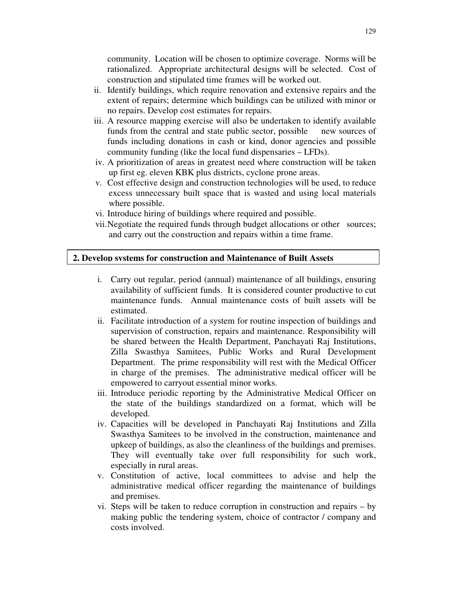community. Location will be chosen to optimize coverage. Norms will be rationalized. Appropriate architectural designs will be selected. Cost of construction and stipulated time frames will be worked out.

- ii. Identify buildings, which require renovation and extensive repairs and the extent of repairs; determine which buildings can be utilized with minor or no repairs. Develop cost estimates for repairs.
- iii. A resource mapping exercise will also be undertaken to identify available funds from the central and state public sector, possible new sources of funds including donations in cash or kind, donor agencies and possible community funding (like the local fund dispensaries – LFDs).
- iv. A prioritization of areas in greatest need where construction will be taken up first eg. eleven KBK plus districts, cyclone prone areas.
- v. Cost effective design and construction technologies will be used, to reduce excess unnecessary built space that is wasted and using local materials where possible.
- vi. Introduce hiring of buildings where required and possible.
- vii.Negotiate the required funds through budget allocations or other sources; and carry out the construction and repairs within a time frame.

#### **2. Develop systems for construction and Maintenance of Built Assets**

- i. Carry out regular, period (annual) maintenance of all buildings, ensuring availability of sufficient funds. It is considered counter productive to cut maintenance funds. Annual maintenance costs of built assets will be estimated.
- ii. Facilitate introduction of a system for routine inspection of buildings and supervision of construction, repairs and maintenance. Responsibility will be shared between the Health Department, Panchayati Raj Institutions, Zilla Swasthya Samitees, Public Works and Rural Development Department. The prime responsibility will rest with the Medical Officer in charge of the premises. The administrative medical officer will be empowered to carryout essential minor works.
- iii. Introduce periodic reporting by the Administrative Medical Officer on the state of the buildings standardized on a format, which will be developed.
- iv. Capacities will be developed in Panchayati Raj Institutions and Zilla Swasthya Samitees to be involved in the construction, maintenance and upkeep of buildings, as also the cleanliness of the buildings and premises. They will eventually take over full responsibility for such work, especially in rural areas.
- v. Constitution of active, local committees to advise and help the administrative medical officer regarding the maintenance of buildings and premises.
- vi. Steps will be taken to reduce corruption in construction and repairs by making public the tendering system, choice of contractor / company and costs involved.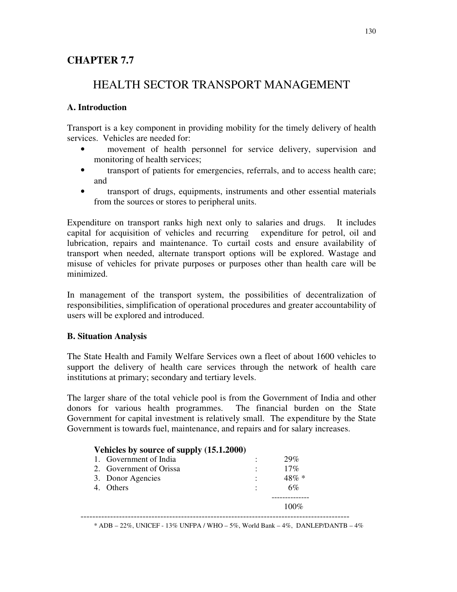# **CHAPTER 7.7**

# HEALTH SECTOR TRANSPORT MANAGEMENT

## **A. Introduction**

Transport is a key component in providing mobility for the timely delivery of health services. Vehicles are needed for:

- movement of health personnel for service delivery, supervision and monitoring of health services;
- transport of patients for emergencies, referrals, and to access health care; and
- transport of drugs, equipments, instruments and other essential materials from the sources or stores to peripheral units.

Expenditure on transport ranks high next only to salaries and drugs. It includes capital for acquisition of vehicles and recurring expenditure for petrol, oil and lubrication, repairs and maintenance. To curtail costs and ensure availability of transport when needed, alternate transport options will be explored. Wastage and misuse of vehicles for private purposes or purposes other than health care will be minimized.

In management of the transport system, the possibilities of decentralization of responsibilities, simplification of operational procedures and greater accountability of users will be explored and introduced.

## **B. Situation Analysis**

The State Health and Family Welfare Services own a fleet of about 1600 vehicles to support the delivery of health care services through the network of health care institutions at primary; secondary and tertiary levels.

The larger share of the total vehicle pool is from the Government of India and other donors for various health programmes. The financial burden on the State Government for capital investment is relatively small. The expenditure by the State Government is towards fuel, maintenance, and repairs and for salary increases.

| Vehicles by source of supply (15.1.2000) |          |
|------------------------------------------|----------|
| 1. Government of India                   | 29%      |
| 2. Government of Orissa                  | 17%      |
| 3. Donor Agencies                        | $48\% *$ |
| 4. Others                                | 6%       |
|                                          |          |
|                                          | $100\%$  |

 $*$  ADB – 22%, UNICEF - 13% UNFPA / WHO – 5%, World Bank – 4%, DANLEP/DANTB – 4%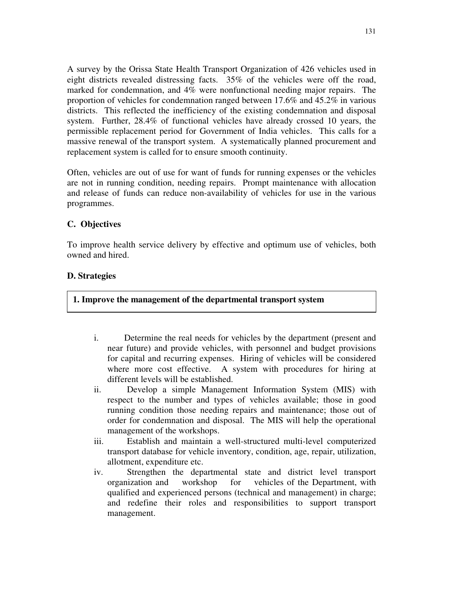A survey by the Orissa State Health Transport Organization of 426 vehicles used in eight districts revealed distressing facts. 35% of the vehicles were off the road, marked for condemnation, and 4% were nonfunctional needing major repairs. The proportion of vehicles for condemnation ranged between 17.6% and 45.2% in various districts. This reflected the inefficiency of the existing condemnation and disposal system. Further, 28.4% of functional vehicles have already crossed 10 years, the permissible replacement period for Government of India vehicles. This calls for a massive renewal of the transport system. A systematically planned procurement and replacement system is called for to ensure smooth continuity.

Often, vehicles are out of use for want of funds for running expenses or the vehicles are not in running condition, needing repairs. Prompt maintenance with allocation and release of funds can reduce non-availability of vehicles for use in the various programmes.

## **C. Objectives**

To improve health service delivery by effective and optimum use of vehicles, both owned and hired.

## **D. Strategies**

#### **1. Improve the management of the departmental transport system**

- i. Determine the real needs for vehicles by the department (present and near future) and provide vehicles, with personnel and budget provisions for capital and recurring expenses. Hiring of vehicles will be considered where more cost effective. A system with procedures for hiring at different levels will be established.
- ii. Develop a simple Management Information System (MIS) with respect to the number and types of vehicles available; those in good running condition those needing repairs and maintenance; those out of order for condemnation and disposal. The MIS will help the operational management of the workshops.
- iii. Establish and maintain a well-structured multi-level computerized transport database for vehicle inventory, condition, age, repair, utilization, allotment, expenditure etc.
- iv. Strengthen the departmental state and district level transport organization and workshop for vehicles of the Department, with qualified and experienced persons (technical and management) in charge; and redefine their roles and responsibilities to support transport management.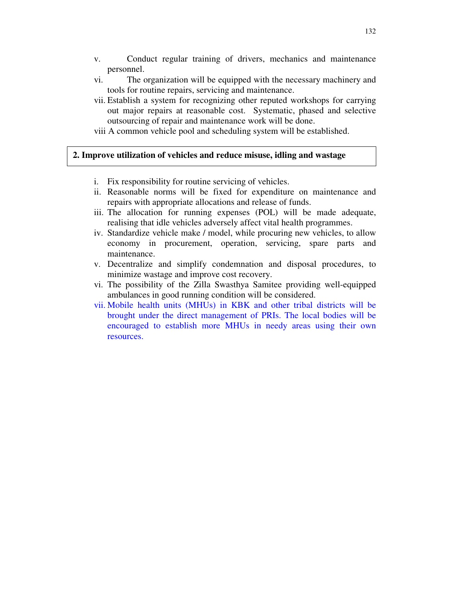- v. Conduct regular training of drivers, mechanics and maintenance personnel.
- vi. The organization will be equipped with the necessary machinery and tools for routine repairs, servicing and maintenance.
- vii. Establish a system for recognizing other reputed workshops for carrying out major repairs at reasonable cost. Systematic, phased and selective outsourcing of repair and maintenance work will be done.
- viii A common vehicle pool and scheduling system will be established.

#### **2. Improve utilization of vehicles and reduce misuse, idling and wastage**

- i. Fix responsibility for routine servicing of vehicles.
- ii. Reasonable norms will be fixed for expenditure on maintenance and repairs with appropriate allocations and release of funds.
- iii. The allocation for running expenses (POL) will be made adequate, realising that idle vehicles adversely affect vital health programmes.
- iv. Standardize vehicle make / model, while procuring new vehicles, to allow economy in procurement, operation, servicing, spare parts and maintenance.
- v. Decentralize and simplify condemnation and disposal procedures, to minimize wastage and improve cost recovery.
- vi. The possibility of the Zilla Swasthya Samitee providing well-equipped ambulances in good running condition will be considered.
- vii. Mobile health units (MHUs) in KBK and other tribal districts will be brought under the direct management of PRIs. The local bodies will be encouraged to establish more MHUs in needy areas using their own resources.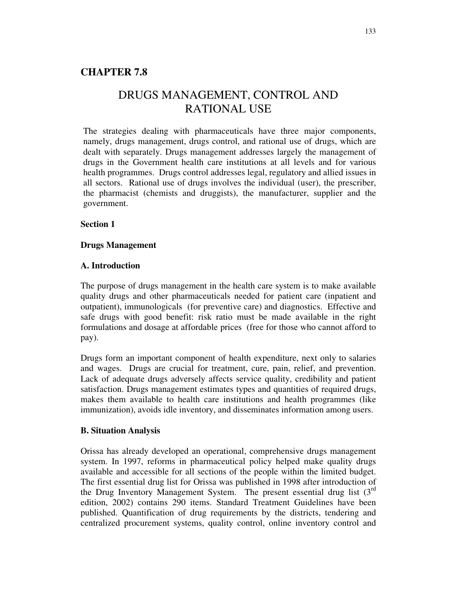# **CHAPTER 7.8**

# DRUGS MANAGEMENT, CONTROL AND RATIONAL USE

The strategies dealing with pharmaceuticals have three major components, namely, drugs management, drugs control, and rational use of drugs, which are dealt with separately. Drugs management addresses largely the management of drugs in the Government health care institutions at all levels and for various health programmes. Drugs control addresses legal, regulatory and allied issues in all sectors. Rational use of drugs involves the individual (user), the prescriber, the pharmacist (chemists and druggists), the manufacturer, supplier and the government.

#### **Section 1**

#### **Drugs Management**

#### **A. Introduction**

The purpose of drugs management in the health care system is to make available quality drugs and other pharmaceuticals needed for patient care (inpatient and outpatient), immunologicals (for preventive care) and diagnostics. Effective and safe drugs with good benefit: risk ratio must be made available in the right formulations and dosage at affordable prices (free for those who cannot afford to pay).

Drugs form an important component of health expenditure, next only to salaries and wages. Drugs are crucial for treatment, cure, pain, relief, and prevention. Lack of adequate drugs adversely affects service quality, credibility and patient satisfaction. Drugs management estimates types and quantities of required drugs, makes them available to health care institutions and health programmes (like immunization), avoids idle inventory, and disseminates information among users.

#### **B. Situation Analysis**

Orissa has already developed an operational, comprehensive drugs management system. In 1997, reforms in pharmaceutical policy helped make quality drugs available and accessible for all sections of the people within the limited budget. The first essential drug list for Orissa was published in 1998 after introduction of the Drug Inventory Management System. The present essential drug list  $(3<sup>rd</sup>)$ edition, 2002) contains 290 items. Standard Treatment Guidelines have been published. Quantification of drug requirements by the districts, tendering and centralized procurement systems, quality control, online inventory control and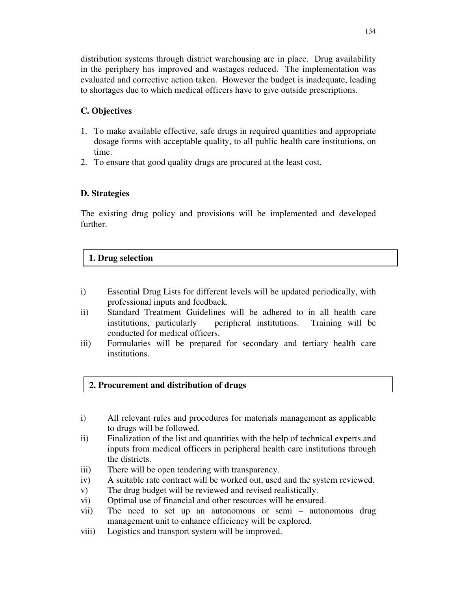distribution systems through district warehousing are in place. Drug availability in the periphery has improved and wastages reduced. The implementation was evaluated and corrective action taken. However the budget is inadequate, leading to shortages due to which medical officers have to give outside prescriptions.

# **C. Objectives**

- 1. To make available effective, safe drugs in required quantities and appropriate dosage forms with acceptable quality, to all public health care institutions, on time.
- 2. To ensure that good quality drugs are procured at the least cost.

# **D. Strategies**

The existing drug policy and provisions will be implemented and developed further.

# **1. Drug selection**

- i) Essential Drug Lists for different levels will be updated periodically, with professional inputs and feedback.
- ii) Standard Treatment Guidelines will be adhered to in all health care institutions, particularly peripheral institutions. Training will be conducted for medical officers.
- iii) Formularies will be prepared for secondary and tertiary health care institutions.

# **2. Procurement and distribution of drugs**

- i) All relevant rules and procedures for materials management as applicable to drugs will be followed.
- ii) Finalization of the list and quantities with the help of technical experts and inputs from medical officers in peripheral health care institutions through the districts.
- iii) There will be open tendering with transparency.
- iv) A suitable rate contract will be worked out, used and the system reviewed.
- v) The drug budget will be reviewed and revised realistically.
- vi) Optimal use of financial and other resources will be ensured.
- vii) The need to set up an autonomous or semi autonomous drug management unit to enhance efficiency will be explored.
- viii) Logistics and transport system will be improved.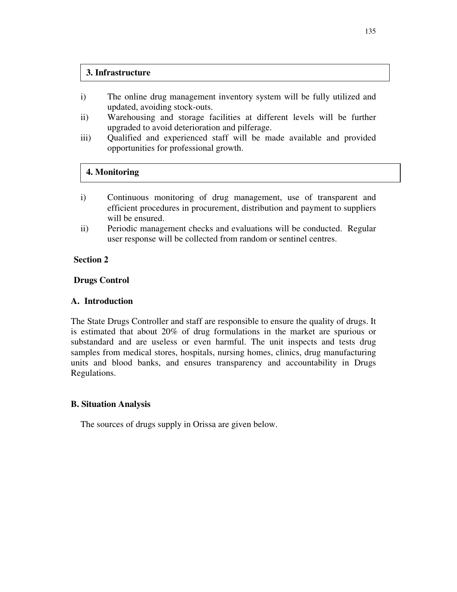#### **3. Infrastructure**

- i) The online drug management inventory system will be fully utilized and updated, avoiding stock-outs.
- ii) Warehousing and storage facilities at different levels will be further upgraded to avoid deterioration and pilferage.
- iii) Qualified and experienced staff will be made available and provided opportunities for professional growth.

## **4. Monitoring**

- i) Continuous monitoring of drug management, use of transparent and efficient procedures in procurement, distribution and payment to suppliers will be ensured.
- ii) Periodic management checks and evaluations will be conducted. Regular user response will be collected from random or sentinel centres.

#### **Section 2**

#### **Drugs Control**

## **A. Introduction**

The State Drugs Controller and staff are responsible to ensure the quality of drugs. It is estimated that about 20% of drug formulations in the market are spurious or substandard and are useless or even harmful. The unit inspects and tests drug samples from medical stores, hospitals, nursing homes, clinics, drug manufacturing units and blood banks, and ensures transparency and accountability in Drugs Regulations.

## **B. Situation Analysis**

The sources of drugs supply in Orissa are given below.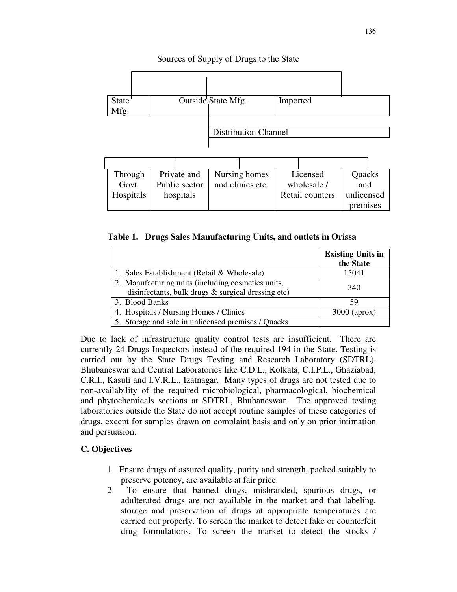## Sources of Supply of Drugs to the State



| Through   |               | Private and | Nursing homes    | Licensed        | Quacks     |  |
|-----------|---------------|-------------|------------------|-----------------|------------|--|
| Govt.     | Public sector |             | and clinics etc. | wholesale /     | and        |  |
| Hospitals | hospitals     |             |                  | Retail counters | unlicensed |  |
|           |               |             |                  |                 | premises   |  |

**Table 1. Drugs Sales Manufacturing Units, and outlets in Orissa**

|                                                                                                             | <b>Existing Units in</b><br>the State |
|-------------------------------------------------------------------------------------------------------------|---------------------------------------|
| 1. Sales Establishment (Retail & Wholesale)                                                                 | 15041                                 |
| 2. Manufacturing units (including cosmetics units,<br>disinfectants, bulk drugs $\&$ surgical dressing etc) | 340                                   |
| 3. Blood Banks                                                                                              | 59                                    |
| 4. Hospitals / Nursing Homes / Clinics                                                                      | $3000$ (aprox)                        |
| 5. Storage and sale in unlicensed premises / Quacks                                                         |                                       |

Due to lack of infrastructure quality control tests are insufficient. There are currently 24 Drugs Inspectors instead of the required 194 in the State. Testing is carried out by the State Drugs Testing and Research Laboratory (SDTRL), Bhubaneswar and Central Laboratories like C.D.L., Kolkata, C.I.P.L., Ghaziabad, C.R.I., Kasuli and I.V.R.L., Izatnagar. Many types of drugs are not tested due to non-availability of the required microbiological, pharmacological, biochemical and phytochemicals sections at SDTRL, Bhubaneswar. The approved testing laboratories outside the State do not accept routine samples of these categories of drugs, except for samples drawn on complaint basis and only on prior intimation and persuasion.

# **C. Objectives**

- 1. Ensure drugs of assured quality, purity and strength, packed suitably to preserve potency, are available at fair price.
- 2. To ensure that banned drugs, misbranded, spurious drugs, or adulterated drugs are not available in the market and that labeling, storage and preservation of drugs at appropriate temperatures are carried out properly. To screen the market to detect fake or counterfeit drug formulations. To screen the market to detect the stocks /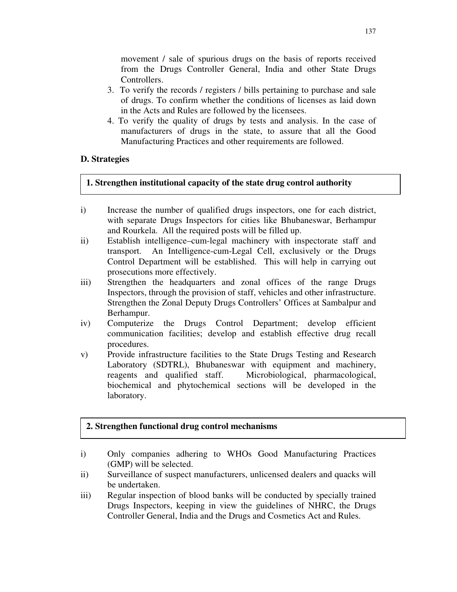movement / sale of spurious drugs on the basis of reports received from the Drugs Controller General, India and other State Drugs Controllers.

- 3. To verify the records / registers / bills pertaining to purchase and sale of drugs. To confirm whether the conditions of licenses as laid down in the Acts and Rules are followed by the licensees.
- 4. To verify the quality of drugs by tests and analysis. In the case of manufacturers of drugs in the state, to assure that all the Good Manufacturing Practices and other requirements are followed.

# **D. Strategies**

# **1. Strengthen institutional capacity of the state drug control authority**

- i) Increase the number of qualified drugs inspectors, one for each district, with separate Drugs Inspectors for cities like Bhubaneswar, Berhampur and Rourkela. All the required posts will be filled up.
- ii) Establish intelligence–cum-legal machinery with inspectorate staff and transport. An Intelligence-cum-Legal Cell, exclusively or the Drugs Control Department will be established. This will help in carrying out prosecutions more effectively.
- iii) Strengthen the headquarters and zonal offices of the range Drugs Inspectors, through the provision of staff, vehicles and other infrastructure. Strengthen the Zonal Deputy Drugs Controllers' Offices at Sambalpur and Berhampur.
- iv) Computerize the Drugs Control Department; develop efficient communication facilities; develop and establish effective drug recall procedures.
- v) Provide infrastructure facilities to the State Drugs Testing and Research Laboratory (SDTRL), Bhubaneswar with equipment and machinery, reagents and qualified staff. Microbiological, pharmacological, biochemical and phytochemical sections will be developed in the laboratory.

# **2. Strengthen functional drug control mechanisms**

- i) Only companies adhering to WHOs Good Manufacturing Practices (GMP) will be selected.
- ii) Surveillance of suspect manufacturers, unlicensed dealers and quacks will be undertaken.
- iii) Regular inspection of blood banks will be conducted by specially trained Drugs Inspectors, keeping in view the guidelines of NHRC, the Drugs Controller General, India and the Drugs and Cosmetics Act and Rules.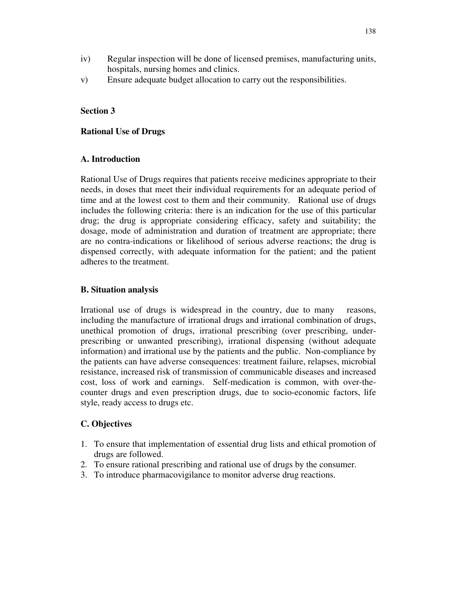- iv) Regular inspection will be done of licensed premises, manufacturing units, hospitals, nursing homes and clinics.
- v) Ensure adequate budget allocation to carry out the responsibilities.

## **Section 3**

### **Rational Use of Drugs**

#### **A. Introduction**

Rational Use of Drugs requires that patients receive medicines appropriate to their needs, in doses that meet their individual requirements for an adequate period of time and at the lowest cost to them and their community. Rational use of drugs includes the following criteria: there is an indication for the use of this particular drug; the drug is appropriate considering efficacy, safety and suitability; the dosage, mode of administration and duration of treatment are appropriate; there are no contra-indications or likelihood of serious adverse reactions; the drug is dispensed correctly, with adequate information for the patient; and the patient adheres to the treatment.

#### **B. Situation analysis**

Irrational use of drugs is widespread in the country, due to many reasons, including the manufacture of irrational drugs and irrational combination of drugs, unethical promotion of drugs, irrational prescribing (over prescribing, underprescribing or unwanted prescribing), irrational dispensing (without adequate information) and irrational use by the patients and the public. Non-compliance by the patients can have adverse consequences: treatment failure, relapses, microbial resistance, increased risk of transmission of communicable diseases and increased cost, loss of work and earnings. Self-medication is common, with over-thecounter drugs and even prescription drugs, due to socio-economic factors, life style, ready access to drugs etc.

## **C. Objectives**

- 1. To ensure that implementation of essential drug lists and ethical promotion of drugs are followed.
- 2. To ensure rational prescribing and rational use of drugs by the consumer.
- 3. To introduce pharmacovigilance to monitor adverse drug reactions.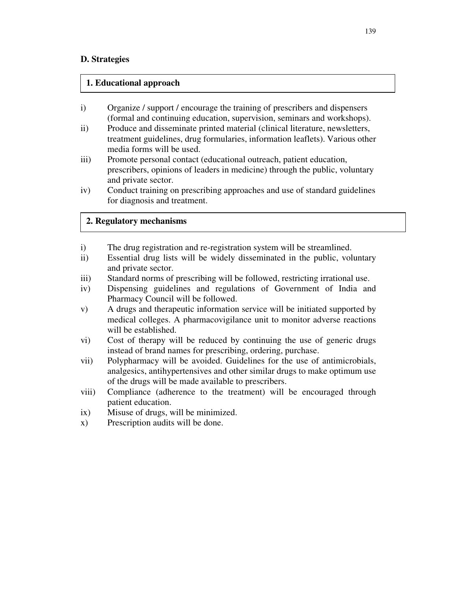## **D. Strategies**

## **1. Educational approach**

- i) Organize / support / encourage the training of prescribers and dispensers (formal and continuing education, supervision, seminars and workshops).
- ii) Produce and disseminate printed material (clinical literature, newsletters, treatment guidelines, drug formularies, information leaflets). Various other media forms will be used.
- iii) Promote personal contact (educational outreach, patient education, prescribers, opinions of leaders in medicine) through the public, voluntary and private sector.
- iv) Conduct training on prescribing approaches and use of standard guidelines for diagnosis and treatment.

# **2. Regulatory mechanisms**

- i) The drug registration and re-registration system will be streamlined.
- ii) Essential drug lists will be widely disseminated in the public, voluntary and private sector.
- iii) Standard norms of prescribing will be followed, restricting irrational use.
- iv) Dispensing guidelines and regulations of Government of India and Pharmacy Council will be followed.
- v) A drugs and therapeutic information service will be initiated supported by medical colleges. A pharmacovigilance unit to monitor adverse reactions will be established.
- vi) Cost of therapy will be reduced by continuing the use of generic drugs instead of brand names for prescribing, ordering, purchase.
- vii) Polypharmacy will be avoided. Guidelines for the use of antimicrobials, analgesics, antihypertensives and other similar drugs to make optimum use of the drugs will be made available to prescribers.
- viii) Compliance (adherence to the treatment) will be encouraged through patient education.
- ix) Misuse of drugs, will be minimized.
- x) Prescription audits will be done.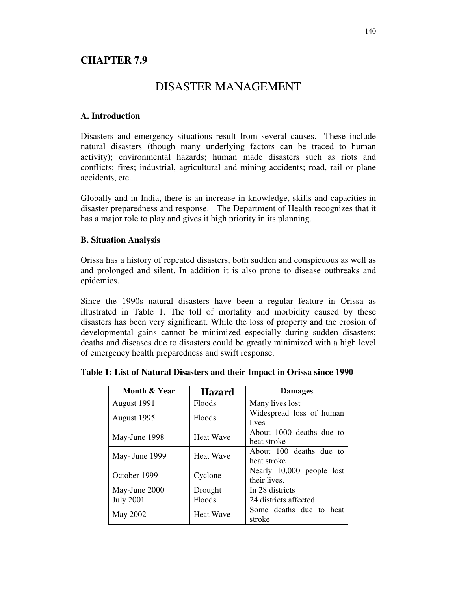# **CHAPTER 7.9**

# DISASTER MANAGEMENT

## **A. Introduction**

Disasters and emergency situations result from several causes. These include natural disasters (though many underlying factors can be traced to human activity); environmental hazards; human made disasters such as riots and conflicts; fires; industrial, agricultural and mining accidents; road, rail or plane accidents, etc.

Globally and in India, there is an increase in knowledge, skills and capacities in disaster preparedness and response. The Department of Health recognizes that it has a major role to play and gives it high priority in its planning.

## **B. Situation Analysis**

Orissa has a history of repeated disasters, both sudden and conspicuous as well as and prolonged and silent. In addition it is also prone to disease outbreaks and epidemics.

Since the 1990s natural disasters have been a regular feature in Orissa as illustrated in Table 1. The toll of mortality and morbidity caused by these disasters has been very significant. While the loss of property and the erosion of developmental gains cannot be minimized especially during sudden disasters; deaths and diseases due to disasters could be greatly minimized with a high level of emergency health preparedness and swift response.

| Month & Year     | <b>Hazard</b>    | <b>Damages</b>                            |  |  |  |
|------------------|------------------|-------------------------------------------|--|--|--|
| August 1991      | Floods           | Many lives lost                           |  |  |  |
| August 1995      | <b>Floods</b>    | Widespread loss of human<br>lives         |  |  |  |
| May-June 1998    | <b>Heat Wave</b> | About 1000 deaths due to<br>heat stroke   |  |  |  |
| May- June 1999   | <b>Heat Wave</b> | About 100 deaths due to<br>heat stroke    |  |  |  |
| October 1999     | Cyclone          | Nearly 10,000 people lost<br>their lives. |  |  |  |
| May-June 2000    | Drought          | In 28 districts                           |  |  |  |
| <b>July 2001</b> | Floods           | 24 districts affected                     |  |  |  |
| May 2002         | <b>Heat Wave</b> | Some deaths due to heat<br>stroke         |  |  |  |

## **Table 1: List of Natural Disasters and their Impact in Orissa since 1990**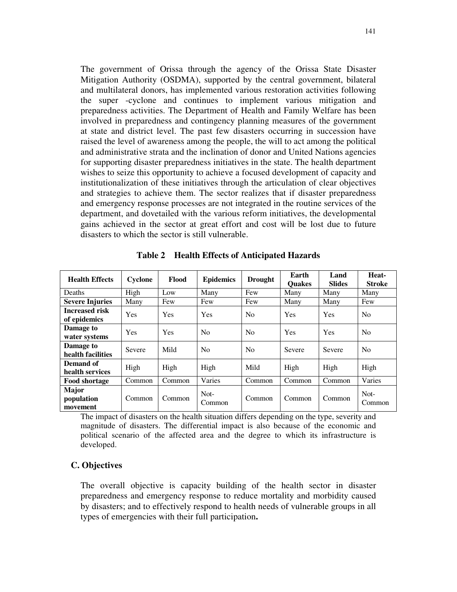The government of Orissa through the agency of the Orissa State Disaster Mitigation Authority (OSDMA), supported by the central government, bilateral and multilateral donors, has implemented various restoration activities following the super -cyclone and continues to implement various mitigation and preparedness activities. The Department of Health and Family Welfare has been involved in preparedness and contingency planning measures of the government at state and district level. The past few disasters occurring in succession have raised the level of awareness among the people, the will to act among the political and administrative strata and the inclination of donor and United Nations agencies for supporting disaster preparedness initiatives in the state. The health department wishes to seize this opportunity to achieve a focused development of capacity and institutionalization of these initiatives through the articulation of clear objectives and strategies to achieve them. The sector realizes that if disaster preparedness and emergency response processes are not integrated in the routine services of the department, and dovetailed with the various reform initiatives, the developmental gains achieved in the sector at great effort and cost will be lost due to future disasters to which the sector is still vulnerable.

| <b>Health Effects</b>                  | Cyclone | Flood  | <b>Epidemics</b> | <b>Drought</b> | Earth<br><b>Ouakes</b> | Land<br><b>Slides</b> | Heat-<br><b>Stroke</b> |
|----------------------------------------|---------|--------|------------------|----------------|------------------------|-----------------------|------------------------|
| Deaths                                 | High    | Low    | Many             | Few            | Many                   | Many                  | Many                   |
| <b>Severe Injuries</b>                 | Many    | Few    | Few              | Few            | Many                   | Many                  | Few                    |
| <b>Increased risk</b><br>of epidemics  | Yes     | Yes    | Yes              | N <sub>o</sub> | Yes                    | <b>Yes</b>            | N <sub>0</sub>         |
| Damage to<br>water systems             | Yes     | Yes    | N <sub>0</sub>   | N <sub>0</sub> | Yes                    | Yes                   | N <sub>0</sub>         |
| Damage to<br>health facilities         | Severe  | Mild   | N <sub>0</sub>   | N <sub>0</sub> | Severe                 | Severe                | N <sub>0</sub>         |
| Demand of<br>health services           | High    | High   | High             | Mild           | High                   | High                  | High                   |
| <b>Food shortage</b>                   | Common  | Common | Varies           | Common         | Common                 | Common                | Varies                 |
| <b>Major</b><br>population<br>movement | Common  | Common | Not-<br>Common   | Common         | Common                 | Common                | Not-<br>Common         |

**Table 2 Health Effects of Anticipated Hazards**

The impact of disasters on the health situation differs depending on the type, severity and magnitude of disasters. The differential impact is also because of the economic and political scenario of the affected area and the degree to which its infrastructure is developed.

## **C. Objectives**

The overall objective is capacity building of the health sector in disaster preparedness and emergency response to reduce mortality and morbidity caused by disasters; and to effectively respond to health needs of vulnerable groups in all types of emergencies with their full participation**.**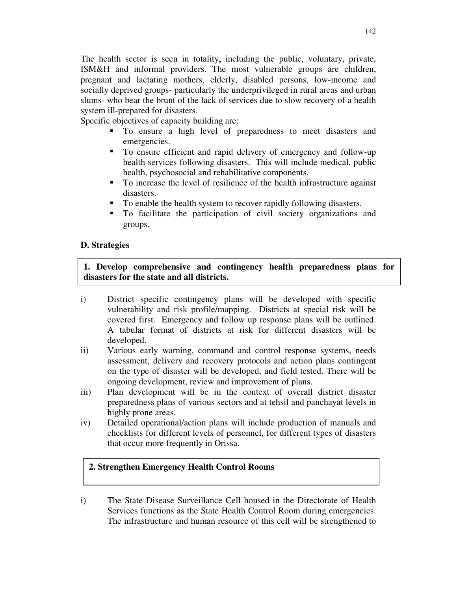The health sector is seen in totality**,** including the public, voluntary, private, ISM&H and informal providers. The most vulnerable groups are children, pregnant and lactating mothers, elderly, disabled persons, low-income and socially deprived groups- particularly the underprivileged in rural areas and urban slums- who bear the brunt of the lack of services due to slow recovery of a health system ill-prepared for disasters.

Specific objectives of capacity building are:

- To ensure a high level of preparedness to meet disasters and emergencies.
- To ensure efficient and rapid delivery of emergency and follow-up health services following disasters. This will include medical, public health, psychosocial and rehabilitative components.
- To increase the level of resilience of the health infrastructure against disasters.
- To enable the health system to recover rapidly following disasters.
- To facilitate the participation of civil society organizations and groups.

# **D. Strategies**

# **1. Develop comprehensive and contingency health preparedness plans for disasters for the state and all districts.**

- i) District specific contingency plans will be developed with specific vulnerability and risk profile/mapping. Districts at special risk will be covered first. Emergency and follow up response plans will be outlined. A tabular format of districts at risk for different disasters will be developed.
- ii) Various early warning, command and control response systems, needs assessment, delivery and recovery protocols and action plans contingent on the type of disaster will be developed, and field tested. There will be ongoing development, review and improvement of plans.
- iii) Plan development will be in the context of overall district disaster preparedness plans of various sectors and at tehsil and panchayat levels in highly prone areas.
- iv) Detailed operational/action plans will include production of manuals and checklists for different levels of personnel, for different types of disasters that occur more frequently in Orissa.

# **2. Strengthen Emergency Health Control Rooms**

i) The State Disease Surveillance Cell housed in the Directorate of Health Services functions as the State Health Control Room during emergencies. The infrastructure and human resource of this cell will be strengthened to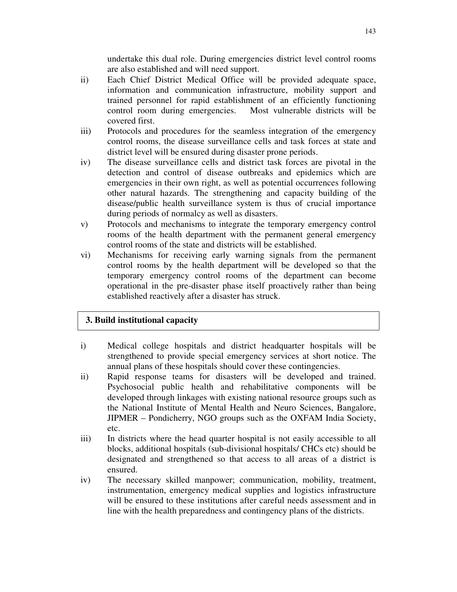undertake this dual role. During emergencies district level control rooms are also established and will need support.

- ii) Each Chief District Medical Office will be provided adequate space, information and communication infrastructure, mobility support and trained personnel for rapid establishment of an efficiently functioning control room during emergencies. Most vulnerable districts will be covered first.
- iii) Protocols and procedures for the seamless integration of the emergency control rooms, the disease surveillance cells and task forces at state and district level will be ensured during disaster prone periods.
- iv) The disease surveillance cells and district task forces are pivotal in the detection and control of disease outbreaks and epidemics which are emergencies in their own right, as well as potential occurrences following other natural hazards. The strengthening and capacity building of the disease/public health surveillance system is thus of crucial importance during periods of normalcy as well as disasters.
- v) Protocols and mechanisms to integrate the temporary emergency control rooms of the health department with the permanent general emergency control rooms of the state and districts will be established.
- vi) Mechanisms for receiving early warning signals from the permanent control rooms by the health department will be developed so that the temporary emergency control rooms of the department can become operational in the pre-disaster phase itself proactively rather than being established reactively after a disaster has struck.

# **3. Build institutional capacity**

- i) Medical college hospitals and district headquarter hospitals will be strengthened to provide special emergency services at short notice. The annual plans of these hospitals should cover these contingencies.
- ii) Rapid response teams for disasters will be developed and trained. Psychosocial public health and rehabilitative components will be developed through linkages with existing national resource groups such as the National Institute of Mental Health and Neuro Sciences, Bangalore, JIPMER – Pondicherry, NGO groups such as the OXFAM India Society, etc.
- iii) In districts where the head quarter hospital is not easily accessible to all blocks, additional hospitals (sub-divisional hospitals/ CHCs etc) should be designated and strengthened so that access to all areas of a district is ensured.
- iv) The necessary skilled manpower; communication, mobility, treatment, instrumentation, emergency medical supplies and logistics infrastructure will be ensured to these institutions after careful needs assessment and in line with the health preparedness and contingency plans of the districts.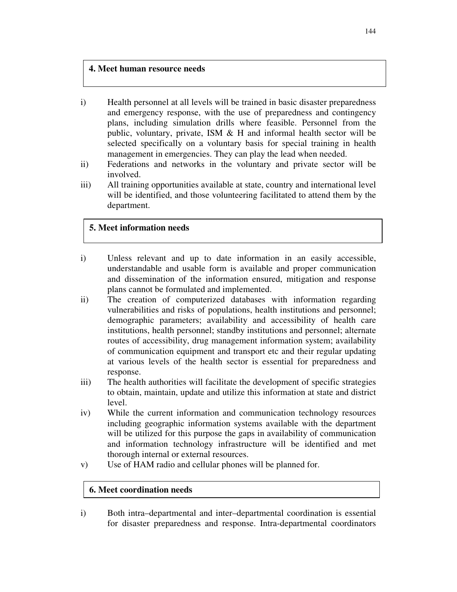## **4. Meet human resource needs**

- i) Health personnel at all levels will be trained in basic disaster preparedness and emergency response, with the use of preparedness and contingency plans, including simulation drills where feasible. Personnel from the public, voluntary, private, ISM  $\&$  H and informal health sector will be selected specifically on a voluntary basis for special training in health management in emergencies. They can play the lead when needed.
- ii) Federations and networks in the voluntary and private sector will be involved.
- iii) All training opportunities available at state, country and international level will be identified, and those volunteering facilitated to attend them by the department.

## **5. Meet information needs**

- i) Unless relevant and up to date information in an easily accessible, understandable and usable form is available and proper communication and dissemination of the information ensured, mitigation and response plans cannot be formulated and implemented.
- ii) The creation of computerized databases with information regarding vulnerabilities and risks of populations, health institutions and personnel; demographic parameters; availability and accessibility of health care institutions, health personnel; standby institutions and personnel; alternate routes of accessibility, drug management information system; availability of communication equipment and transport etc and their regular updating at various levels of the health sector is essential for preparedness and response.
- iii) The health authorities will facilitate the development of specific strategies to obtain, maintain, update and utilize this information at state and district level.
- iv) While the current information and communication technology resources including geographic information systems available with the department will be utilized for this purpose the gaps in availability of communication and information technology infrastructure will be identified and met thorough internal or external resources.
- v) Use of HAM radio and cellular phones will be planned for.

## **6. Meet coordination needs**

i) Both intra–departmental and inter–departmental coordination is essential for disaster preparedness and response. Intra-departmental coordinators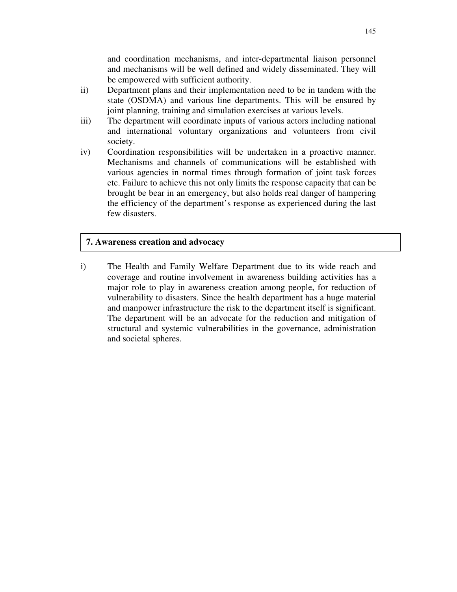and coordination mechanisms, and inter-departmental liaison personnel and mechanisms will be well defined and widely disseminated. They will be empowered with sufficient authority.

- ii) Department plans and their implementation need to be in tandem with the state (OSDMA) and various line departments. This will be ensured by joint planning, training and simulation exercises at various levels.
- iii) The department will coordinate inputs of various actors including national and international voluntary organizations and volunteers from civil society.
- iv) Coordination responsibilities will be undertaken in a proactive manner. Mechanisms and channels of communications will be established with various agencies in normal times through formation of joint task forces etc. Failure to achieve this not only limits the response capacity that can be brought be bear in an emergency, but also holds real danger of hampering the efficiency of the department's response as experienced during the last few disasters.

## **7. Awareness creation and advocacy**

i) The Health and Family Welfare Department due to its wide reach and coverage and routine involvement in awareness building activities has a major role to play in awareness creation among people, for reduction of vulnerability to disasters. Since the health department has a huge material and manpower infrastructure the risk to the department itself is significant. The department will be an advocate for the reduction and mitigation of structural and systemic vulnerabilities in the governance, administration and societal spheres.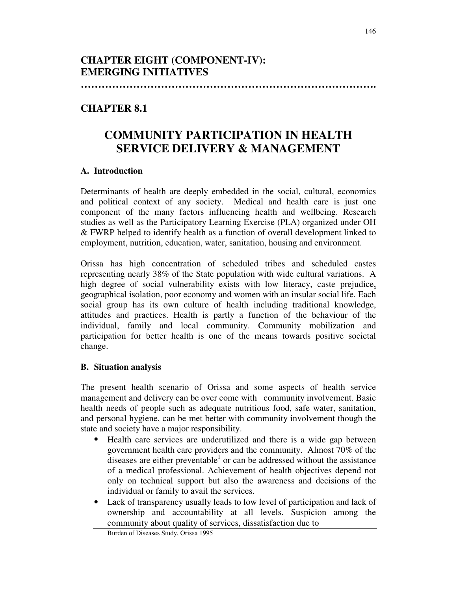**………………………………………………………………………….**

# **CHAPTER 8.1**

# **COMMUNITY PARTICIPATION IN HEALTH SERVICE DELIVERY & MANAGEMENT**

# **A. Introduction**

Determinants of health are deeply embedded in the social, cultural, economics and political context of any society. Medical and health care is just one component of the many factors influencing health and wellbeing. Research studies as well as the Participatory Learning Exercise (PLA) organized under OH & FWRP helped to identify health as a function of overall development linked to employment, nutrition, education, water, sanitation, housing and environment.

Orissa has high concentration of scheduled tribes and scheduled castes representing nearly 38% of the State population with wide cultural variations. A high degree of social vulnerability exists with low literacy, caste prejudice, geographical isolation, poor economy and women with an insular social life. Each social group has its own culture of health including traditional knowledge, attitudes and practices. Health is partly a function of the behaviour of the individual, family and local community. Community mobilization and participation for better health is one of the means towards positive societal change.

# **B. Situation analysis**

The present health scenario of Orissa and some aspects of health service management and delivery can be over come with community involvement. Basic health needs of people such as adequate nutritious food, safe water, sanitation, and personal hygiene, can be met better with community involvement though the state and society have a major responsibility.

- Health care services are underutilized and there is a wide gap between government health care providers and the community. Almost 70% of the diseases are either preventable<sup>1</sup> or can be addressed without the assistance of a medical professional. Achievement of health objectives depend not only on technical support but also the awareness and decisions of the individual or family to avail the services.
- Lack of transparency usually leads to low level of participation and lack of ownership and accountability at all levels. Suspicion among the community about quality of services, dissatisfaction due to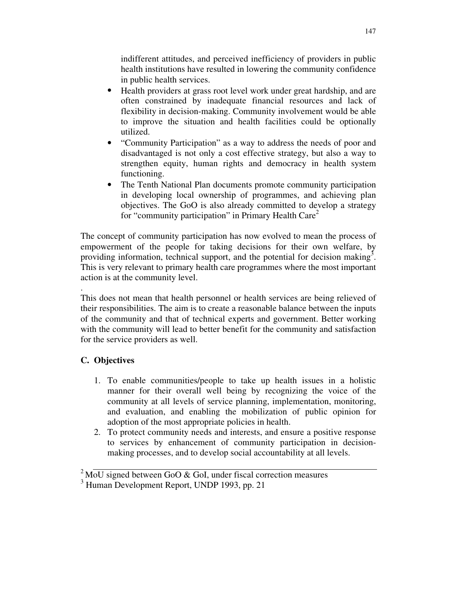indifferent attitudes, and perceived inefficiency of providers in public health institutions have resulted in lowering the community confidence in public health services.

- Health providers at grass root level work under great hardship, and are often constrained by inadequate financial resources and lack of flexibility in decision-making. Community involvement would be able to improve the situation and health facilities could be optionally utilized.
- "Community Participation" as a way to address the needs of poor and disadvantaged is not only a cost effective strategy, but also a way to strengthen equity, human rights and democracy in health system functioning.
- The Tenth National Plan documents promote community participation in developing local ownership of programmes, and achieving plan objectives. The GoO is also already committed to develop a strategy for "community participation" in Primary Health Care<sup>2</sup>

The concept of community participation has now evolved to mean the process of empowerment of the people for taking decisions for their own welfare, by providing information, technical support, and the potential for decision making<sup>3</sup>. This is very relevant to primary health care programmes where the most important action is at the community level.

This does not mean that health personnel or health services are being relieved of their responsibilities. The aim is to create a reasonable balance between the inputs of the community and that of technical experts and government. Better working with the community will lead to better benefit for the community and satisfaction for the service providers as well.

# **C. Objectives**

.

- 1. To enable communities/people to take up health issues in a holistic manner for their overall well being by recognizing the voice of the community at all levels of service planning, implementation, monitoring, and evaluation, and enabling the mobilization of public opinion for adoption of the most appropriate policies in health.
- 2. To protect community needs and interests, and ensure a positive response to services by enhancement of community participation in decisionmaking processes, and to develop social accountability at all levels.

 $2$  MoU signed between GoO & GoI, under fiscal correction measures

 $3$  Human Development Report, UNDP 1993, pp. 21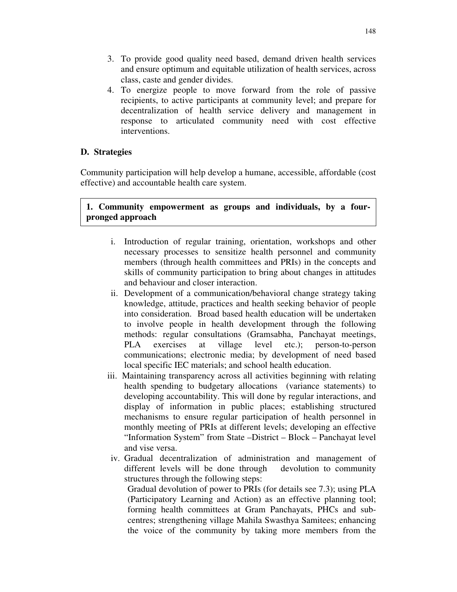- 3. To provide good quality need based, demand driven health services and ensure optimum and equitable utilization of health services, across class, caste and gender divides.
- 4. To energize people to move forward from the role of passive recipients, to active participants at community level; and prepare for decentralization of health service delivery and management in response to articulated community need with cost effective interventions.

Community participation will help develop a humane, accessible, affordable (cost effective) and accountable health care system.

# **1. Community empowerment as groups and individuals, by a fourpronged approach**

- i. Introduction of regular training, orientation, workshops and other necessary processes to sensitize health personnel and community members (through health committees and PRIs) in the concepts and skills of community participation to bring about changes in attitudes and behaviour and closer interaction.
- ii. Development of a communication/behavioral change strategy taking knowledge, attitude, practices and health seeking behavior of people into consideration. Broad based health education will be undertaken to involve people in health development through the following methods: regular consultations (Gramsabha, Panchayat meetings, PLA exercises at village level etc.); person-to-person communications; electronic media; by development of need based local specific IEC materials; and school health education.
- iii. Maintaining transparency across all activities beginning with relating health spending to budgetary allocations (variance statements) to developing accountability. This will done by regular interactions, and display of information in public places; establishing structured mechanisms to ensure regular participation of health personnel in monthly meeting of PRIs at different levels; developing an effective "Information System" from State –District – Block – Panchayat level and vise versa.
- iv. Gradual decentralization of administration and management of different levels will be done through devolution to community structures through the following steps:

Gradual devolution of power to PRIs (for details see 7.3); using PLA (Participatory Learning and Action) as an effective planning tool; forming health committees at Gram Panchayats, PHCs and subcentres; strengthening village Mahila Swasthya Samitees; enhancing the voice of the community by taking more members from the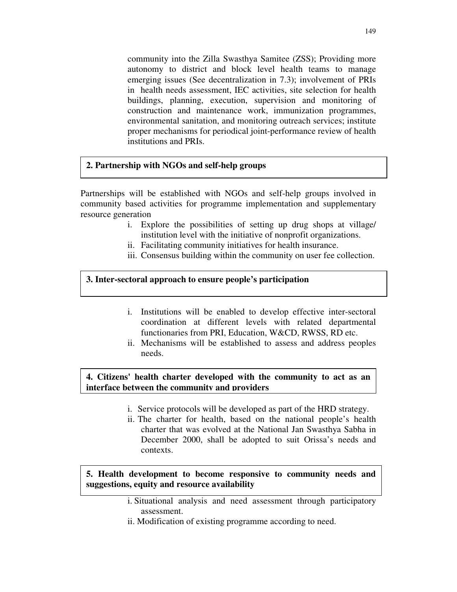community into the Zilla Swasthya Samitee (ZSS); Providing more autonomy to district and block level health teams to manage emerging issues (See decentralization in 7.3); involvement of PRIs in health needs assessment, IEC activities, site selection for health buildings, planning, execution, supervision and monitoring of construction and maintenance work, immunization programmes, environmental sanitation, and monitoring outreach services; institute proper mechanisms for periodical joint-performance review of health institutions and PRIs.

## **2. Partnership with NGOs and self-help groups**

Partnerships will be established with NGOs and self-help groups involved in community based activities for programme implementation and supplementary resource generation

- i. Explore the possibilities of setting up drug shops at village/ institution level with the initiative of nonprofit organizations.
- ii. Facilitating community initiatives for health insurance.
- iii. Consensus building within the community on user fee collection.

#### **3. Inter-sectoral approach to ensure people's participation**

- i. Institutions will be enabled to develop effective inter-sectoral coordination at different levels with related departmental functionaries from PRI, Education, W&CD, RWSS, RD etc.
- ii. Mechanisms will be established to assess and address peoples needs.

#### **4. Citizens' health charter developed with the community to act as an interface between the community and providers**

- i. Service protocols will be developed as part of the HRD strategy.
- ii. The charter for health, based on the national people's health charter that was evolved at the National Jan Swasthya Sabha in December 2000, shall be adopted to suit Orissa's needs and contexts.

#### **5. Health development to become responsive to community needs and suggestions, equity and resource availability**

- i. Situational analysis and need assessment through participatory assessment.
- ii. Modification of existing programme according to need.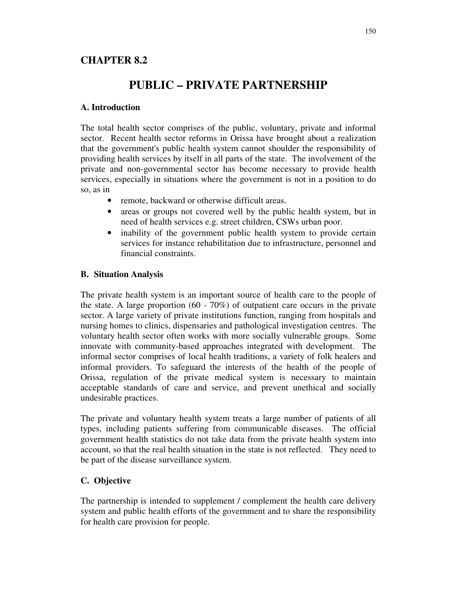# **CHAPTER 8.2**

# **PUBLIC – PRIVATE PARTNERSHIP**

#### **A. Introduction**

The total health sector comprises of the public, voluntary, private and informal sector. Recent health sector reforms in Orissa have brought about a realization that the government's public health system cannot shoulder the responsibility of providing health services by itself in all parts of the state. The involvement of the private and non-governmental sector has become necessary to provide health services, especially in situations where the government is not in a position to do so, as in

- remote, backward or otherwise difficult areas.
- areas or groups not covered well by the public health system, but in need of health services e.g. street children, CSWs urban poor.
- inability of the government public health system to provide certain services for instance rehabilitation due to infrastructure, personnel and financial constraints.

## **B. Situation Analysis**

The private health system is an important source of health care to the people of the state. A large proportion  $(60 - 70\%)$  of outpatient care occurs in the private sector. A large variety of private institutions function, ranging from hospitals and nursing homes to clinics, dispensaries and pathological investigation centres. The voluntary health sector often works with more socially vulnerable groups. Some innovate with community-based approaches integrated with development. The informal sector comprises of local health traditions, a variety of folk healers and informal providers. To safeguard the interests of the health of the people of Orissa, regulation of the private medical system is necessary to maintain acceptable standards of care and service, and prevent unethical and socially undesirable practices.

The private and voluntary health system treats a large number of patients of all types, including patients suffering from communicable diseases. The official government health statistics do not take data from the private health system into account, so that the real health situation in the state is not reflected. They need to be part of the disease surveillance system.

# **C. Objective**

The partnership is intended to supplement / complement the health care delivery system and public health efforts of the government and to share the responsibility for health care provision for people.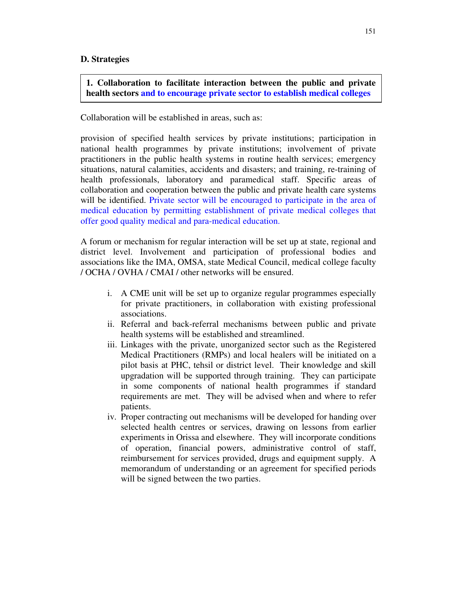## **1. Collaboration to facilitate interaction between the public and private health sectors and to encourage private sector to establish medical colleges**

#### Collaboration will be established in areas, such as:

provision of specified health services by private institutions; participation in national health programmes by private institutions; involvement of private practitioners in the public health systems in routine health services; emergency situations, natural calamities, accidents and disasters; and training, re-training of health professionals, laboratory and paramedical staff. Specific areas of collaboration and cooperation between the public and private health care systems will be identified. Private sector will be encouraged to participate in the area of medical education by permitting establishment of private medical colleges that offer good quality medical and para-medical education.

A forum or mechanism for regular interaction will be set up at state, regional and district level. Involvement and participation of professional bodies and associations like the IMA, OMSA, state Medical Council, medical college faculty / OCHA / OVHA / CMAI / other networks will be ensured.

- i. A CME unit will be set up to organize regular programmes especially for private practitioners, in collaboration with existing professional associations.
- ii. Referral and back-referral mechanisms between public and private health systems will be established and streamlined.
- iii. Linkages with the private, unorganized sector such as the Registered Medical Practitioners (RMPs) and local healers will be initiated on a pilot basis at PHC, tehsil or district level. Their knowledge and skill upgradation will be supported through training. They can participate in some components of national health programmes if standard requirements are met. They will be advised when and where to refer patients.
- iv. Proper contracting out mechanisms will be developed for handing over selected health centres or services, drawing on lessons from earlier experiments in Orissa and elsewhere. They will incorporate conditions of operation, financial powers, administrative control of staff, reimbursement for services provided, drugs and equipment supply. A memorandum of understanding or an agreement for specified periods will be signed between the two parties.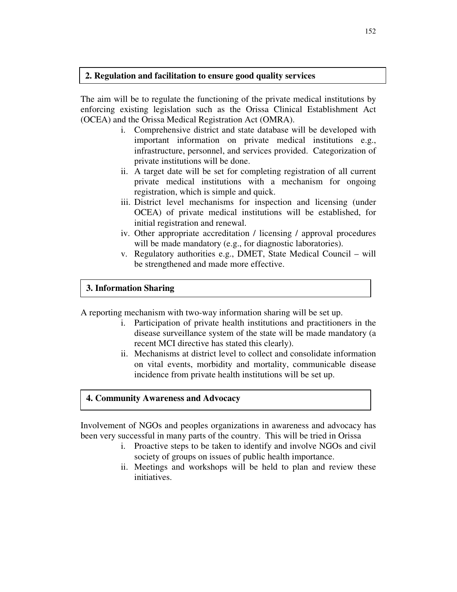#### **2. Regulation and facilitation to ensure good quality services**

The aim will be to regulate the functioning of the private medical institutions by enforcing existing legislation such as the Orissa Clinical Establishment Act (OCEA) and the Orissa Medical Registration Act (OMRA).

- i. Comprehensive district and state database will be developed with important information on private medical institutions e.g., infrastructure, personnel, and services provided. Categorization of private institutions will be done.
- ii. A target date will be set for completing registration of all current private medical institutions with a mechanism for ongoing registration, which is simple and quick.
- iii. District level mechanisms for inspection and licensing (under OCEA) of private medical institutions will be established, for initial registration and renewal.
- iv. Other appropriate accreditation / licensing / approval procedures will be made mandatory (e.g., for diagnostic laboratories).
- v. Regulatory authorities e.g., DMET, State Medical Council will be strengthened and made more effective.

#### **3. Information Sharing**

A reporting mechanism with two-way information sharing will be set up.

- i. Participation of private health institutions and practitioners in the disease surveillance system of the state will be made mandatory (a recent MCI directive has stated this clearly).
- ii. Mechanisms at district level to collect and consolidate information on vital events, morbidity and mortality, communicable disease incidence from private health institutions will be set up.

#### **4. Community Awareness and Advocacy**

Involvement of NGOs and peoples organizations in awareness and advocacy has been very successful in many parts of the country. This will be tried in Orissa

- i. Proactive steps to be taken to identify and involve NGOs and civil society of groups on issues of public health importance.
- ii. Meetings and workshops will be held to plan and review these initiatives.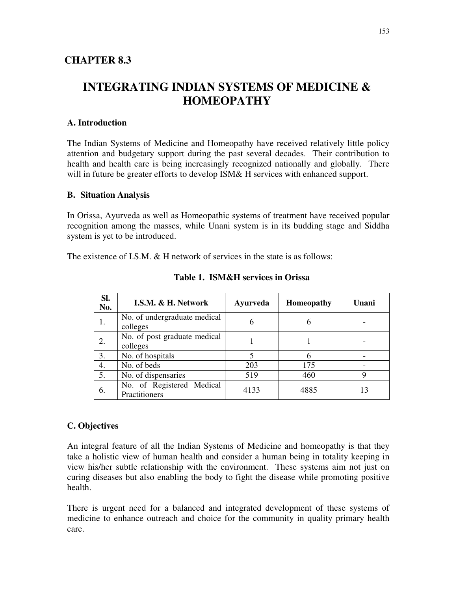# **INTEGRATING INDIAN SYSTEMS OF MEDICINE & HOMEOPATHY**

## **A. Introduction**

The Indian Systems of Medicine and Homeopathy have received relatively little policy attention and budgetary support during the past several decades. Their contribution to health and health care is being increasingly recognized nationally and globally. There will in future be greater efforts to develop ISM& H services with enhanced support.

#### **B. Situation Analysis**

In Orissa, Ayurveda as well as Homeopathic systems of treatment have received popular recognition among the masses, while Unani system is in its budding stage and Siddha system is yet to be introduced.

The existence of I.S.M. & H network of services in the state is as follows:

| SI.<br>No. | I.S.M. & H. Network                        | Ayurveda | <b>Homeopathy</b> | Unani |
|------------|--------------------------------------------|----------|-------------------|-------|
| 1.         | No. of undergraduate medical<br>colleges   | 6        | 6                 |       |
| 2.         | No. of post graduate medical<br>colleges   |          |                   |       |
| 3.         | No. of hospitals                           |          | 6                 |       |
| 4.         | No. of beds                                | 203      | 175               |       |
| 5.         | No. of dispensaries                        | 519      | 460               | Q     |
| 6.         | No. of Registered Medical<br>Practitioners | 4133     | 4885              |       |

**Table 1. ISM&H services in Orissa**

#### **C. Objectives**

An integral feature of all the Indian Systems of Medicine and homeopathy is that they take a holistic view of human health and consider a human being in totality keeping in view his/her subtle relationship with the environment. These systems aim not just on curing diseases but also enabling the body to fight the disease while promoting positive health.

There is urgent need for a balanced and integrated development of these systems of medicine to enhance outreach and choice for the community in quality primary health care.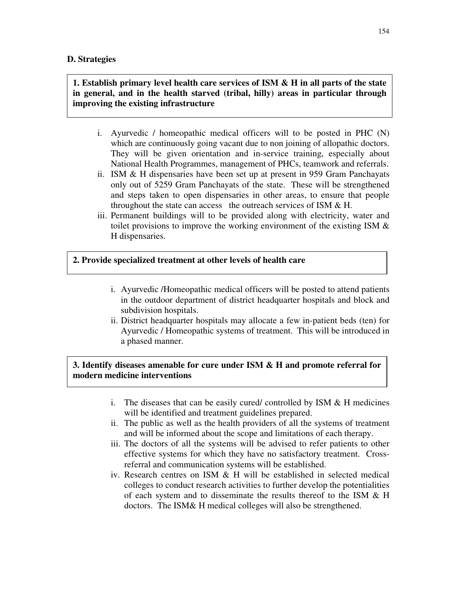## **1. Establish primary level health care services of ISM & H in all parts of the state in general, and in the health starved (tribal, hilly) areas in particular through improving the existing infrastructure**

- i. Ayurvedic / homeopathic medical officers will to be posted in PHC (N) which are continuously going vacant due to non joining of allopathic doctors. They will be given orientation and in-service training, especially about National Health Programmes, management of PHCs, teamwork and referrals.
- ii. ISM & H dispensaries have been set up at present in 959 Gram Panchayats only out of 5259 Gram Panchayats of the state. These will be strengthened and steps taken to open dispensaries in other areas, to ensure that people throughout the state can access the outreach services of ISM  $&H$ .
- iii. Permanent buildings will to be provided along with electricity, water and toilet provisions to improve the working environment of the existing ISM  $\&$ H dispensaries.

#### **2. Provide specialized treatment at other levels of health care**

- i. Ayurvedic /Homeopathic medical officers will be posted to attend patients in the outdoor department of district headquarter hospitals and block and subdivision hospitals.
- ii. District headquarter hospitals may allocate a few in-patient beds (ten) for Ayurvedic / Homeopathic systems of treatment. This will be introduced in a phased manner.

# **3. Identify diseases amenable for cure under ISM & H and promote referral for modern medicine interventions**

- i. The diseases that can be easily cured/ controlled by ISM  $&$  H medicines will be identified and treatment guidelines prepared.
- ii. The public as well as the health providers of all the systems of treatment and will be informed about the scope and limitations of each therapy.
- iii. The doctors of all the systems will be advised to refer patients to other effective systems for which they have no satisfactory treatment. Crossreferral and communication systems will be established.
- iv. Research centres on ISM & H will be established in selected medical colleges to conduct research activities to further develop the potentialities of each system and to disseminate the results thereof to the ISM & H doctors. The ISM& H medical colleges will also be strengthened.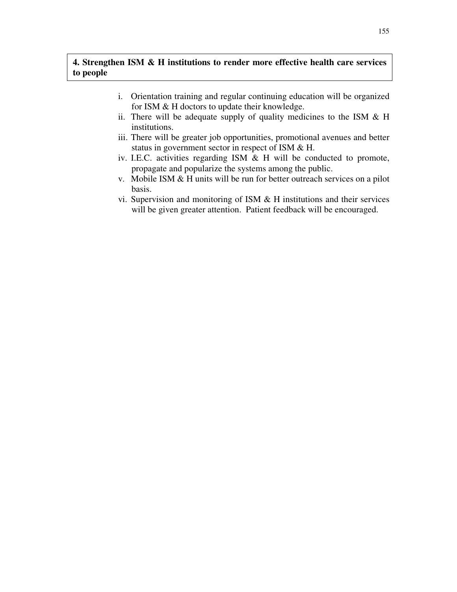# **4. Strengthen ISM & H institutions to render more effective health care services to people**

- i. Orientation training and regular continuing education will be organized for ISM & H doctors to update their knowledge.
- ii. There will be adequate supply of quality medicines to the ISM  $&$  H institutions.
- iii. There will be greater job opportunities, promotional avenues and better status in government sector in respect of ISM & H.
- iv. I.E.C. activities regarding ISM & H will be conducted to promote, propagate and popularize the systems among the public.
- v. Mobile ISM & H units will be run for better outreach services on a pilot basis.
- vi. Supervision and monitoring of ISM & H institutions and their services will be given greater attention. Patient feedback will be encouraged.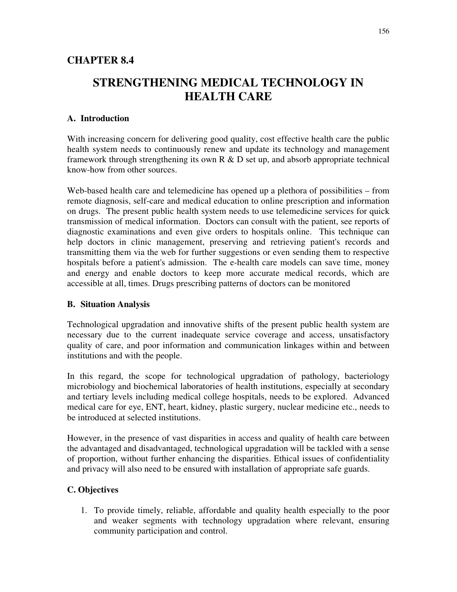# **CHAPTER 8.4**

# **STRENGTHENING MEDICAL TECHNOLOGY IN HEALTH CARE**

# **A. Introduction**

With increasing concern for delivering good quality, cost effective health care the public health system needs to continuously renew and update its technology and management framework through strengthening its own  $R \& D$  set up, and absorb appropriate technical know-how from other sources.

Web-based health care and telemedicine has opened up a plethora of possibilities – from remote diagnosis, self-care and medical education to online prescription and information on drugs. The present public health system needs to use telemedicine services for quick transmission of medical information. Doctors can consult with the patient, see reports of diagnostic examinations and even give orders to hospitals online. This technique can help doctors in clinic management, preserving and retrieving patient's records and transmitting them via the web for further suggestions or even sending them to respective hospitals before a patient's admission. The e-health care models can save time, money and energy and enable doctors to keep more accurate medical records, which are accessible at all, times. Drugs prescribing patterns of doctors can be monitored

#### **B. Situation Analysis**

Technological upgradation and innovative shifts of the present public health system are necessary due to the current inadequate service coverage and access, unsatisfactory quality of care, and poor information and communication linkages within and between institutions and with the people.

In this regard, the scope for technological upgradation of pathology, bacteriology microbiology and biochemical laboratories of health institutions, especially at secondary and tertiary levels including medical college hospitals, needs to be explored. Advanced medical care for eye, ENT, heart, kidney, plastic surgery, nuclear medicine etc., needs to be introduced at selected institutions.

However, in the presence of vast disparities in access and quality of health care between the advantaged and disadvantaged, technological upgradation will be tackled with a sense of proportion, without further enhancing the disparities. Ethical issues of confidentiality and privacy will also need to be ensured with installation of appropriate safe guards.

# **C. Objectives**

1. To provide timely, reliable, affordable and quality health especially to the poor and weaker segments with technology upgradation where relevant, ensuring community participation and control.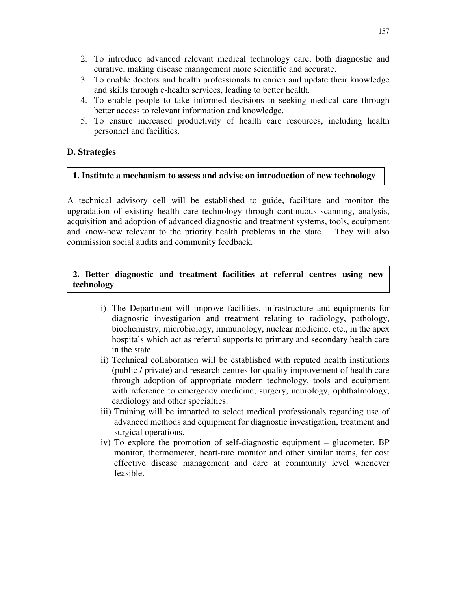- 2. To introduce advanced relevant medical technology care, both diagnostic and curative, making disease management more scientific and accurate.
- 3. To enable doctors and health professionals to enrich and update their knowledge and skills through e-health services, leading to better health.
- 4. To enable people to take informed decisions in seeking medical care through better access to relevant information and knowledge.
- 5. To ensure increased productivity of health care resources, including health personnel and facilities.

#### **1. Institute a mechanism to assess and advise on introduction of new technology**

A technical advisory cell will be established to guide, facilitate and monitor the upgradation of existing health care technology through continuous scanning, analysis, acquisition and adoption of advanced diagnostic and treatment systems, tools, equipment and know-how relevant to the priority health problems in the state. They will also commission social audits and community feedback.

#### **2. Better diagnostic and treatment facilities at referral centres using new technology**

- i) The Department will improve facilities, infrastructure and equipments for diagnostic investigation and treatment relating to radiology, pathology, biochemistry, microbiology, immunology, nuclear medicine, etc., in the apex hospitals which act as referral supports to primary and secondary health care in the state.
- ii) Technical collaboration will be established with reputed health institutions (public / private) and research centres for quality improvement of health care through adoption of appropriate modern technology, tools and equipment with reference to emergency medicine, surgery, neurology, ophthalmology, cardiology and other specialties.
- iii) Training will be imparted to select medical professionals regarding use of advanced methods and equipment for diagnostic investigation, treatment and surgical operations.
- iv) To explore the promotion of self-diagnostic equipment glucometer, BP monitor, thermometer, heart-rate monitor and other similar items, for cost effective disease management and care at community level whenever feasible.